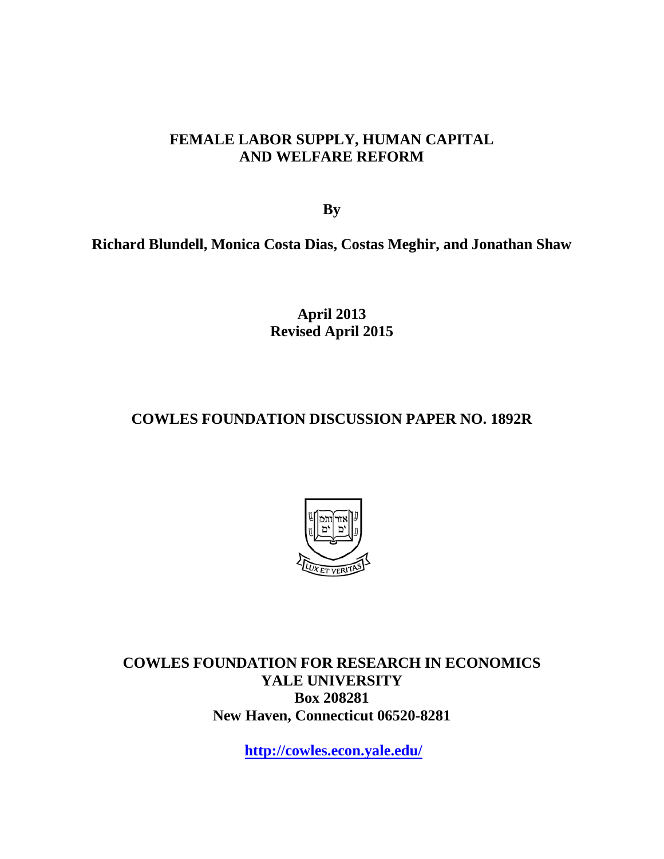## **FEMALE LABOR SUPPLY, HUMAN CAPITAL AND WELFARE REFORM**

**By**

## **Richard Blundell, Monica Costa Dias, Costas Meghir, and Jonathan Shaw**

**April 2013 Revised April 2015**

## **COWLES FOUNDATION DISCUSSION PAPER NO. 1892R**



**COWLES FOUNDATION FOR RESEARCH IN ECONOMICS YALE UNIVERSITY Box 208281 New Haven, Connecticut 06520-8281**

**<http://cowles.econ.yale.edu/>**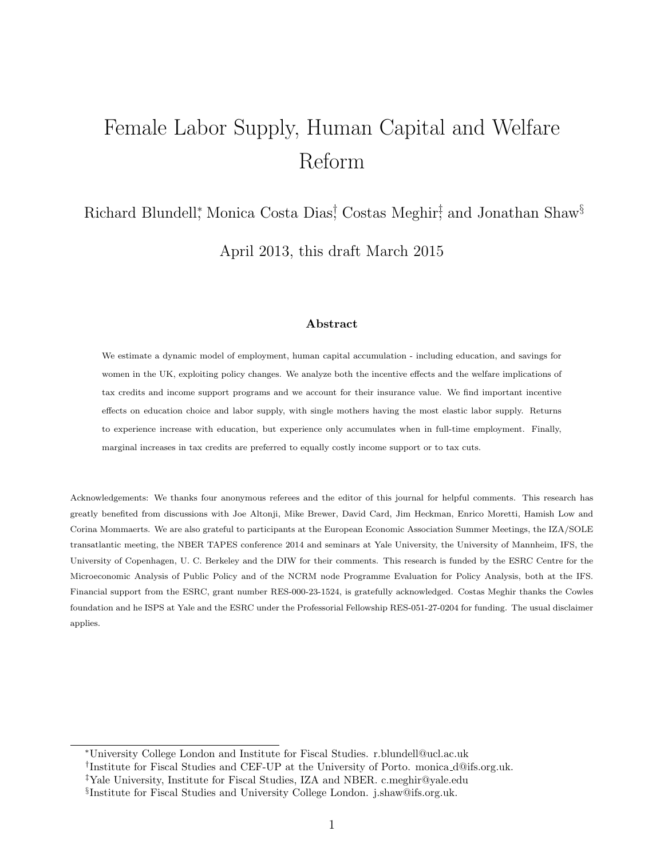# Female Labor Supply, Human Capital and Welfare Reform

# Richard Blundell<sup>\*</sup>, Monica Costa Dias<sup>†</sup>, Costas Meghir<sup>‡</sup>, and Jonathan Shaw<sup>§</sup> April 2013, this draft March 2015

#### Abstract

We estimate a dynamic model of employment, human capital accumulation - including education, and savings for women in the UK, exploiting policy changes. We analyze both the incentive effects and the welfare implications of tax credits and income support programs and we account for their insurance value. We find important incentive effects on education choice and labor supply, with single mothers having the most elastic labor supply. Returns to experience increase with education, but experience only accumulates when in full-time employment. Finally, marginal increases in tax credits are preferred to equally costly income support or to tax cuts.

Acknowledgements: We thanks four anonymous referees and the editor of this journal for helpful comments. This research has greatly benefited from discussions with Joe Altonji, Mike Brewer, David Card, Jim Heckman, Enrico Moretti, Hamish Low and Corina Mommaerts. We are also grateful to participants at the European Economic Association Summer Meetings, the IZA/SOLE transatlantic meeting, the NBER TAPES conference 2014 and seminars at Yale University, the University of Mannheim, IFS, the University of Copenhagen, U. C. Berkeley and the DIW for their comments. This research is funded by the ESRC Centre for the Microeconomic Analysis of Public Policy and of the NCRM node Programme Evaluation for Policy Analysis, both at the IFS. Financial support from the ESRC, grant number RES-000-23-1524, is gratefully acknowledged. Costas Meghir thanks the Cowles foundation and he ISPS at Yale and the ESRC under the Professorial Fellowship RES-051-27-0204 for funding. The usual disclaimer applies.

<sup>∗</sup>University College London and Institute for Fiscal Studies. r.blundell@ucl.ac.uk

<sup>†</sup> Institute for Fiscal Studies and CEF-UP at the University of Porto. monica d@ifs.org.uk.

<sup>‡</sup>Yale University, Institute for Fiscal Studies, IZA and NBER. c.meghir@yale.edu

<sup>§</sup> Institute for Fiscal Studies and University College London. j.shaw@ifs.org.uk.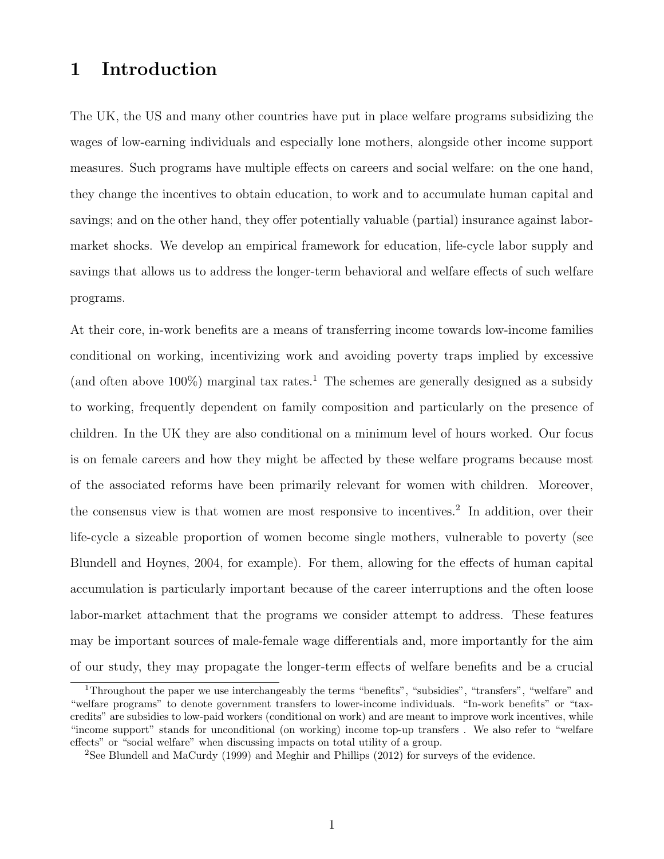## 1 Introduction

The UK, the US and many other countries have put in place welfare programs subsidizing the wages of low-earning individuals and especially lone mothers, alongside other income support measures. Such programs have multiple effects on careers and social welfare: on the one hand, they change the incentives to obtain education, to work and to accumulate human capital and savings; and on the other hand, they offer potentially valuable (partial) insurance against labormarket shocks. We develop an empirical framework for education, life-cycle labor supply and savings that allows us to address the longer-term behavioral and welfare effects of such welfare programs.

At their core, in-work benefits are a means of transferring income towards low-income families conditional on working, incentivizing work and avoiding poverty traps implied by excessive (and often above 100%) marginal tax rates.<sup>1</sup> The schemes are generally designed as a subsidy to working, frequently dependent on family composition and particularly on the presence of children. In the UK they are also conditional on a minimum level of hours worked. Our focus is on female careers and how they might be affected by these welfare programs because most of the associated reforms have been primarily relevant for women with children. Moreover, the consensus view is that women are most responsive to incentives.<sup>2</sup> In addition, over their life-cycle a sizeable proportion of women become single mothers, vulnerable to poverty (see Blundell and Hoynes, 2004, for example). For them, allowing for the effects of human capital accumulation is particularly important because of the career interruptions and the often loose labor-market attachment that the programs we consider attempt to address. These features may be important sources of male-female wage differentials and, more importantly for the aim of our study, they may propagate the longer-term effects of welfare benefits and be a crucial

<sup>1</sup>Throughout the paper we use interchangeably the terms "benefits", "subsidies", "transfers", "welfare" and "welfare programs" to denote government transfers to lower-income individuals. "In-work benefits" or "taxcredits" are subsidies to low-paid workers (conditional on work) and are meant to improve work incentives, while "income support" stands for unconditional (on working) income top-up transfers . We also refer to "welfare effects" or "social welfare" when discussing impacts on total utility of a group.

<sup>2</sup>See Blundell and MaCurdy (1999) and Meghir and Phillips (2012) for surveys of the evidence.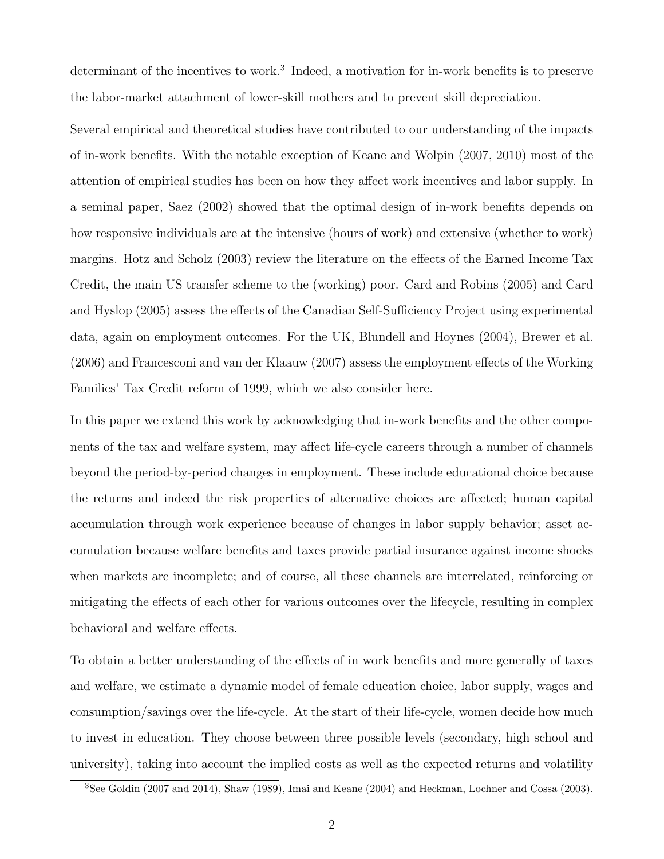determinant of the incentives to work.<sup>3</sup> Indeed, a motivation for in-work benefits is to preserve the labor-market attachment of lower-skill mothers and to prevent skill depreciation.

Several empirical and theoretical studies have contributed to our understanding of the impacts of in-work benefits. With the notable exception of Keane and Wolpin (2007, 2010) most of the attention of empirical studies has been on how they affect work incentives and labor supply. In a seminal paper, Saez (2002) showed that the optimal design of in-work benefits depends on how responsive individuals are at the intensive (hours of work) and extensive (whether to work) margins. Hotz and Scholz (2003) review the literature on the effects of the Earned Income Tax Credit, the main US transfer scheme to the (working) poor. Card and Robins (2005) and Card and Hyslop (2005) assess the effects of the Canadian Self-Sufficiency Project using experimental data, again on employment outcomes. For the UK, Blundell and Hoynes (2004), Brewer et al. (2006) and Francesconi and van der Klaauw (2007) assess the employment effects of the Working Families' Tax Credit reform of 1999, which we also consider here.

In this paper we extend this work by acknowledging that in-work benefits and the other components of the tax and welfare system, may affect life-cycle careers through a number of channels beyond the period-by-period changes in employment. These include educational choice because the returns and indeed the risk properties of alternative choices are affected; human capital accumulation through work experience because of changes in labor supply behavior; asset accumulation because welfare benefits and taxes provide partial insurance against income shocks when markets are incomplete; and of course, all these channels are interrelated, reinforcing or mitigating the effects of each other for various outcomes over the lifecycle, resulting in complex behavioral and welfare effects.

To obtain a better understanding of the effects of in work benefits and more generally of taxes and welfare, we estimate a dynamic model of female education choice, labor supply, wages and consumption/savings over the life-cycle. At the start of their life-cycle, women decide how much to invest in education. They choose between three possible levels (secondary, high school and university), taking into account the implied costs as well as the expected returns and volatility

<sup>3</sup>See Goldin (2007 and 2014), Shaw (1989), Imai and Keane (2004) and Heckman, Lochner and Cossa (2003).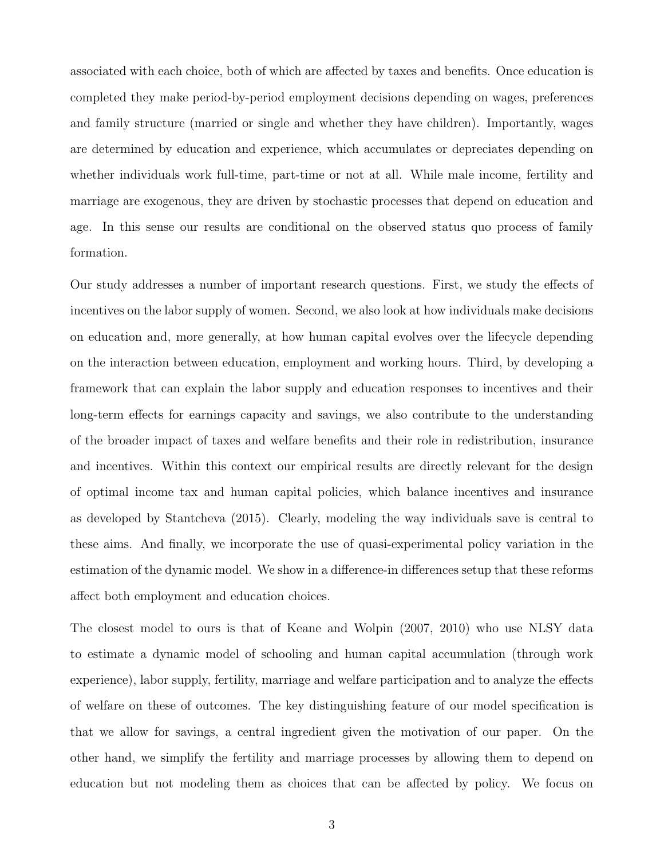associated with each choice, both of which are affected by taxes and benefits. Once education is completed they make period-by-period employment decisions depending on wages, preferences and family structure (married or single and whether they have children). Importantly, wages are determined by education and experience, which accumulates or depreciates depending on whether individuals work full-time, part-time or not at all. While male income, fertility and marriage are exogenous, they are driven by stochastic processes that depend on education and age. In this sense our results are conditional on the observed status quo process of family formation.

Our study addresses a number of important research questions. First, we study the effects of incentives on the labor supply of women. Second, we also look at how individuals make decisions on education and, more generally, at how human capital evolves over the lifecycle depending on the interaction between education, employment and working hours. Third, by developing a framework that can explain the labor supply and education responses to incentives and their long-term effects for earnings capacity and savings, we also contribute to the understanding of the broader impact of taxes and welfare benefits and their role in redistribution, insurance and incentives. Within this context our empirical results are directly relevant for the design of optimal income tax and human capital policies, which balance incentives and insurance as developed by Stantcheva (2015). Clearly, modeling the way individuals save is central to these aims. And finally, we incorporate the use of quasi-experimental policy variation in the estimation of the dynamic model. We show in a difference-in differences setup that these reforms affect both employment and education choices.

The closest model to ours is that of Keane and Wolpin (2007, 2010) who use NLSY data to estimate a dynamic model of schooling and human capital accumulation (through work experience), labor supply, fertility, marriage and welfare participation and to analyze the effects of welfare on these of outcomes. The key distinguishing feature of our model specification is that we allow for savings, a central ingredient given the motivation of our paper. On the other hand, we simplify the fertility and marriage processes by allowing them to depend on education but not modeling them as choices that can be affected by policy. We focus on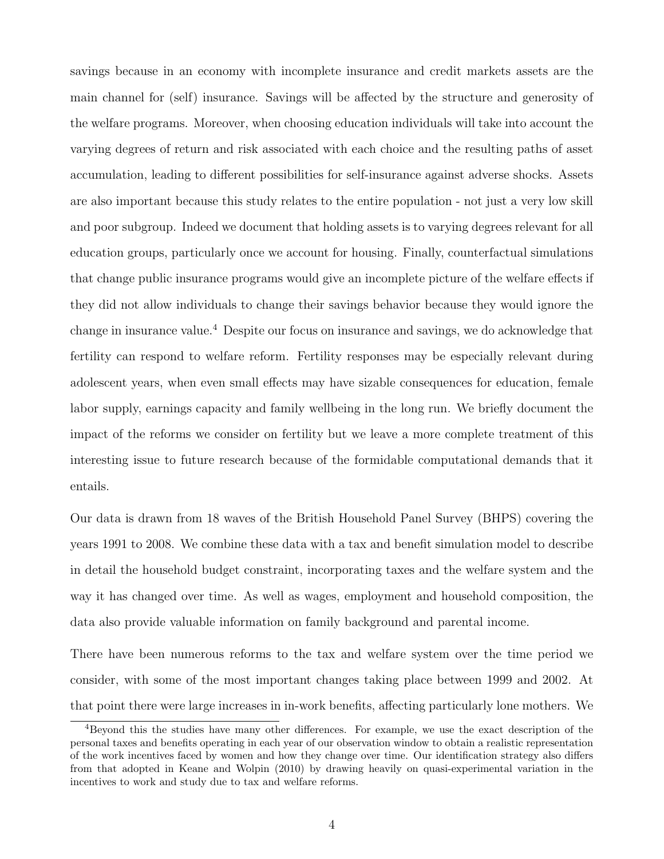savings because in an economy with incomplete insurance and credit markets assets are the main channel for (self) insurance. Savings will be affected by the structure and generosity of the welfare programs. Moreover, when choosing education individuals will take into account the varying degrees of return and risk associated with each choice and the resulting paths of asset accumulation, leading to different possibilities for self-insurance against adverse shocks. Assets are also important because this study relates to the entire population - not just a very low skill and poor subgroup. Indeed we document that holding assets is to varying degrees relevant for all education groups, particularly once we account for housing. Finally, counterfactual simulations that change public insurance programs would give an incomplete picture of the welfare effects if they did not allow individuals to change their savings behavior because they would ignore the change in insurance value.<sup>4</sup> Despite our focus on insurance and savings, we do acknowledge that fertility can respond to welfare reform. Fertility responses may be especially relevant during adolescent years, when even small effects may have sizable consequences for education, female labor supply, earnings capacity and family wellbeing in the long run. We briefly document the impact of the reforms we consider on fertility but we leave a more complete treatment of this interesting issue to future research because of the formidable computational demands that it entails.

Our data is drawn from 18 waves of the British Household Panel Survey (BHPS) covering the years 1991 to 2008. We combine these data with a tax and benefit simulation model to describe in detail the household budget constraint, incorporating taxes and the welfare system and the way it has changed over time. As well as wages, employment and household composition, the data also provide valuable information on family background and parental income.

There have been numerous reforms to the tax and welfare system over the time period we consider, with some of the most important changes taking place between 1999 and 2002. At that point there were large increases in in-work benefits, affecting particularly lone mothers. We

<sup>4</sup>Beyond this the studies have many other differences. For example, we use the exact description of the personal taxes and benefits operating in each year of our observation window to obtain a realistic representation of the work incentives faced by women and how they change over time. Our identification strategy also differs from that adopted in Keane and Wolpin (2010) by drawing heavily on quasi-experimental variation in the incentives to work and study due to tax and welfare reforms.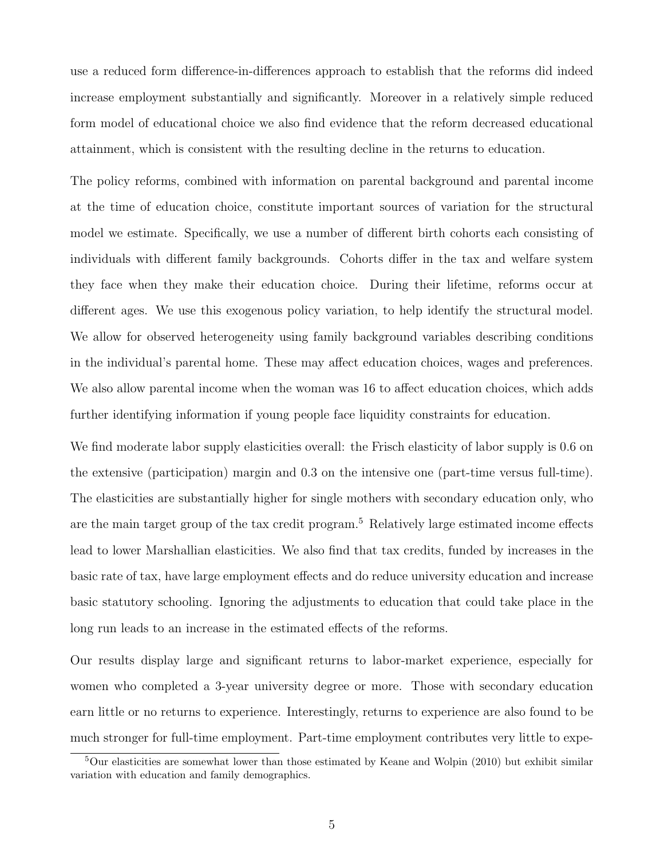use a reduced form difference-in-differences approach to establish that the reforms did indeed increase employment substantially and significantly. Moreover in a relatively simple reduced form model of educational choice we also find evidence that the reform decreased educational attainment, which is consistent with the resulting decline in the returns to education.

The policy reforms, combined with information on parental background and parental income at the time of education choice, constitute important sources of variation for the structural model we estimate. Specifically, we use a number of different birth cohorts each consisting of individuals with different family backgrounds. Cohorts differ in the tax and welfare system they face when they make their education choice. During their lifetime, reforms occur at different ages. We use this exogenous policy variation, to help identify the structural model. We allow for observed heterogeneity using family background variables describing conditions in the individual's parental home. These may affect education choices, wages and preferences. We also allow parental income when the woman was 16 to affect education choices, which adds further identifying information if young people face liquidity constraints for education.

We find moderate labor supply elasticities overall: the Frisch elasticity of labor supply is 0.6 on the extensive (participation) margin and 0.3 on the intensive one (part-time versus full-time). The elasticities are substantially higher for single mothers with secondary education only, who are the main target group of the tax credit program.<sup>5</sup> Relatively large estimated income effects lead to lower Marshallian elasticities. We also find that tax credits, funded by increases in the basic rate of tax, have large employment effects and do reduce university education and increase basic statutory schooling. Ignoring the adjustments to education that could take place in the long run leads to an increase in the estimated effects of the reforms.

Our results display large and significant returns to labor-market experience, especially for women who completed a 3-year university degree or more. Those with secondary education earn little or no returns to experience. Interestingly, returns to experience are also found to be much stronger for full-time employment. Part-time employment contributes very little to expe-

<sup>&</sup>lt;sup>5</sup>Our elasticities are somewhat lower than those estimated by Keane and Wolpin (2010) but exhibit similar variation with education and family demographics.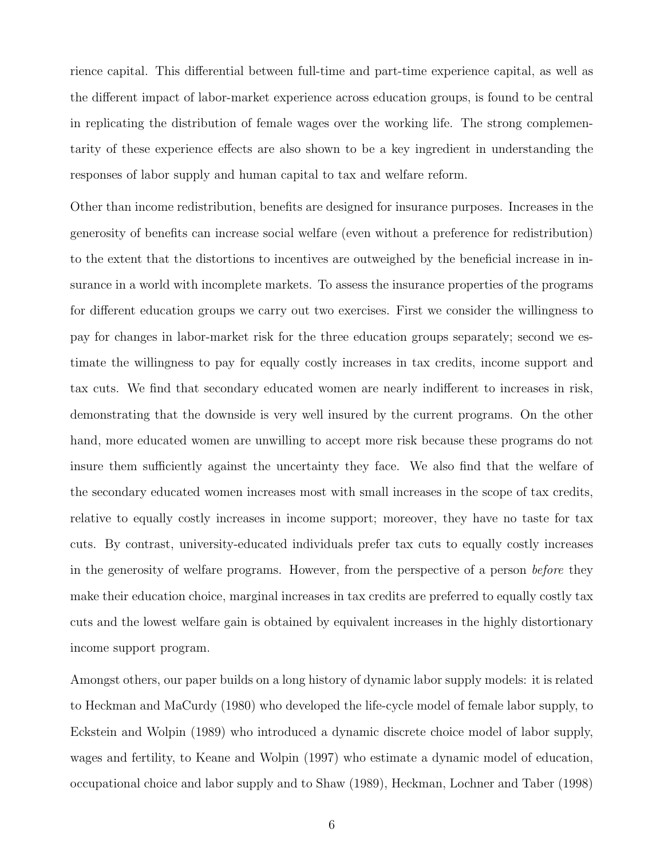rience capital. This differential between full-time and part-time experience capital, as well as the different impact of labor-market experience across education groups, is found to be central in replicating the distribution of female wages over the working life. The strong complementarity of these experience effects are also shown to be a key ingredient in understanding the responses of labor supply and human capital to tax and welfare reform.

Other than income redistribution, benefits are designed for insurance purposes. Increases in the generosity of benefits can increase social welfare (even without a preference for redistribution) to the extent that the distortions to incentives are outweighed by the beneficial increase in insurance in a world with incomplete markets. To assess the insurance properties of the programs for different education groups we carry out two exercises. First we consider the willingness to pay for changes in labor-market risk for the three education groups separately; second we estimate the willingness to pay for equally costly increases in tax credits, income support and tax cuts. We find that secondary educated women are nearly indifferent to increases in risk, demonstrating that the downside is very well insured by the current programs. On the other hand, more educated women are unwilling to accept more risk because these programs do not insure them sufficiently against the uncertainty they face. We also find that the welfare of the secondary educated women increases most with small increases in the scope of tax credits, relative to equally costly increases in income support; moreover, they have no taste for tax cuts. By contrast, university-educated individuals prefer tax cuts to equally costly increases in the generosity of welfare programs. However, from the perspective of a person before they make their education choice, marginal increases in tax credits are preferred to equally costly tax cuts and the lowest welfare gain is obtained by equivalent increases in the highly distortionary income support program.

Amongst others, our paper builds on a long history of dynamic labor supply models: it is related to Heckman and MaCurdy (1980) who developed the life-cycle model of female labor supply, to Eckstein and Wolpin (1989) who introduced a dynamic discrete choice model of labor supply, wages and fertility, to Keane and Wolpin (1997) who estimate a dynamic model of education, occupational choice and labor supply and to Shaw (1989), Heckman, Lochner and Taber (1998)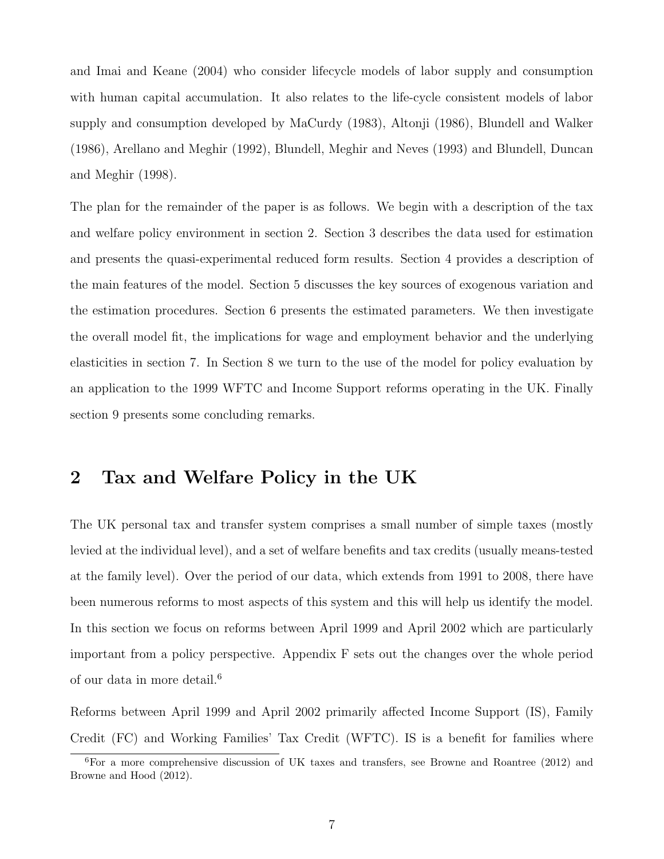and Imai and Keane (2004) who consider lifecycle models of labor supply and consumption with human capital accumulation. It also relates to the life-cycle consistent models of labor supply and consumption developed by MaCurdy (1983), Altonji (1986), Blundell and Walker (1986), Arellano and Meghir (1992), Blundell, Meghir and Neves (1993) and Blundell, Duncan and Meghir (1998).

The plan for the remainder of the paper is as follows. We begin with a description of the tax and welfare policy environment in section 2. Section 3 describes the data used for estimation and presents the quasi-experimental reduced form results. Section 4 provides a description of the main features of the model. Section 5 discusses the key sources of exogenous variation and the estimation procedures. Section 6 presents the estimated parameters. We then investigate the overall model fit, the implications for wage and employment behavior and the underlying elasticities in section 7. In Section 8 we turn to the use of the model for policy evaluation by an application to the 1999 WFTC and Income Support reforms operating in the UK. Finally section 9 presents some concluding remarks.

## 2 Tax and Welfare Policy in the UK

The UK personal tax and transfer system comprises a small number of simple taxes (mostly levied at the individual level), and a set of welfare benefits and tax credits (usually means-tested at the family level). Over the period of our data, which extends from 1991 to 2008, there have been numerous reforms to most aspects of this system and this will help us identify the model. In this section we focus on reforms between April 1999 and April 2002 which are particularly important from a policy perspective. Appendix F sets out the changes over the whole period of our data in more detail.<sup>6</sup>

Reforms between April 1999 and April 2002 primarily affected Income Support (IS), Family Credit (FC) and Working Families' Tax Credit (WFTC). IS is a benefit for families where

<sup>6</sup>For a more comprehensive discussion of UK taxes and transfers, see Browne and Roantree (2012) and Browne and Hood (2012).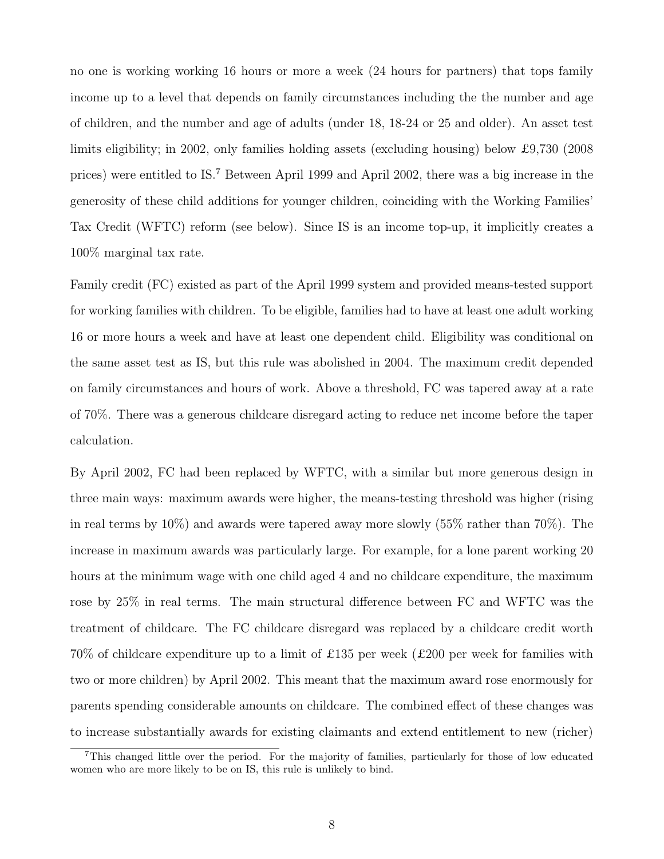no one is working working 16 hours or more a week (24 hours for partners) that tops family income up to a level that depends on family circumstances including the the number and age of children, and the number and age of adults (under 18, 18-24 or 25 and older). An asset test limits eligibility; in 2002, only families holding assets (excluding housing) below £9,730 (2008 prices) were entitled to IS.<sup>7</sup> Between April 1999 and April 2002, there was a big increase in the generosity of these child additions for younger children, coinciding with the Working Families' Tax Credit (WFTC) reform (see below). Since IS is an income top-up, it implicitly creates a 100% marginal tax rate.

Family credit (FC) existed as part of the April 1999 system and provided means-tested support for working families with children. To be eligible, families had to have at least one adult working 16 or more hours a week and have at least one dependent child. Eligibility was conditional on the same asset test as IS, but this rule was abolished in 2004. The maximum credit depended on family circumstances and hours of work. Above a threshold, FC was tapered away at a rate of 70%. There was a generous childcare disregard acting to reduce net income before the taper calculation.

By April 2002, FC had been replaced by WFTC, with a similar but more generous design in three main ways: maximum awards were higher, the means-testing threshold was higher (rising in real terms by  $10\%$ ) and awards were tapered away more slowly (55% rather than 70%). The increase in maximum awards was particularly large. For example, for a lone parent working 20 hours at the minimum wage with one child aged 4 and no childcare expenditure, the maximum rose by 25% in real terms. The main structural difference between FC and WFTC was the treatment of childcare. The FC childcare disregard was replaced by a childcare credit worth 70% of childcare expenditure up to a limit of £135 per week (£200 per week for families with two or more children) by April 2002. This meant that the maximum award rose enormously for parents spending considerable amounts on childcare. The combined effect of these changes was to increase substantially awards for existing claimants and extend entitlement to new (richer)

<sup>7</sup>This changed little over the period. For the majority of families, particularly for those of low educated women who are more likely to be on IS, this rule is unlikely to bind.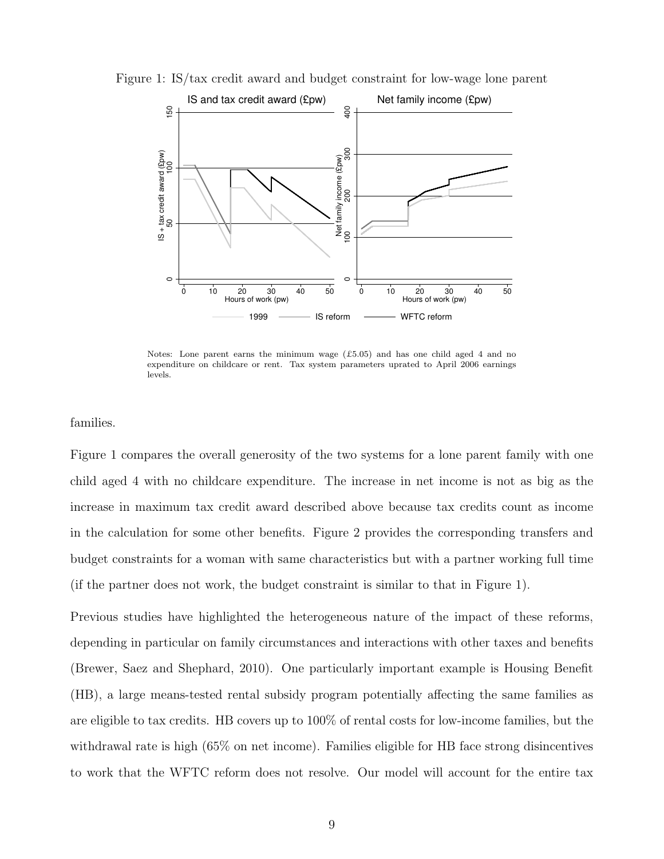

Figure 1: IS/tax credit award and budget constraint for low-wage lone parent

Notes: Lone parent earns the minimum wage  $(£5.05)$  and has one child aged 4 and no expenditure on childcare or rent. Tax system parameters uprated to April 2006 earnings levels.

families.

Figure 1 compares the overall generosity of the two systems for a lone parent family with one child aged 4 with no childcare expenditure. The increase in net income is not as big as the increase in maximum tax credit award described above because tax credits count as income in the calculation for some other benefits. Figure 2 provides the corresponding transfers and budget constraints for a woman with same characteristics but with a partner working full time (if the partner does not work, the budget constraint is similar to that in Figure 1).

Previous studies have highlighted the heterogeneous nature of the impact of these reforms, depending in particular on family circumstances and interactions with other taxes and benefits (Brewer, Saez and Shephard, 2010). One particularly important example is Housing Benefit (HB), a large means-tested rental subsidy program potentially affecting the same families as are eligible to tax credits. HB covers up to 100% of rental costs for low-income families, but the withdrawal rate is high (65% on net income). Families eligible for HB face strong disincentives to work that the WFTC reform does not resolve. Our model will account for the entire tax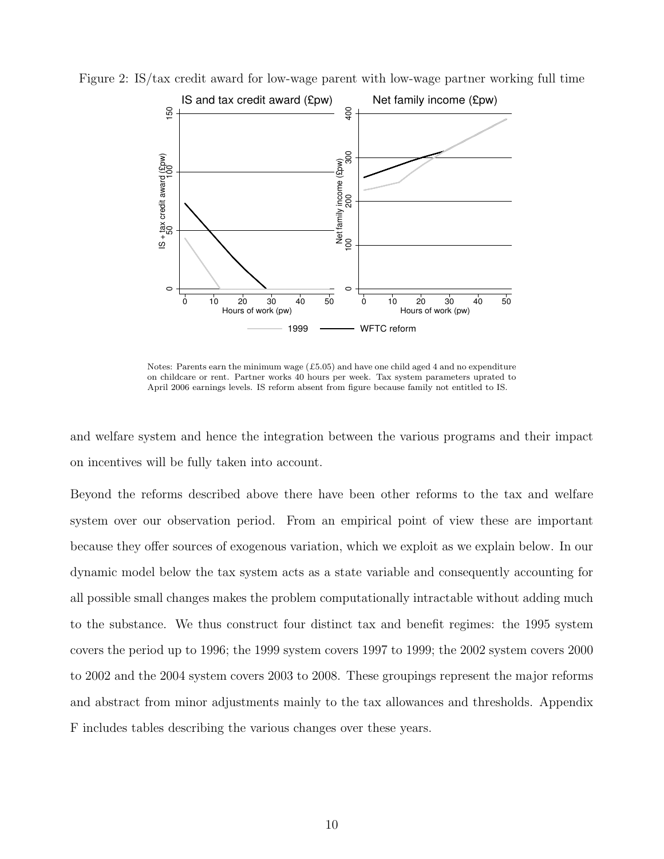

Figure 2: IS/tax credit award for low-wage parent with low-wage partner working full time

Notes: Parents earn the minimum wage  $(£5.05)$  and have one child aged 4 and no expenditure on childcare or rent. Partner works 40 hours per week. Tax system parameters uprated to April 2006 earnings levels. IS reform absent from figure because family not entitled to IS.

and welfare system and hence the integration between the various programs and their impact on incentives will be fully taken into account.

Beyond the reforms described above there have been other reforms to the tax and welfare system over our observation period. From an empirical point of view these are important because they offer sources of exogenous variation, which we exploit as we explain below. In our dynamic model below the tax system acts as a state variable and consequently accounting for all possible small changes makes the problem computationally intractable without adding much to the substance. We thus construct four distinct tax and benefit regimes: the 1995 system covers the period up to 1996; the 1999 system covers 1997 to 1999; the 2002 system covers 2000 to 2002 and the 2004 system covers 2003 to 2008. These groupings represent the major reforms and abstract from minor adjustments mainly to the tax allowances and thresholds. Appendix F includes tables describing the various changes over these years.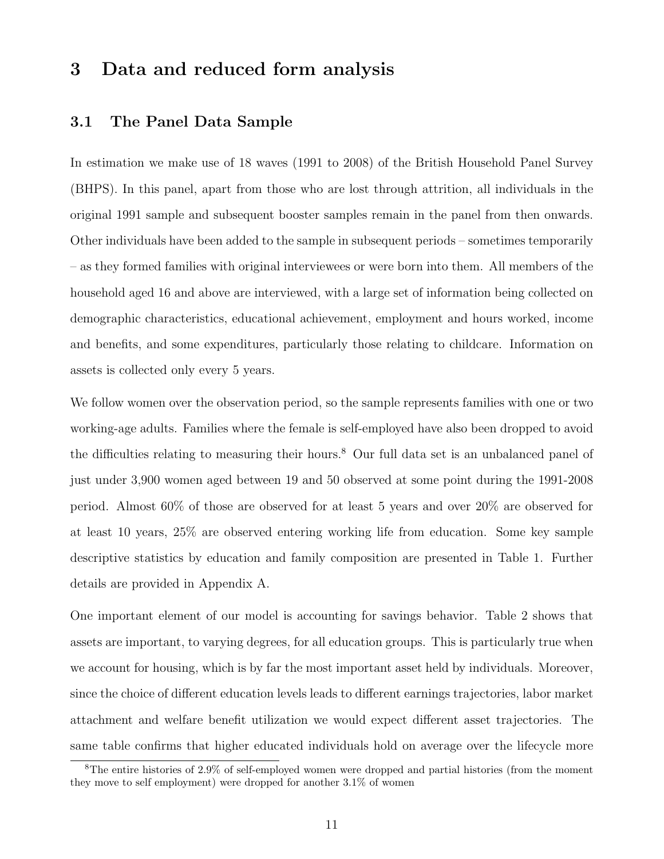## 3 Data and reduced form analysis

#### 3.1 The Panel Data Sample

In estimation we make use of 18 waves (1991 to 2008) of the British Household Panel Survey (BHPS). In this panel, apart from those who are lost through attrition, all individuals in the original 1991 sample and subsequent booster samples remain in the panel from then onwards. Other individuals have been added to the sample in subsequent periods – sometimes temporarily – as they formed families with original interviewees or were born into them. All members of the household aged 16 and above are interviewed, with a large set of information being collected on demographic characteristics, educational achievement, employment and hours worked, income and benefits, and some expenditures, particularly those relating to childcare. Information on assets is collected only every 5 years.

We follow women over the observation period, so the sample represents families with one or two working-age adults. Families where the female is self-employed have also been dropped to avoid the difficulties relating to measuring their hours.<sup>8</sup> Our full data set is an unbalanced panel of just under 3,900 women aged between 19 and 50 observed at some point during the 1991-2008 period. Almost 60% of those are observed for at least 5 years and over 20% are observed for at least 10 years, 25% are observed entering working life from education. Some key sample descriptive statistics by education and family composition are presented in Table 1. Further details are provided in Appendix A.

One important element of our model is accounting for savings behavior. Table 2 shows that assets are important, to varying degrees, for all education groups. This is particularly true when we account for housing, which is by far the most important asset held by individuals. Moreover, since the choice of different education levels leads to different earnings trajectories, labor market attachment and welfare benefit utilization we would expect different asset trajectories. The same table confirms that higher educated individuals hold on average over the lifecycle more

<sup>8</sup>The entire histories of 2.9% of self-employed women were dropped and partial histories (from the moment they move to self employment) were dropped for another 3.1% of women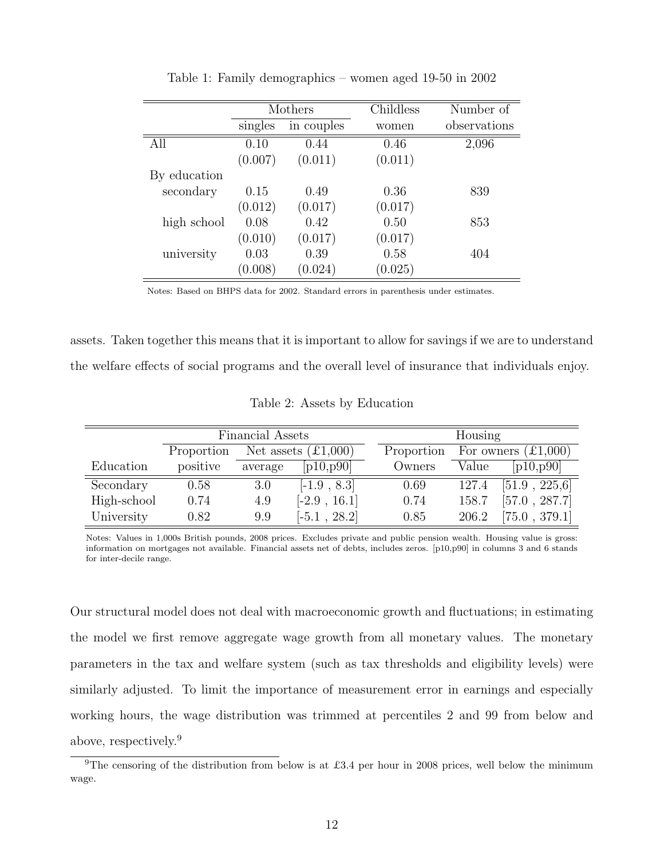|              | Mothers |            | Childless | Number of    |  |
|--------------|---------|------------|-----------|--------------|--|
|              | singles | in couples | women     | observations |  |
| All          | 0.10    | 0.44       | 0.46      | 2,096        |  |
|              | (0.007) | (0.011)    | (0.011)   |              |  |
| By education |         |            |           |              |  |
| secondary    | 0.15    | 0.49       | 0.36      | 839          |  |
|              | (0.012) | (0.017)    | (0.017)   |              |  |
| high school  | 0.08    | 0.42       | 0.50      | 853          |  |
|              | (0.010) | (0.017)    | (0.017)   |              |  |
| university   | 0.03    | 0.39       | 0.58      | 404          |  |
|              | (0.008) | (0.024)    | (0.025)   |              |  |

Table 1: Family demographics – women aged 19-50 in 2002

Notes: Based on BHPS data for 2002. Standard errors in parenthesis under estimates.

assets. Taken together this means that it is important to allow for savings if we are to understand the welfare effects of social programs and the overall level of insurance that individuals enjoy.

Table 2: Assets by Education

|             | <b>Financial Assets</b> |                             |                | Housing    |                             |               |
|-------------|-------------------------|-----------------------------|----------------|------------|-----------------------------|---------------|
|             | Proportion              | Net assets $(\pounds1,000)$ |                | Proportion | For owners $(\pounds1,000)$ |               |
| Education   | positive                | average                     | [p10,p90]      | Owners     | Value                       | [p10,p90]     |
| Secondary   | 0.58                    | 3.0                         | $[-1.9, 8.3]$  | 0.69       | 127.4                       | [51.9, 225.6] |
| High-school | 0.74                    | 4.9                         | $[-2.9, 16.1]$ | 0.74       | 158.7                       | [57.0, 287.7] |
| University  | 0.82                    | 9.9                         | $[-5.1, 28.2]$ | 0.85       | 206.2                       | [75.0, 379.1] |

Notes: Values in 1,000s British pounds, 2008 prices. Excludes private and public pension wealth. Housing value is gross: information on mortgages not available. Financial assets net of debts, includes zeros. [p10,p90] in columns 3 and 6 stands for inter-decile range.

Our structural model does not deal with macroeconomic growth and fluctuations; in estimating the model we first remove aggregate wage growth from all monetary values. The monetary parameters in the tax and welfare system (such as tax thresholds and eligibility levels) were similarly adjusted. To limit the importance of measurement error in earnings and especially working hours, the wage distribution was trimmed at percentiles 2 and 99 from below and above, respectively.<sup>9</sup>

<sup>&</sup>lt;sup>9</sup>The censoring of the distribution from below is at £3.4 per hour in 2008 prices, well below the minimum wage.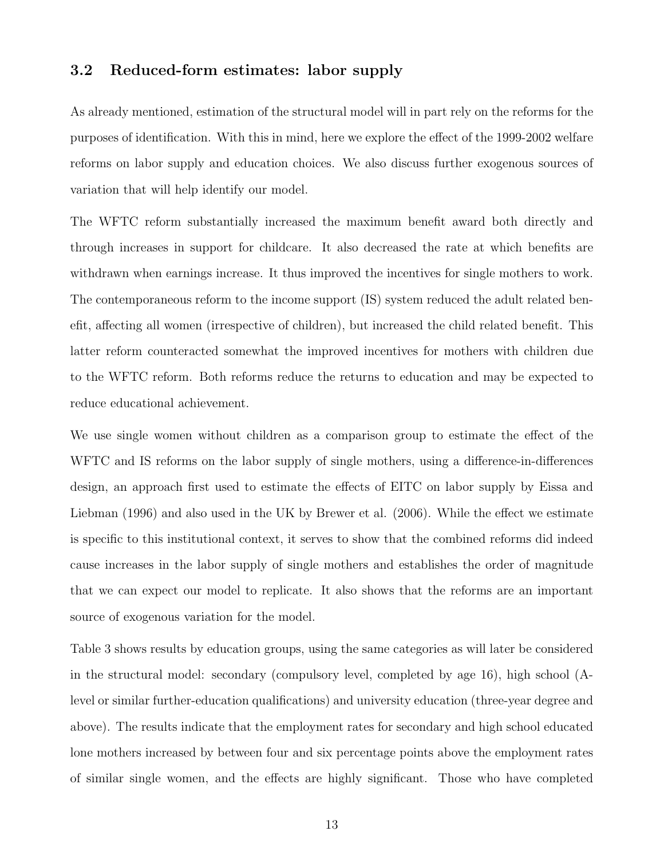#### 3.2 Reduced-form estimates: labor supply

As already mentioned, estimation of the structural model will in part rely on the reforms for the purposes of identification. With this in mind, here we explore the effect of the 1999-2002 welfare reforms on labor supply and education choices. We also discuss further exogenous sources of variation that will help identify our model.

The WFTC reform substantially increased the maximum benefit award both directly and through increases in support for childcare. It also decreased the rate at which benefits are withdrawn when earnings increase. It thus improved the incentives for single mothers to work. The contemporaneous reform to the income support (IS) system reduced the adult related benefit, affecting all women (irrespective of children), but increased the child related benefit. This latter reform counteracted somewhat the improved incentives for mothers with children due to the WFTC reform. Both reforms reduce the returns to education and may be expected to reduce educational achievement.

We use single women without children as a comparison group to estimate the effect of the WFTC and IS reforms on the labor supply of single mothers, using a difference-in-differences design, an approach first used to estimate the effects of EITC on labor supply by Eissa and Liebman (1996) and also used in the UK by Brewer et al. (2006). While the effect we estimate is specific to this institutional context, it serves to show that the combined reforms did indeed cause increases in the labor supply of single mothers and establishes the order of magnitude that we can expect our model to replicate. It also shows that the reforms are an important source of exogenous variation for the model.

Table 3 shows results by education groups, using the same categories as will later be considered in the structural model: secondary (compulsory level, completed by age 16), high school (Alevel or similar further-education qualifications) and university education (three-year degree and above). The results indicate that the employment rates for secondary and high school educated lone mothers increased by between four and six percentage points above the employment rates of similar single women, and the effects are highly significant. Those who have completed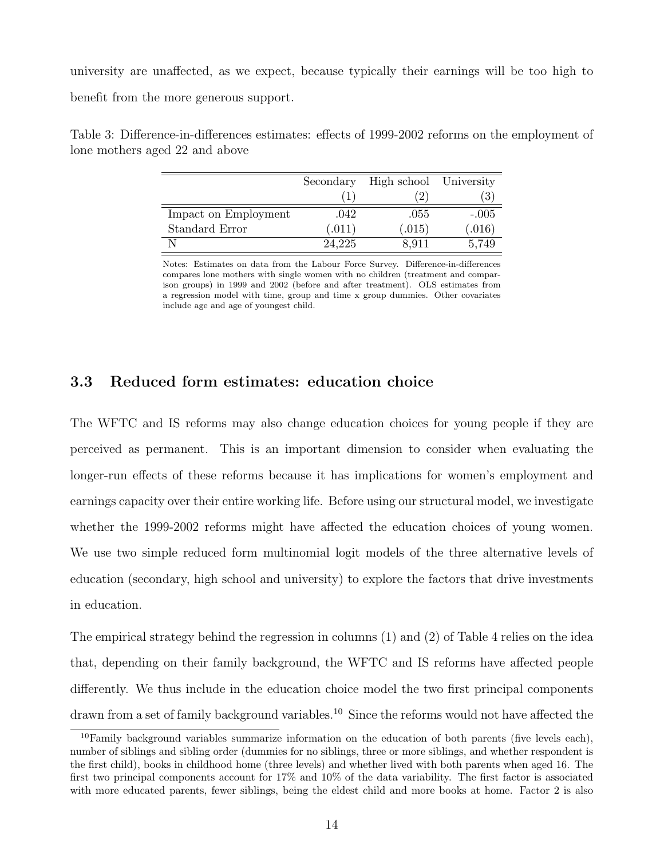university are unaffected, as we expect, because typically their earnings will be too high to benefit from the more generous support.

|                      | Secondary | High school University |         |
|----------------------|-----------|------------------------|---------|
|                      |           | $^{\prime}2)$          | ΄3      |
| Impact on Employment | .042      | .055                   | $-.005$ |
| Standard Error       | (.011)    | (.015)                 | (.016)  |
|                      | 24.225    | 8,911                  | 5,749   |

Table 3: Difference-in-differences estimates: effects of 1999-2002 reforms on the employment of lone mothers aged 22 and above

> Notes: Estimates on data from the Labour Force Survey. Difference-in-differences compares lone mothers with single women with no children (treatment and comparison groups) in 1999 and 2002 (before and after treatment). OLS estimates from a regression model with time, group and time x group dummies. Other covariates include age and age of youngest child.

### 3.3 Reduced form estimates: education choice

The WFTC and IS reforms may also change education choices for young people if they are perceived as permanent. This is an important dimension to consider when evaluating the longer-run effects of these reforms because it has implications for women's employment and earnings capacity over their entire working life. Before using our structural model, we investigate whether the 1999-2002 reforms might have affected the education choices of young women. We use two simple reduced form multinomial logit models of the three alternative levels of education (secondary, high school and university) to explore the factors that drive investments in education.

The empirical strategy behind the regression in columns (1) and (2) of Table 4 relies on the idea that, depending on their family background, the WFTC and IS reforms have affected people differently. We thus include in the education choice model the two first principal components drawn from a set of family background variables.<sup>10</sup> Since the reforms would not have affected the

<sup>&</sup>lt;sup>10</sup>Family background variables summarize information on the education of both parents (five levels each), number of siblings and sibling order (dummies for no siblings, three or more siblings, and whether respondent is the first child), books in childhood home (three levels) and whether lived with both parents when aged 16. The first two principal components account for 17% and 10% of the data variability. The first factor is associated with more educated parents, fewer siblings, being the eldest child and more books at home. Factor 2 is also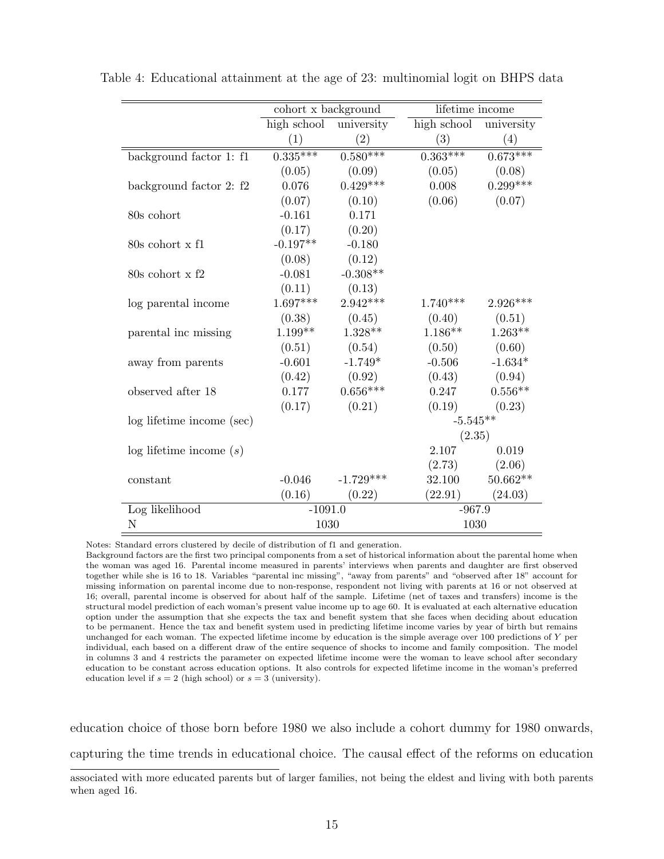|                             | cohort x background    |             | lifetime income |            |  |  |
|-----------------------------|------------------------|-------------|-----------------|------------|--|--|
|                             | high school university |             | high school     | university |  |  |
|                             | (1)                    | (2)         | (3)             | (4)        |  |  |
| background factor 1: f1     | $0.335***$             | $0.580***$  | $0.363***$      | $0.673***$ |  |  |
|                             | (0.05)                 | (0.09)      | (0.05)          | (0.08)     |  |  |
| background factor 2: f2     | 0.076                  | $0.429***$  | 0.008           | $0.299***$ |  |  |
|                             | (0.07)                 | (0.10)      | (0.06)          | (0.07)     |  |  |
| 80s cohort                  | $-0.161$               | 0.171       |                 |            |  |  |
|                             | (0.17)                 | (0.20)      |                 |            |  |  |
| 80s cohort x f1             | $-0.197**$             | $-0.180$    |                 |            |  |  |
|                             | (0.08)                 | (0.12)      |                 |            |  |  |
| 80s cohort x f2             | $-0.081$               | $-0.308**$  |                 |            |  |  |
|                             | (0.11)                 | (0.13)      |                 |            |  |  |
| log parental income         | $1.697***$             | $2.942***$  | $1.740***$      | $2.926***$ |  |  |
|                             | (0.38)                 | (0.45)      | (0.40)          | (0.51)     |  |  |
| parental inc missing        | $1.199**$              | $1.328**$   | $1.186**$       | $1.263**$  |  |  |
|                             | (0.51)                 | (0.54)      | (0.50)          | (0.60)     |  |  |
| away from parents           | $-0.601$               | $-1.749*$   | $-0.506$        | $-1.634*$  |  |  |
|                             | (0.42)                 | (0.92)      | (0.43)          | (0.94)     |  |  |
| observed after 18           | 0.177                  | $0.656***$  | 0.247           | $0.556**$  |  |  |
|                             | (0.17)                 | (0.21)      | (0.19)          | (0.23)     |  |  |
| log lifetime income (sec)   |                        |             |                 | $-5.545**$ |  |  |
|                             |                        |             | (2.35)          |            |  |  |
| $log$ lifetime income $(s)$ |                        |             | 2.107           | 0.019      |  |  |
|                             |                        |             | (2.73)          | (2.06)     |  |  |
| constant                    | $-0.046$               | $-1.729***$ | 32.100          | $50.662**$ |  |  |
|                             | (0.16)                 | (0.22)      | (22.91)         | (24.03)    |  |  |
| Log likelihood              | $-1091.0$              |             | $-967.9$        |            |  |  |
| N                           | 1030                   |             | 1030            |            |  |  |

Table 4: Educational attainment at the age of 23: multinomial logit on BHPS data

Notes: Standard errors clustered by decile of distribution of f1 and generation.

Background factors are the first two principal components from a set of historical information about the parental home when the woman was aged 16. Parental income measured in parents' interviews when parents and daughter are first observed together while she is 16 to 18. Variables "parental inc missing", "away from parents" and "observed after 18" account for missing information on parental income due to non-response, respondent not living with parents at 16 or not observed at 16; overall, parental income is observed for about half of the sample. Lifetime (net of taxes and transfers) income is the structural model prediction of each woman's present value income up to age 60. It is evaluated at each alternative education option under the assumption that she expects the tax and benefit system that she faces when deciding about education to be permanent. Hence the tax and benefit system used in predicting lifetime income varies by year of birth but remains unchanged for each woman. The expected lifetime income by education is the simple average over 100 predictions of Y per individual, each based on a different draw of the entire sequence of shocks to income and family composition. The model in columns 3 and 4 restricts the parameter on expected lifetime income were the woman to leave school after secondary education to be constant across education options. It also controls for expected lifetime income in the woman's preferred education level if  $s = 2$  (high school) or  $s = 3$  (university).

education choice of those born before 1980 we also include a cohort dummy for 1980 onwards,

capturing the time trends in educational choice. The causal effect of the reforms on education

associated with more educated parents but of larger families, not being the eldest and living with both parents when aged 16.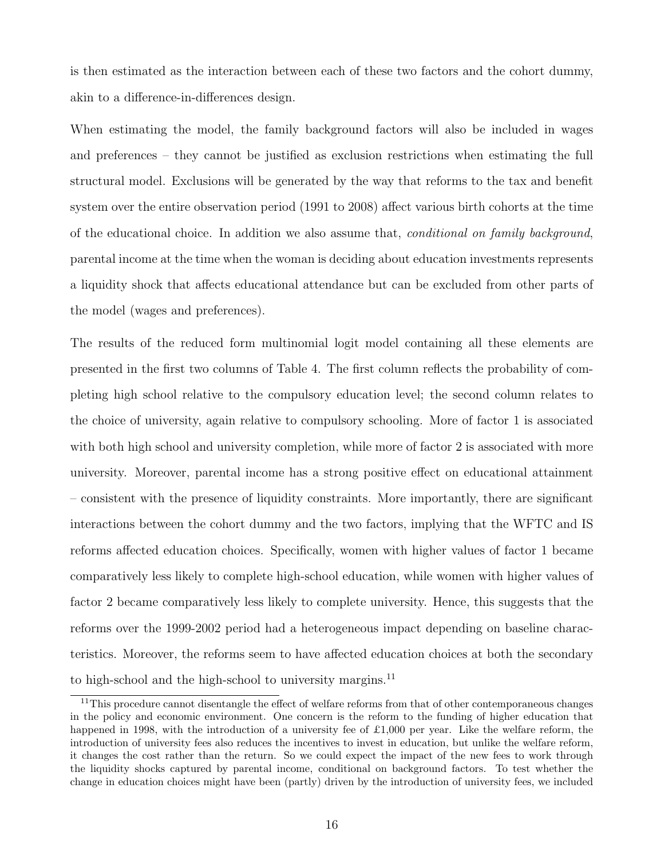is then estimated as the interaction between each of these two factors and the cohort dummy, akin to a difference-in-differences design.

When estimating the model, the family background factors will also be included in wages and preferences – they cannot be justified as exclusion restrictions when estimating the full structural model. Exclusions will be generated by the way that reforms to the tax and benefit system over the entire observation period (1991 to 2008) affect various birth cohorts at the time of the educational choice. In addition we also assume that, conditional on family background, parental income at the time when the woman is deciding about education investments represents a liquidity shock that affects educational attendance but can be excluded from other parts of the model (wages and preferences).

The results of the reduced form multinomial logit model containing all these elements are presented in the first two columns of Table 4. The first column reflects the probability of completing high school relative to the compulsory education level; the second column relates to the choice of university, again relative to compulsory schooling. More of factor 1 is associated with both high school and university completion, while more of factor 2 is associated with more university. Moreover, parental income has a strong positive effect on educational attainment – consistent with the presence of liquidity constraints. More importantly, there are significant interactions between the cohort dummy and the two factors, implying that the WFTC and IS reforms affected education choices. Specifically, women with higher values of factor 1 became comparatively less likely to complete high-school education, while women with higher values of factor 2 became comparatively less likely to complete university. Hence, this suggests that the reforms over the 1999-2002 period had a heterogeneous impact depending on baseline characteristics. Moreover, the reforms seem to have affected education choices at both the secondary to high-school and the high-school to university margins.<sup>11</sup>

<sup>&</sup>lt;sup>11</sup>This procedure cannot disentangle the effect of welfare reforms from that of other contemporaneous changes in the policy and economic environment. One concern is the reform to the funding of higher education that happened in 1998, with the introduction of a university fee of £1,000 per year. Like the welfare reform, the introduction of university fees also reduces the incentives to invest in education, but unlike the welfare reform, it changes the cost rather than the return. So we could expect the impact of the new fees to work through the liquidity shocks captured by parental income, conditional on background factors. To test whether the change in education choices might have been (partly) driven by the introduction of university fees, we included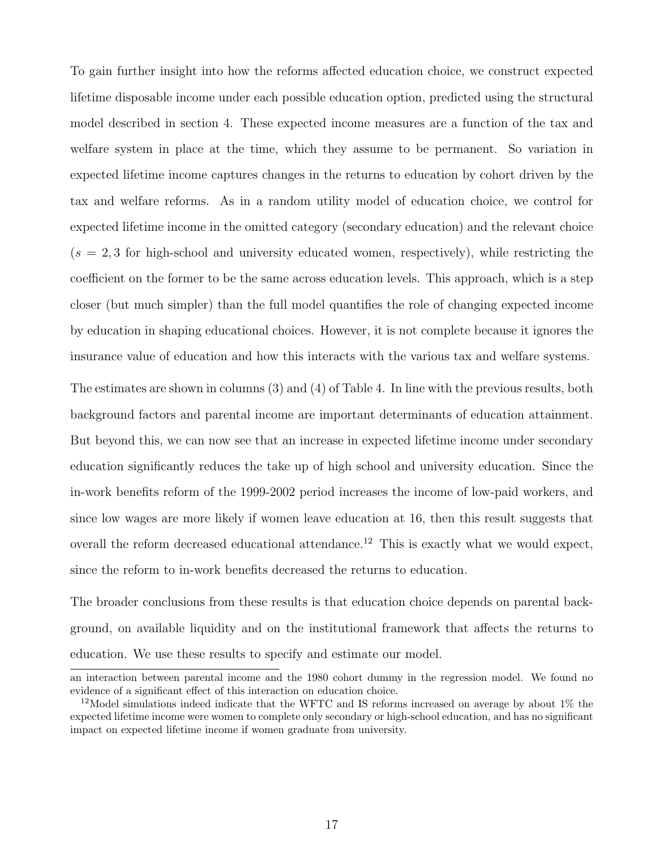To gain further insight into how the reforms affected education choice, we construct expected lifetime disposable income under each possible education option, predicted using the structural model described in section 4. These expected income measures are a function of the tax and welfare system in place at the time, which they assume to be permanent. So variation in expected lifetime income captures changes in the returns to education by cohort driven by the tax and welfare reforms. As in a random utility model of education choice, we control for expected lifetime income in the omitted category (secondary education) and the relevant choice  $(s = 2, 3$  for high-school and university educated women, respectively), while restricting the coefficient on the former to be the same across education levels. This approach, which is a step closer (but much simpler) than the full model quantifies the role of changing expected income by education in shaping educational choices. However, it is not complete because it ignores the insurance value of education and how this interacts with the various tax and welfare systems.

The estimates are shown in columns (3) and (4) of Table 4. In line with the previous results, both background factors and parental income are important determinants of education attainment. But beyond this, we can now see that an increase in expected lifetime income under secondary education significantly reduces the take up of high school and university education. Since the in-work benefits reform of the 1999-2002 period increases the income of low-paid workers, and since low wages are more likely if women leave education at 16, then this result suggests that overall the reform decreased educational attendance.<sup>12</sup> This is exactly what we would expect, since the reform to in-work benefits decreased the returns to education.

The broader conclusions from these results is that education choice depends on parental background, on available liquidity and on the institutional framework that affects the returns to education. We use these results to specify and estimate our model.

an interaction between parental income and the 1980 cohort dummy in the regression model. We found no evidence of a significant effect of this interaction on education choice.

<sup>&</sup>lt;sup>12</sup>Model simulations indeed indicate that the WFTC and IS reforms increased on average by about  $1\%$  the expected lifetime income were women to complete only secondary or high-school education, and has no significant impact on expected lifetime income if women graduate from university.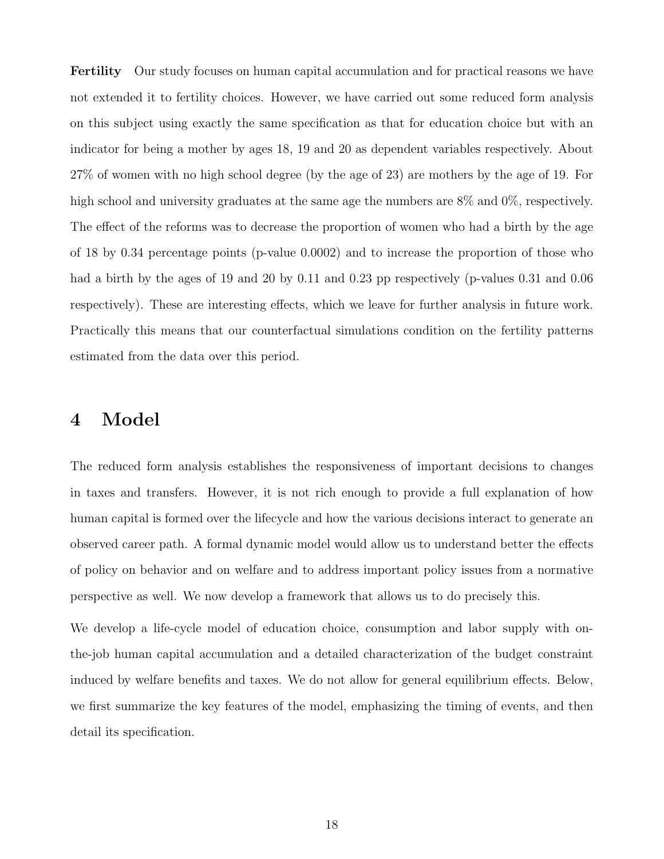Fertility Our study focuses on human capital accumulation and for practical reasons we have not extended it to fertility choices. However, we have carried out some reduced form analysis on this subject using exactly the same specification as that for education choice but with an indicator for being a mother by ages 18, 19 and 20 as dependent variables respectively. About 27% of women with no high school degree (by the age of 23) are mothers by the age of 19. For high school and university graduates at the same age the numbers are  $8\%$  and  $0\%$ , respectively. The effect of the reforms was to decrease the proportion of women who had a birth by the age of 18 by 0.34 percentage points (p-value 0.0002) and to increase the proportion of those who had a birth by the ages of 19 and 20 by 0.11 and 0.23 pp respectively (p-values 0.31 and 0.06 respectively). These are interesting effects, which we leave for further analysis in future work. Practically this means that our counterfactual simulations condition on the fertility patterns estimated from the data over this period.

## 4 Model

The reduced form analysis establishes the responsiveness of important decisions to changes in taxes and transfers. However, it is not rich enough to provide a full explanation of how human capital is formed over the lifecycle and how the various decisions interact to generate an observed career path. A formal dynamic model would allow us to understand better the effects of policy on behavior and on welfare and to address important policy issues from a normative perspective as well. We now develop a framework that allows us to do precisely this.

We develop a life-cycle model of education choice, consumption and labor supply with onthe-job human capital accumulation and a detailed characterization of the budget constraint induced by welfare benefits and taxes. We do not allow for general equilibrium effects. Below, we first summarize the key features of the model, emphasizing the timing of events, and then detail its specification.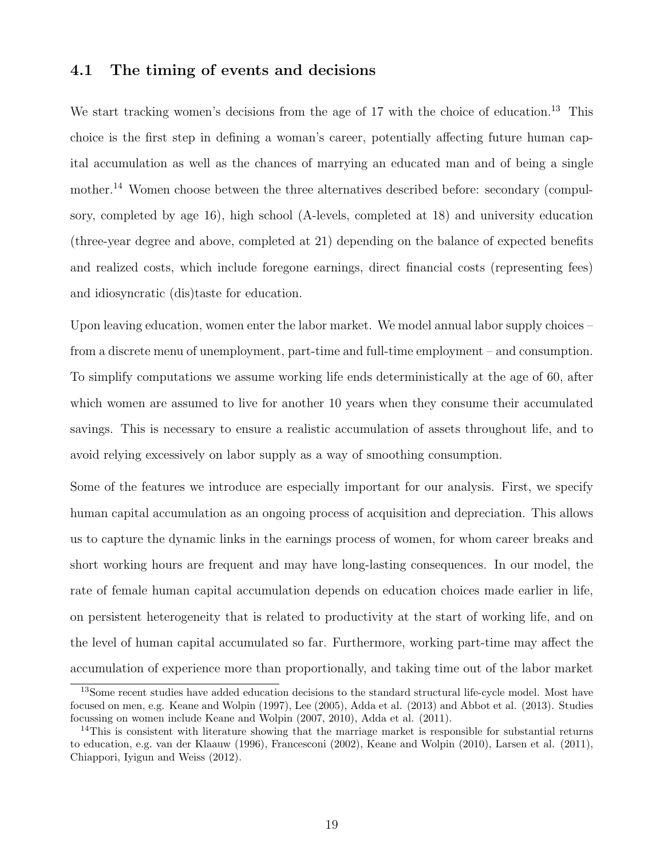#### 4.1 The timing of events and decisions

We start tracking women's decisions from the age of 17 with the choice of education.<sup>13</sup> This choice is the first step in defining a woman's career, potentially affecting future human capital accumulation as well as the chances of marrying an educated man and of being a single mother.<sup>14</sup> Women choose between the three alternatives described before: secondary (compulsory, completed by age 16), high school (A-levels, completed at 18) and university education (three-year degree and above, completed at 21) depending on the balance of expected benefits and realized costs, which include foregone earnings, direct financial costs (representing fees) and idiosyncratic (dis)taste for education.

Upon leaving education, women enter the labor market. We model annual labor supply choices – from a discrete menu of unemployment, part-time and full-time employment – and consumption. To simplify computations we assume working life ends deterministically at the age of 60, after which women are assumed to live for another 10 years when they consume their accumulated savings. This is necessary to ensure a realistic accumulation of assets throughout life, and to avoid relying excessively on labor supply as a way of smoothing consumption.

Some of the features we introduce are especially important for our analysis. First, we specify human capital accumulation as an ongoing process of acquisition and depreciation. This allows us to capture the dynamic links in the earnings process of women, for whom career breaks and short working hours are frequent and may have long-lasting consequences. In our model, the rate of female human capital accumulation depends on education choices made earlier in life, on persistent heterogeneity that is related to productivity at the start of working life, and on the level of human capital accumulated so far. Furthermore, working part-time may affect the accumulation of experience more than proportionally, and taking time out of the labor market

<sup>&</sup>lt;sup>13</sup>Some recent studies have added education decisions to the standard structural life-cycle model. Most have focused on men, e.g. Keane and Wolpin (1997), Lee (2005), Adda et al. (2013) and Abbot et al. (2013). Studies focussing on women include Keane and Wolpin (2007, 2010), Adda et al. (2011).

<sup>&</sup>lt;sup>14</sup>This is consistent with literature showing that the marriage market is responsible for substantial returns to education, e.g. van der Klaauw (1996), Francesconi (2002), Keane and Wolpin (2010), Larsen et al. (2011), Chiappori, Iyigun and Weiss (2012).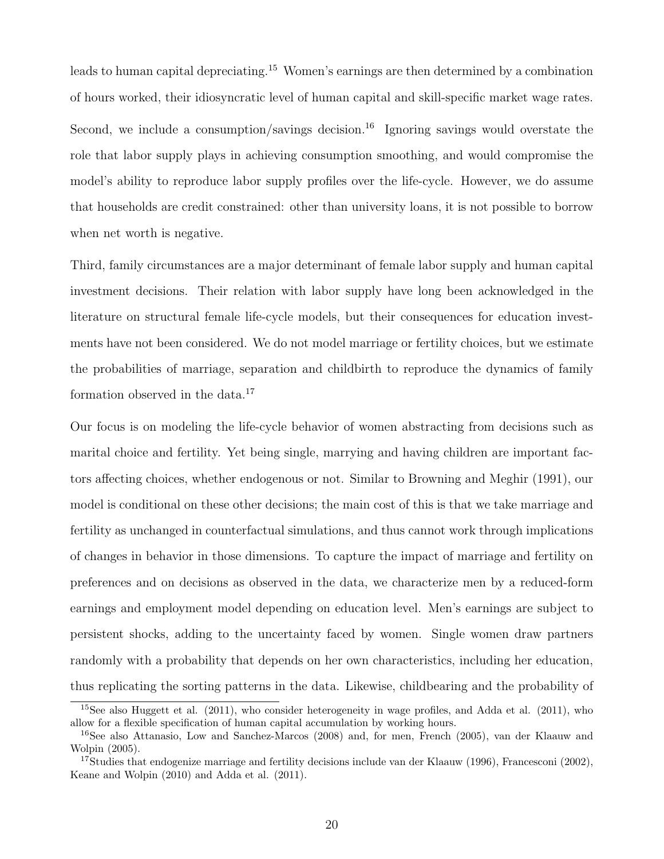leads to human capital depreciating.<sup>15</sup> Women's earnings are then determined by a combination of hours worked, their idiosyncratic level of human capital and skill-specific market wage rates. Second, we include a consumption/savings decision.<sup>16</sup> Ignoring savings would overstate the role that labor supply plays in achieving consumption smoothing, and would compromise the model's ability to reproduce labor supply profiles over the life-cycle. However, we do assume that households are credit constrained: other than university loans, it is not possible to borrow when net worth is negative.

Third, family circumstances are a major determinant of female labor supply and human capital investment decisions. Their relation with labor supply have long been acknowledged in the literature on structural female life-cycle models, but their consequences for education investments have not been considered. We do not model marriage or fertility choices, but we estimate the probabilities of marriage, separation and childbirth to reproduce the dynamics of family formation observed in the data.<sup>17</sup>

Our focus is on modeling the life-cycle behavior of women abstracting from decisions such as marital choice and fertility. Yet being single, marrying and having children are important factors affecting choices, whether endogenous or not. Similar to Browning and Meghir (1991), our model is conditional on these other decisions; the main cost of this is that we take marriage and fertility as unchanged in counterfactual simulations, and thus cannot work through implications of changes in behavior in those dimensions. To capture the impact of marriage and fertility on preferences and on decisions as observed in the data, we characterize men by a reduced-form earnings and employment model depending on education level. Men's earnings are subject to persistent shocks, adding to the uncertainty faced by women. Single women draw partners randomly with a probability that depends on her own characteristics, including her education, thus replicating the sorting patterns in the data. Likewise, childbearing and the probability of

<sup>15</sup>See also Huggett et al. (2011), who consider heterogeneity in wage profiles, and Adda et al. (2011), who allow for a flexible specification of human capital accumulation by working hours.

<sup>16</sup>See also Attanasio, Low and Sanchez-Marcos (2008) and, for men, French (2005), van der Klaauw and Wolpin (2005).

<sup>&</sup>lt;sup>17</sup>Studies that endogenize marriage and fertility decisions include van der Klaauw (1996), Francesconi (2002), Keane and Wolpin (2010) and Adda et al. (2011).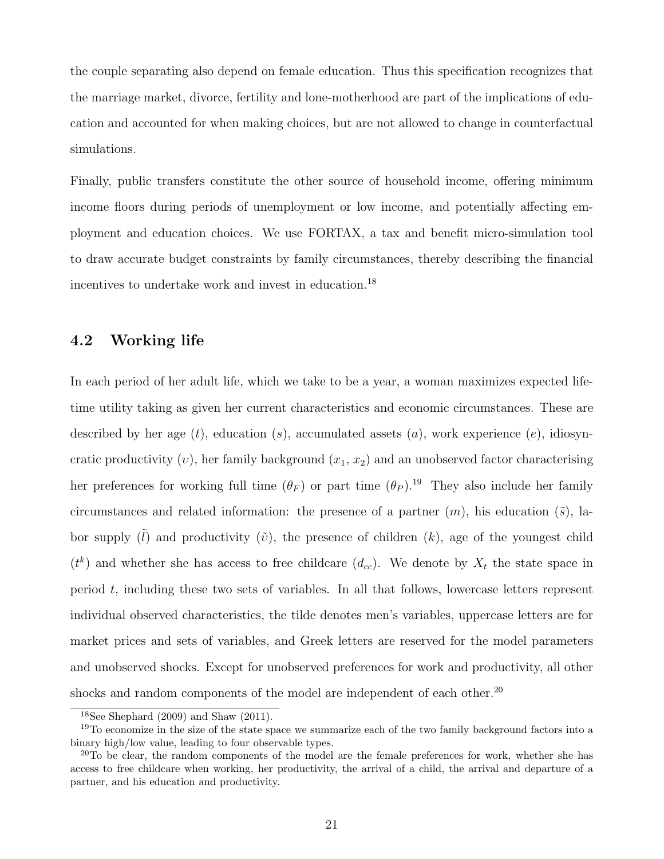the couple separating also depend on female education. Thus this specification recognizes that the marriage market, divorce, fertility and lone-motherhood are part of the implications of education and accounted for when making choices, but are not allowed to change in counterfactual simulations.

Finally, public transfers constitute the other source of household income, offering minimum income floors during periods of unemployment or low income, and potentially affecting employment and education choices. We use FORTAX, a tax and benefit micro-simulation tool to draw accurate budget constraints by family circumstances, thereby describing the financial incentives to undertake work and invest in education.<sup>18</sup>

#### 4.2 Working life

In each period of her adult life, which we take to be a year, a woman maximizes expected lifetime utility taking as given her current characteristics and economic circumstances. These are described by her age  $(t)$ , education  $(s)$ , accumulated assets  $(a)$ , work experience  $(e)$ , idiosyncratic productivity  $(v)$ , her family background  $(x_1, x_2)$  and an unobserved factor characterising her preferences for working full time  $(\theta_F)$  or part time  $(\theta_P)$ .<sup>19</sup> They also include her family circumstances and related information: the presence of a partner  $(m)$ , his education  $(\tilde{s})$ , labor supply  $(\tilde{l})$  and productivity  $(\tilde{v})$ , the presence of children  $(k)$ , age of the youngest child  $(t^k)$  and whether she has access to free childcare  $(d_{cc})$ . We denote by  $X_t$  the state space in period t, including these two sets of variables. In all that follows, lowercase letters represent individual observed characteristics, the tilde denotes men's variables, uppercase letters are for market prices and sets of variables, and Greek letters are reserved for the model parameters and unobserved shocks. Except for unobserved preferences for work and productivity, all other shocks and random components of the model are independent of each other.<sup>20</sup>

<sup>&</sup>lt;sup>18</sup>See Shephard (2009) and Shaw (2011).

<sup>&</sup>lt;sup>19</sup>To economize in the size of the state space we summarize each of the two family background factors into a binary high/low value, leading to four observable types.

 $^{20}$ To be clear, the random components of the model are the female preferences for work, whether she has access to free childcare when working, her productivity, the arrival of a child, the arrival and departure of a partner, and his education and productivity.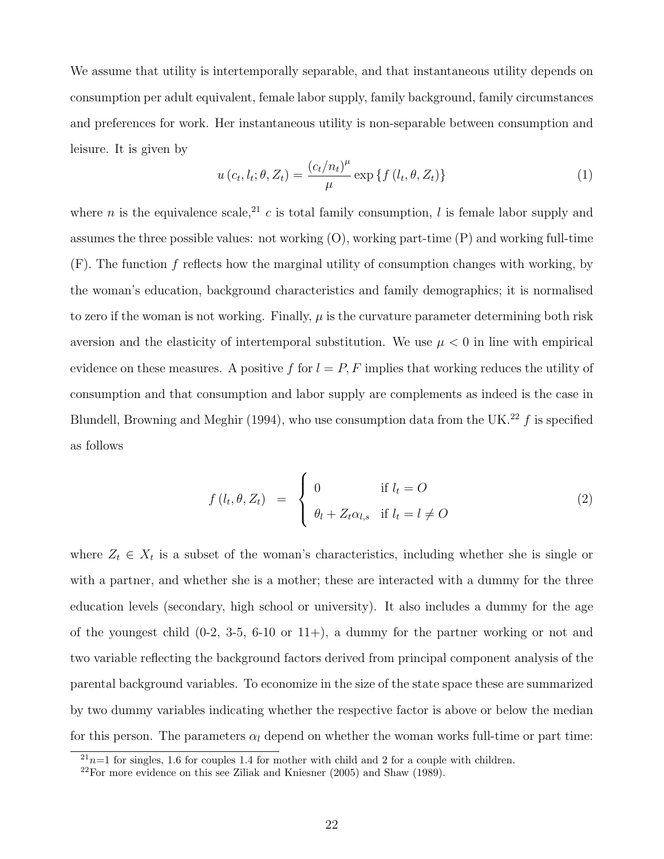We assume that utility is intertemporally separable, and that instantaneous utility depends on consumption per adult equivalent, female labor supply, family background, family circumstances and preferences for work. Her instantaneous utility is non-separable between consumption and leisure. It is given by

$$
u\left(c_{t}, l_{t}; \theta, Z_{t}\right) = \frac{\left(c_{t}/n_{t}\right)^{\mu}}{\mu} \exp\left\{f\left(l_{t}, \theta, Z_{t}\right)\right\}
$$
(1)

where n is the equivalence scale,<sup>21</sup> c is total family consumption, l is female labor supply and assumes the three possible values: not working  $(O)$ , working part-time  $(P)$  and working full-time  $(F)$ . The function f reflects how the marginal utility of consumption changes with working, by the woman's education, background characteristics and family demographics; it is normalised to zero if the woman is not working. Finally,  $\mu$  is the curvature parameter determining both risk aversion and the elasticity of intertemporal substitution. We use  $\mu < 0$  in line with empirical evidence on these measures. A positive f for  $l = P, F$  implies that working reduces the utility of consumption and that consumption and labor supply are complements as indeed is the case in Blundell, Browning and Meghir (1994), who use consumption data from the UK.<sup>22</sup> f is specified as follows

$$
f(l_t, \theta, Z_t) = \begin{cases} 0 & \text{if } l_t = O \\ \theta_l + Z_t \alpha_{l,s} & \text{if } l_t = l \neq O \end{cases}
$$
 (2)

where  $Z_t \in X_t$  is a subset of the woman's characteristics, including whether she is single or with a partner, and whether she is a mother; these are interacted with a dummy for the three education levels (secondary, high school or university). It also includes a dummy for the age of the youngest child  $(0-2, 3-5, 6-10)$  or  $(1+1)$ , a dummy for the partner working or not and two variable reflecting the background factors derived from principal component analysis of the parental background variables. To economize in the size of the state space these are summarized by two dummy variables indicating whether the respective factor is above or below the median for this person. The parameters  $\alpha_l$  depend on whether the woman works full-time or part time:

 $^{21}n=1$  for singles, 1.6 for couples 1.4 for mother with child and 2 for a couple with children.

 $^{22}$ For more evidence on this see Ziliak and Kniesner (2005) and Shaw (1989).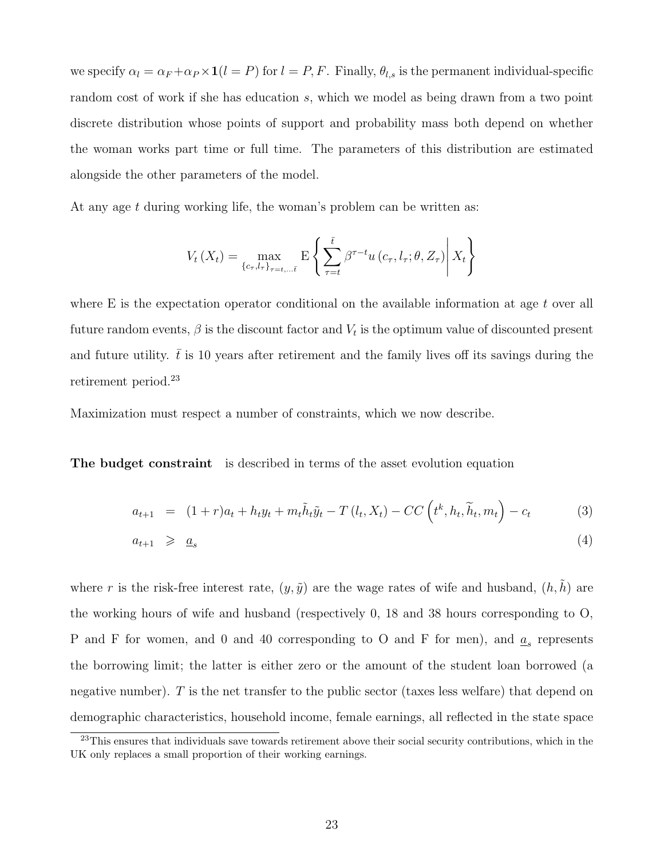we specify  $\alpha_l = \alpha_F + \alpha_P \times \mathbf{1}(l = P)$  for  $l = P, F$ . Finally,  $\theta_{l,s}$  is the permanent individual-specific random cost of work if she has education s, which we model as being drawn from a two point discrete distribution whose points of support and probability mass both depend on whether the woman works part time or full time. The parameters of this distribution are estimated alongside the other parameters of the model.

At any age t during working life, the woman's problem can be written as:

$$
V_t(X_t) = \max_{\{c_\tau, l_\tau\}_{\tau=t,...\bar{t}}} \mathbb{E}\left\{\sum_{\tau=t}^{\bar{t}} \beta^{\tau-t} u\left(c_\tau, l_\tau; \theta, Z_\tau\right) \middle| X_t\right\}
$$

where E is the expectation operator conditional on the available information at age  $t$  over all future random events,  $\beta$  is the discount factor and  $V_t$  is the optimum value of discounted present and future utility.  $\bar{t}$  is 10 years after retirement and the family lives off its savings during the retirement period.<sup>23</sup>

Maximization must respect a number of constraints, which we now describe.

The budget constraint is described in terms of the asset evolution equation

$$
a_{t+1} = (1+r)a_t + h_t y_t + m_t \tilde{h}_t \tilde{y}_t - T(l_t, X_t) - CC\left(t^k, h_t, \tilde{h}_t, m_t\right) - c_t \tag{3}
$$

$$
a_{t+1} \geqslant a_s \tag{4}
$$

where r is the risk-free interest rate,  $(y, \tilde{y})$  are the wage rates of wife and husband,  $(h, \tilde{h})$  are the working hours of wife and husband (respectively 0, 18 and 38 hours corresponding to O, P and F for women, and 0 and 40 corresponding to O and F for men), and  $\underline{a}_s$  represents the borrowing limit; the latter is either zero or the amount of the student loan borrowed (a negative number). T is the net transfer to the public sector (taxes less welfare) that depend on demographic characteristics, household income, female earnings, all reflected in the state space

<sup>&</sup>lt;sup>23</sup>This ensures that individuals save towards retirement above their social security contributions, which in the UK only replaces a small proportion of their working earnings.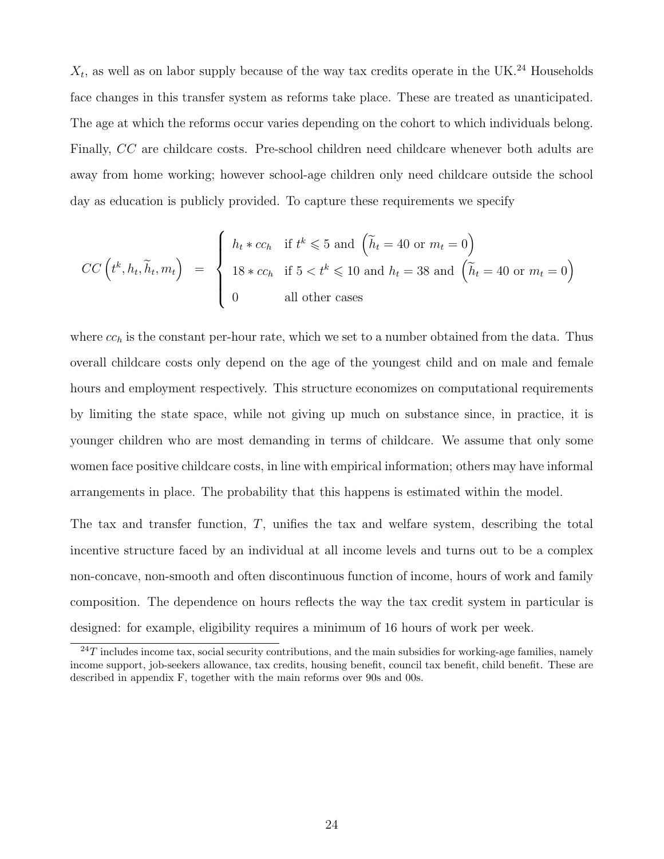$X_t$ , as well as on labor supply because of the way tax credits operate in the UK.<sup>24</sup> Households face changes in this transfer system as reforms take place. These are treated as unanticipated. The age at which the reforms occur varies depending on the cohort to which individuals belong. Finally, CC are childcare costs. Pre-school children need childcare whenever both adults are away from home working; however school-age children only need childcare outside the school day as education is publicly provided. To capture these requirements we specify

$$
CC\left(t^k, h_t, \widetilde{h}_t, m_t\right) = \begin{cases} h_t * cc_h & \text{if } t^k \leq 5 \text{ and } \left(\widetilde{h}_t = 40 \text{ or } m_t = 0\right) \\ 18 * cc_h & \text{if } 5 < t^k \leq 10 \text{ and } h_t = 38 \text{ and } \left(\widetilde{h}_t = 40 \text{ or } m_t = 0\right) \\ 0 & \text{all other cases} \end{cases}
$$

where  $cc_h$  is the constant per-hour rate, which we set to a number obtained from the data. Thus overall childcare costs only depend on the age of the youngest child and on male and female hours and employment respectively. This structure economizes on computational requirements by limiting the state space, while not giving up much on substance since, in practice, it is younger children who are most demanding in terms of childcare. We assume that only some women face positive childcare costs, in line with empirical information; others may have informal arrangements in place. The probability that this happens is estimated within the model.

The tax and transfer function, T, unifies the tax and welfare system, describing the total incentive structure faced by an individual at all income levels and turns out to be a complex non-concave, non-smooth and often discontinuous function of income, hours of work and family composition. The dependence on hours reflects the way the tax credit system in particular is designed: for example, eligibility requires a minimum of 16 hours of work per week.

 $^{24}T$  includes income tax, social security contributions, and the main subsidies for working-age families, namely income support, job-seekers allowance, tax credits, housing benefit, council tax benefit, child benefit. These are described in appendix F, together with the main reforms over 90s and 00s.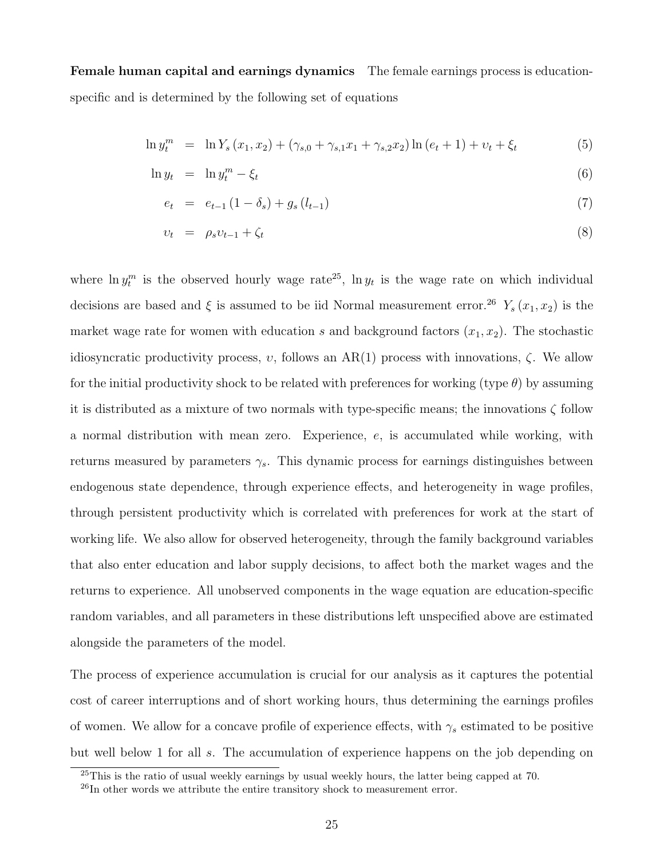Female human capital and earnings dynamics The female earnings process is educationspecific and is determined by the following set of equations

$$
\ln y_t^m = \ln Y_s(x_1, x_2) + (\gamma_{s,0} + \gamma_{s,1}x_1 + \gamma_{s,2}x_2) \ln(e_t + 1) + \nu_t + \xi_t \tag{5}
$$

$$
\ln y_t = \ln y_t^m - \xi_t \tag{6}
$$

$$
e_{t} = e_{t-1} (1 - \delta_{s}) + g_{s} (l_{t-1}) \tag{7}
$$

$$
v_t = \rho_s v_{t-1} + \zeta_t \tag{8}
$$

where  $\ln y_t^m$  is the observed hourly wage rate<sup>25</sup>,  $\ln y_t$  is the wage rate on which individual decisions are based and  $\xi$  is assumed to be iid Normal measurement error.<sup>26</sup>  $Y_s(x_1, x_2)$  is the market wage rate for women with education s and background factors  $(x_1, x_2)$ . The stochastic idiosyncratic productivity process,  $v$ , follows an AR(1) process with innovations,  $\zeta$ . We allow for the initial productivity shock to be related with preferences for working (type  $\theta$ ) by assuming it is distributed as a mixture of two normals with type-specific means; the innovations  $\zeta$  follow a normal distribution with mean zero. Experience, e, is accumulated while working, with returns measured by parameters  $\gamma_s$ . This dynamic process for earnings distinguishes between endogenous state dependence, through experience effects, and heterogeneity in wage profiles, through persistent productivity which is correlated with preferences for work at the start of working life. We also allow for observed heterogeneity, through the family background variables that also enter education and labor supply decisions, to affect both the market wages and the returns to experience. All unobserved components in the wage equation are education-specific random variables, and all parameters in these distributions left unspecified above are estimated alongside the parameters of the model.

The process of experience accumulation is crucial for our analysis as it captures the potential cost of career interruptions and of short working hours, thus determining the earnings profiles of women. We allow for a concave profile of experience effects, with  $\gamma_s$  estimated to be positive but well below 1 for all s. The accumulation of experience happens on the job depending on

<sup>&</sup>lt;sup>25</sup>This is the ratio of usual weekly earnings by usual weekly hours, the latter being capped at 70.

<sup>26</sup>In other words we attribute the entire transitory shock to measurement error.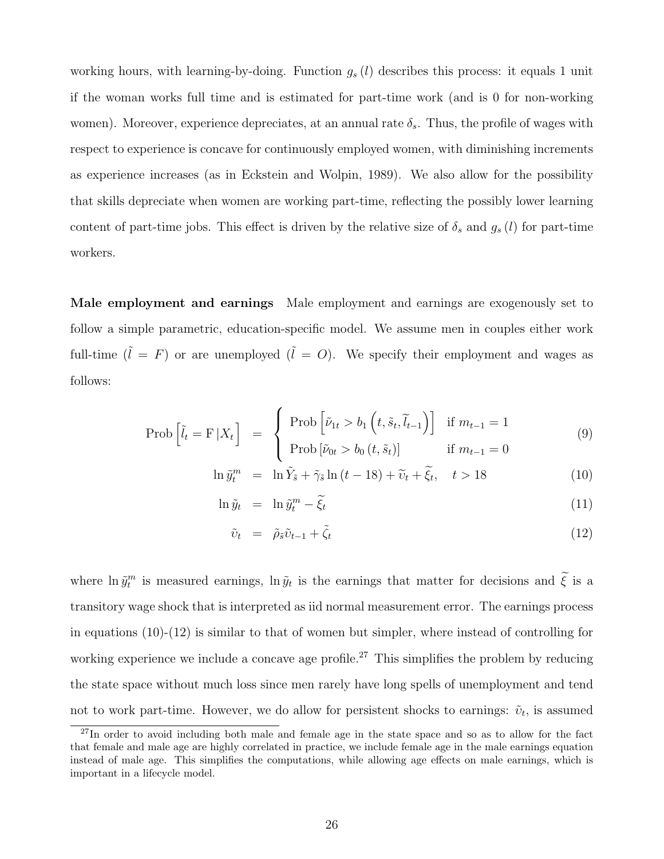working hours, with learning-by-doing. Function  $g_s(l)$  describes this process: it equals 1 unit if the woman works full time and is estimated for part-time work (and is 0 for non-working women). Moreover, experience depreciates, at an annual rate  $\delta_s$ . Thus, the profile of wages with respect to experience is concave for continuously employed women, with diminishing increments as experience increases (as in Eckstein and Wolpin, 1989). We also allow for the possibility that skills depreciate when women are working part-time, reflecting the possibly lower learning content of part-time jobs. This effect is driven by the relative size of  $\delta_s$  and  $g_s(l)$  for part-time workers.

Male employment and earnings Male employment and earnings are exogenously set to follow a simple parametric, education-specific model. We assume men in couples either work full-time  $(\tilde{l} = F)$  or are unemployed  $(\tilde{l} = O)$ . We specify their employment and wages as follows:

$$
\text{Prob}\left[\tilde{l}_t = \mathcal{F} | X_t\right] = \begin{cases} \text{Prob}\left[\tilde{\nu}_{1t} > b_1\left(t, \tilde{s}_t, \tilde{l}_{t-1}\right)\right] & \text{if } m_{t-1} = 1\\ \text{Prob}\left[\tilde{\nu}_{0t} > b_0\left(t, \tilde{s}_t\right)\right] & \text{if } m_{t-1} = 0 \end{cases}
$$
\n(9)

$$
\ln \tilde{y}_t^m = \ln \tilde{Y}_{\tilde{s}} + \tilde{\gamma}_{\tilde{s}} \ln (t - 18) + \tilde{v}_t + \tilde{\xi}_t, \quad t > 18 \tag{10}
$$

$$
\ln \tilde{y}_t = \ln \tilde{y}_t^m - \tilde{\xi}_t \tag{11}
$$

$$
\tilde{v}_t = \tilde{\rho}_{\tilde{s}} \tilde{v}_{t-1} + \tilde{\zeta}_t \tag{12}
$$

where  $\ln \tilde{y}_t^m$  is measured earnings,  $\ln \tilde{y}_t$  is the earnings that matter for decisions and  $\zeta$  is a transitory wage shock that is interpreted as iid normal measurement error. The earnings process in equations  $(10)-(12)$  is similar to that of women but simpler, where instead of controlling for working experience we include a concave age profile.<sup>27</sup> This simplifies the problem by reducing the state space without much loss since men rarely have long spells of unemployment and tend not to work part-time. However, we do allow for persistent shocks to earnings:  $\tilde{v}_t$ , is assumed

 $27$ In order to avoid including both male and female age in the state space and so as to allow for the fact that female and male age are highly correlated in practice, we include female age in the male earnings equation instead of male age. This simplifies the computations, while allowing age effects on male earnings, which is important in a lifecycle model.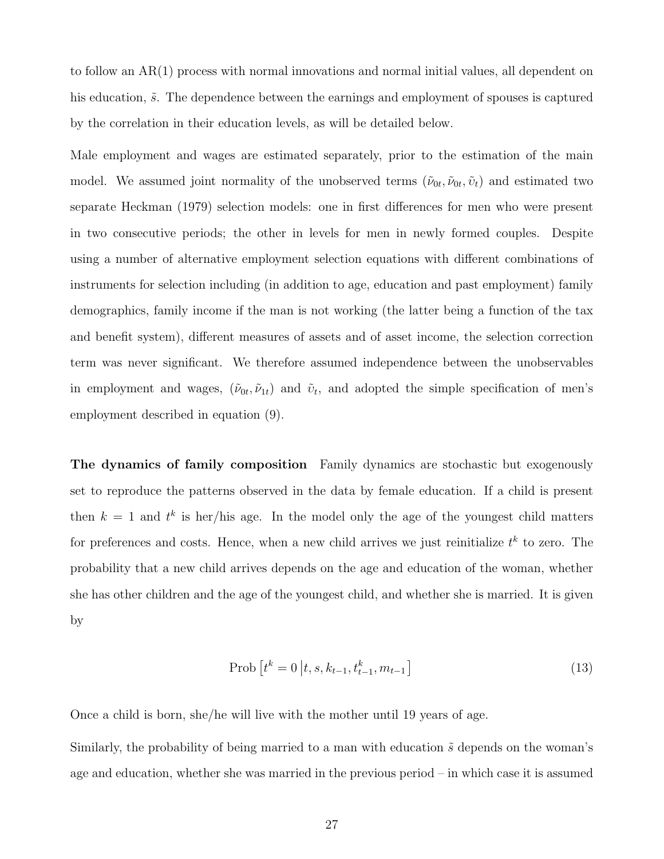to follow an AR(1) process with normal innovations and normal initial values, all dependent on his education,  $\tilde{s}$ . The dependence between the earnings and employment of spouses is captured by the correlation in their education levels, as will be detailed below.

Male employment and wages are estimated separately, prior to the estimation of the main model. We assumed joint normality of the unobserved terms  $(\tilde{\nu}_{0t}, \tilde{\nu}_{0t}, \tilde{\nu}_t)$  and estimated two separate Heckman (1979) selection models: one in first differences for men who were present in two consecutive periods; the other in levels for men in newly formed couples. Despite using a number of alternative employment selection equations with different combinations of instruments for selection including (in addition to age, education and past employment) family demographics, family income if the man is not working (the latter being a function of the tax and benefit system), different measures of assets and of asset income, the selection correction term was never significant. We therefore assumed independence between the unobservables in employment and wages,  $(\tilde{\nu}_{0t}, \tilde{\nu}_{1t})$  and  $\tilde{\nu}_t$ , and adopted the simple specification of men's employment described in equation (9).

The dynamics of family composition Family dynamics are stochastic but exogenously set to reproduce the patterns observed in the data by female education. If a child is present then  $k = 1$  and  $t^k$  is her/his age. In the model only the age of the youngest child matters for preferences and costs. Hence, when a new child arrives we just reinitialize  $t^k$  to zero. The probability that a new child arrives depends on the age and education of the woman, whether she has other children and the age of the youngest child, and whether she is married. It is given by

$$
Prob[tk = 0 | t, s, kt-1, tkt-1, mt-1]
$$
\n(13)

Once a child is born, she/he will live with the mother until 19 years of age.

Similarly, the probability of being married to a man with education  $\tilde{s}$  depends on the woman's age and education, whether she was married in the previous period – in which case it is assumed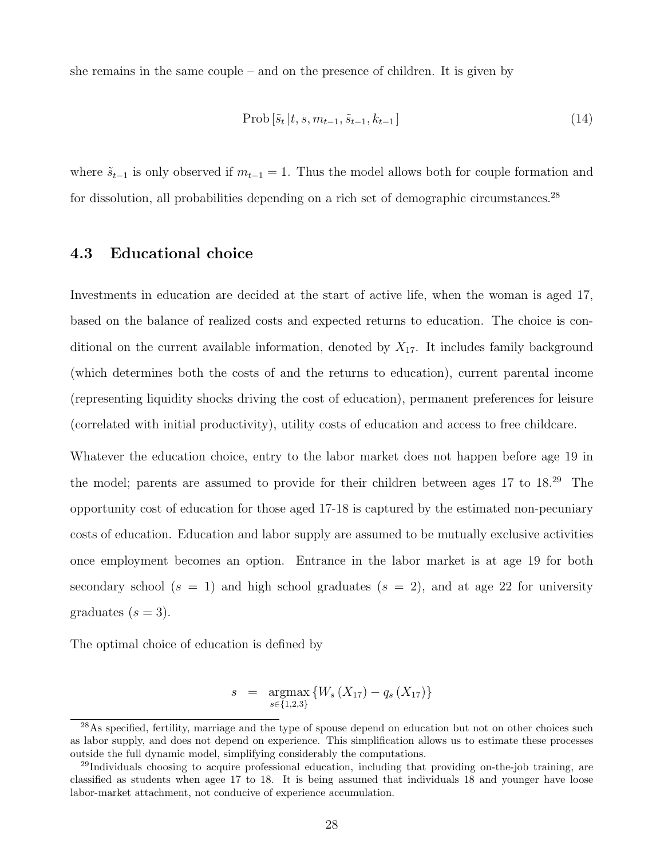she remains in the same couple – and on the presence of children. It is given by

$$
\text{Prob}\left[\tilde{s}_t \left| t, s, m_{t-1}, \tilde{s}_{t-1}, k_{t-1}\right.\right] \tag{14}
$$

where  $\tilde{s}_{t-1}$  is only observed if  $m_{t-1} = 1$ . Thus the model allows both for couple formation and for dissolution, all probabilities depending on a rich set of demographic circumstances.<sup>28</sup>

#### 4.3 Educational choice

Investments in education are decided at the start of active life, when the woman is aged 17, based on the balance of realized costs and expected returns to education. The choice is conditional on the current available information, denoted by  $X_{17}$ . It includes family background (which determines both the costs of and the returns to education), current parental income (representing liquidity shocks driving the cost of education), permanent preferences for leisure (correlated with initial productivity), utility costs of education and access to free childcare.

Whatever the education choice, entry to the labor market does not happen before age 19 in the model; parents are assumed to provide for their children between ages 17 to 18.<sup>29</sup> The opportunity cost of education for those aged 17-18 is captured by the estimated non-pecuniary costs of education. Education and labor supply are assumed to be mutually exclusive activities once employment becomes an option. Entrance in the labor market is at age 19 for both secondary school  $(s = 1)$  and high school graduates  $(s = 2)$ , and at age 22 for university graduates ( $s = 3$ ).

The optimal choice of education is defined by

$$
s = \underset{s \in \{1,2,3\}}{\text{argmax}} \{ W_s \left( X_{17} \right) - q_s \left( X_{17} \right) \}
$$

<sup>&</sup>lt;sup>28</sup>As specified, fertility, marriage and the type of spouse depend on education but not on other choices such as labor supply, and does not depend on experience. This simplification allows us to estimate these processes outside the full dynamic model, simplifying considerably the computations.

<sup>&</sup>lt;sup>29</sup>Individuals choosing to acquire professional education, including that providing on-the-job training, are classified as students when agee 17 to 18. It is being assumed that individuals 18 and younger have loose labor-market attachment, not conducive of experience accumulation.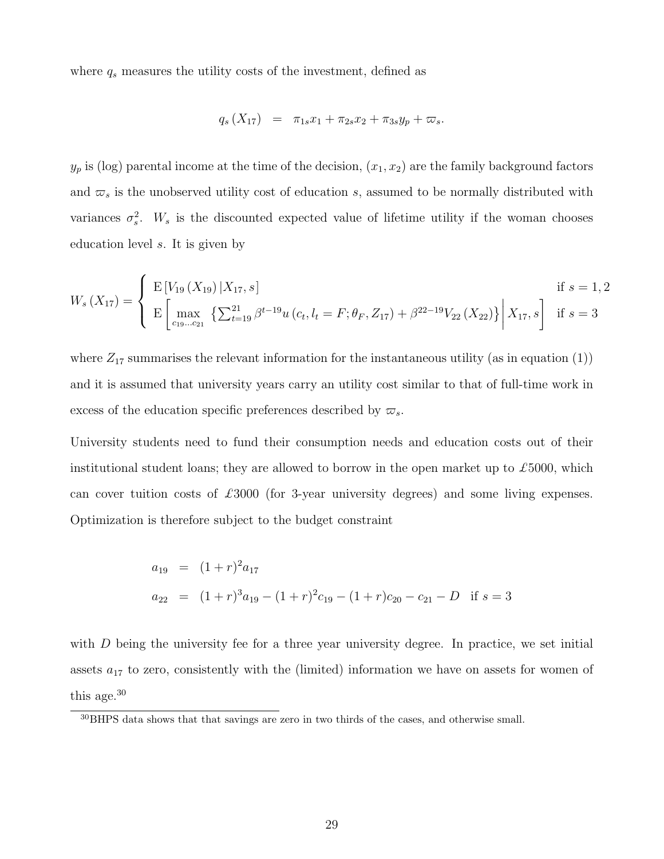where  $q_s$  measures the utility costs of the investment, defined as

$$
q_s(X_{17}) = \pi_{1s}x_1 + \pi_{2s}x_2 + \pi_{3s}y_p + \varpi_s.
$$

 $y_p$  is (log) parental income at the time of the decision,  $(x_1, x_2)$  are the family background factors and  $\varpi_s$  is the unobserved utility cost of education s, assumed to be normally distributed with variances  $\sigma_s^2$ . W<sub>s</sub> is the discounted expected value of lifetime utility if the woman chooses education level s. It is given by

$$
W_s(X_{17}) = \begin{cases} \mathbf{E}\left[V_{19}\left(X_{19}\right)|X_{17},s\right] & \text{if } s = 1,2\\ \mathbf{E}\left[\max_{c_{19}\ldots c_{21}}\left\{\sum_{t=19}^{21}\beta^{t-19}u\left(c_t,l_t = F;\theta_F,Z_{17}\right)+\beta^{22-19}V_{22}\left(X_{22}\right)\right\}\bigg|\,X_{17},s\right] & \text{if } s = 3 \end{cases}
$$

where  $Z_{17}$  summarises the relevant information for the instantaneous utility (as in equation (1)) and it is assumed that university years carry an utility cost similar to that of full-time work in excess of the education specific preferences described by  $\varpi_s$ .

University students need to fund their consumption needs and education costs out of their institutional student loans; they are allowed to borrow in the open market up to  $\pounds$ 5000, which can cover tuition costs of  $\pounds 3000$  (for 3-year university degrees) and some living expenses. Optimization is therefore subject to the budget constraint

$$
a_{19} = (1+r)^2 a_{17}
$$
  
\n
$$
a_{22} = (1+r)^3 a_{19} - (1+r)^2 c_{19} - (1+r) c_{20} - c_{21} - D \text{ if } s = 3
$$

with D being the university fee for a three year university degree. In practice, we set initial assets  $a_{17}$  to zero, consistently with the (limited) information we have on assets for women of this age.<sup>30</sup>

<sup>30</sup>BHPS data shows that that savings are zero in two thirds of the cases, and otherwise small.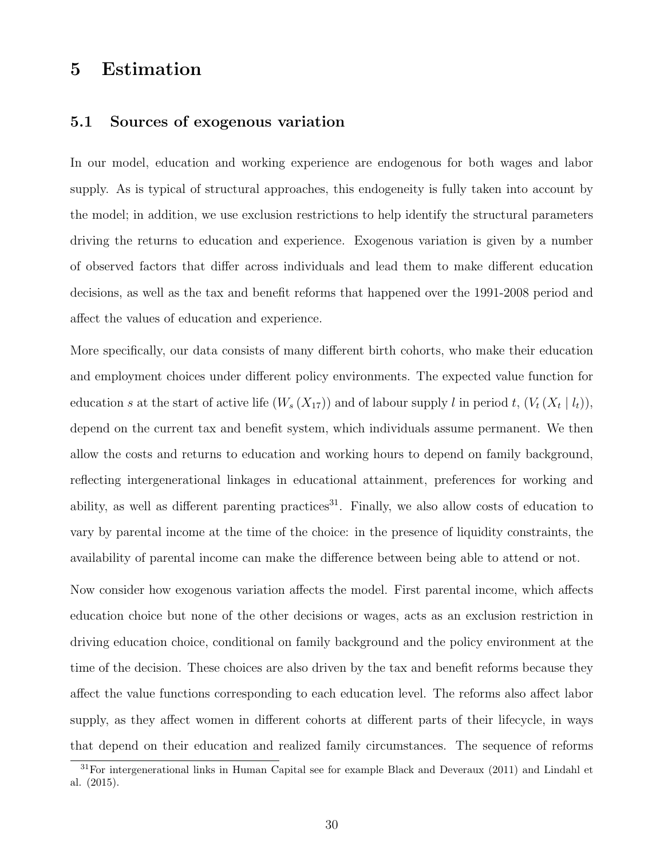## 5 Estimation

#### 5.1 Sources of exogenous variation

In our model, education and working experience are endogenous for both wages and labor supply. As is typical of structural approaches, this endogeneity is fully taken into account by the model; in addition, we use exclusion restrictions to help identify the structural parameters driving the returns to education and experience. Exogenous variation is given by a number of observed factors that differ across individuals and lead them to make different education decisions, as well as the tax and benefit reforms that happened over the 1991-2008 period and affect the values of education and experience.

More specifically, our data consists of many different birth cohorts, who make their education and employment choices under different policy environments. The expected value function for education s at the start of active life  $(W_s(X_{17}))$  and of labour supply l in period t,  $(V_t(X_t | l_t)),$ depend on the current tax and benefit system, which individuals assume permanent. We then allow the costs and returns to education and working hours to depend on family background, reflecting intergenerational linkages in educational attainment, preferences for working and ability, as well as different parenting practices<sup>31</sup>. Finally, we also allow costs of education to vary by parental income at the time of the choice: in the presence of liquidity constraints, the availability of parental income can make the difference between being able to attend or not.

Now consider how exogenous variation affects the model. First parental income, which affects education choice but none of the other decisions or wages, acts as an exclusion restriction in driving education choice, conditional on family background and the policy environment at the time of the decision. These choices are also driven by the tax and benefit reforms because they affect the value functions corresponding to each education level. The reforms also affect labor supply, as they affect women in different cohorts at different parts of their lifecycle, in ways that depend on their education and realized family circumstances. The sequence of reforms

<sup>&</sup>lt;sup>31</sup>For intergenerational links in Human Capital see for example Black and Deveraux (2011) and Lindahl et al. (2015).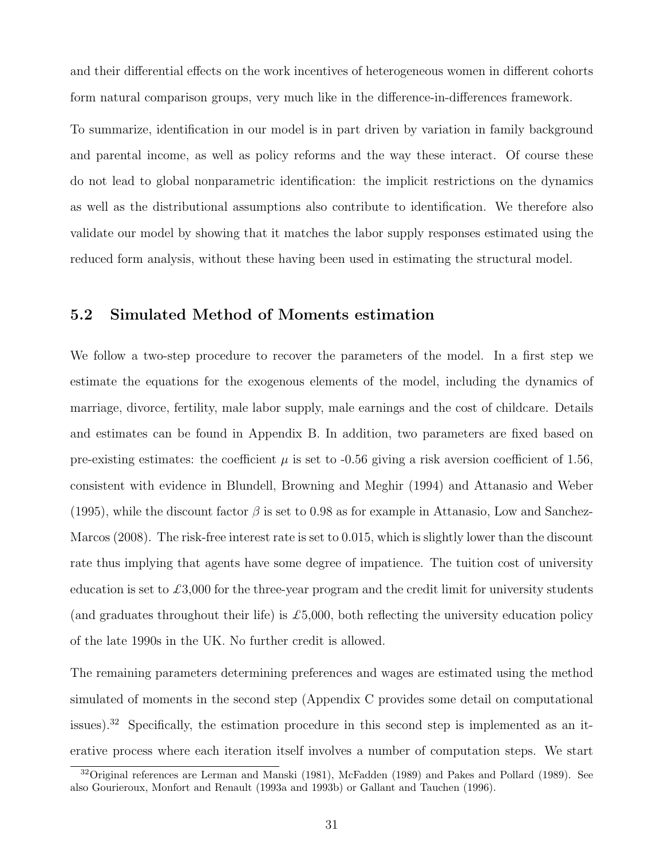and their differential effects on the work incentives of heterogeneous women in different cohorts form natural comparison groups, very much like in the difference-in-differences framework.

To summarize, identification in our model is in part driven by variation in family background and parental income, as well as policy reforms and the way these interact. Of course these do not lead to global nonparametric identification: the implicit restrictions on the dynamics as well as the distributional assumptions also contribute to identification. We therefore also validate our model by showing that it matches the labor supply responses estimated using the reduced form analysis, without these having been used in estimating the structural model.

#### 5.2 Simulated Method of Moments estimation

We follow a two-step procedure to recover the parameters of the model. In a first step we estimate the equations for the exogenous elements of the model, including the dynamics of marriage, divorce, fertility, male labor supply, male earnings and the cost of childcare. Details and estimates can be found in Appendix B. In addition, two parameters are fixed based on pre-existing estimates: the coefficient  $\mu$  is set to -0.56 giving a risk aversion coefficient of 1.56, consistent with evidence in Blundell, Browning and Meghir (1994) and Attanasio and Weber (1995), while the discount factor  $\beta$  is set to 0.98 as for example in Attanasio, Low and Sanchez-Marcos (2008). The risk-free interest rate is set to 0.015, which is slightly lower than the discount rate thus implying that agents have some degree of impatience. The tuition cost of university education is set to  $\pounds 3,000$  for the three-year program and the credit limit for university students (and graduates throughout their life) is  $\mathcal{L}5,000$ , both reflecting the university education policy of the late 1990s in the UK. No further credit is allowed.

The remaining parameters determining preferences and wages are estimated using the method simulated of moments in the second step (Appendix C provides some detail on computational issues).<sup>32</sup> Specifically, the estimation procedure in this second step is implemented as an iterative process where each iteration itself involves a number of computation steps. We start

<sup>&</sup>lt;sup>32</sup>Original references are Lerman and Manski (1981), McFadden (1989) and Pakes and Pollard (1989). See also Gourieroux, Monfort and Renault (1993a and 1993b) or Gallant and Tauchen (1996).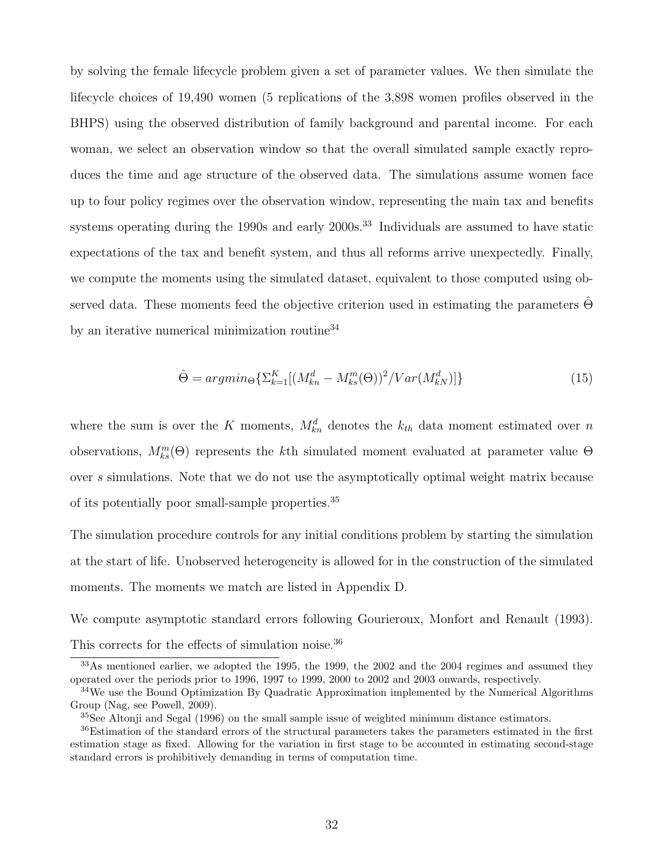by solving the female lifecycle problem given a set of parameter values. We then simulate the lifecycle choices of 19,490 women (5 replications of the 3,898 women profiles observed in the BHPS) using the observed distribution of family background and parental income. For each woman, we select an observation window so that the overall simulated sample exactly reproduces the time and age structure of the observed data. The simulations assume women face up to four policy regimes over the observation window, representing the main tax and benefits systems operating during the 1990s and early 2000s.<sup>33</sup> Individuals are assumed to have static expectations of the tax and benefit system, and thus all reforms arrive unexpectedly. Finally, we compute the moments using the simulated dataset, equivalent to those computed using observed data. These moments feed the objective criterion used in estimating the parameters  $\Theta$ by an iterative numerical minimization routine<sup>34</sup>

$$
\hat{\Theta} = argmin_{\Theta} \{ \sum_{k=1}^{K} [(M_{kn}^d - M_{ks}^m(\Theta))^2 / Var(M_{kN}^d)] \}
$$
(15)

where the sum is over the K moments,  $M_{kn}^d$  denotes the  $k_{th}$  data moment estimated over n observations,  $M_{ks}^m(\Theta)$  represents the kth simulated moment evaluated at parameter value  $\Theta$ over s simulations. Note that we do not use the asymptotically optimal weight matrix because of its potentially poor small-sample properties.<sup>35</sup>

The simulation procedure controls for any initial conditions problem by starting the simulation at the start of life. Unobserved heterogeneity is allowed for in the construction of the simulated moments. The moments we match are listed in Appendix D.

We compute asymptotic standard errors following Gourieroux, Monfort and Renault (1993). This corrects for the effects of simulation noise.<sup>36</sup>

<sup>33</sup>As mentioned earlier, we adopted the 1995, the 1999, the 2002 and the 2004 regimes and assumed they operated over the periods prior to 1996, 1997 to 1999, 2000 to 2002 and 2003 onwards, respectively.

<sup>&</sup>lt;sup>34</sup>We use the Bound Optimization By Quadratic Approximation implemented by the Numerical Algorithms Group (Nag, see Powell, 2009).

<sup>&</sup>lt;sup>35</sup>See Altonii and Segal (1996) on the small sample issue of weighted minimum distance estimators.

<sup>36</sup>Estimation of the standard errors of the structural parameters takes the parameters estimated in the first estimation stage as fixed. Allowing for the variation in first stage to be accounted in estimating second-stage standard errors is prohibitively demanding in terms of computation time.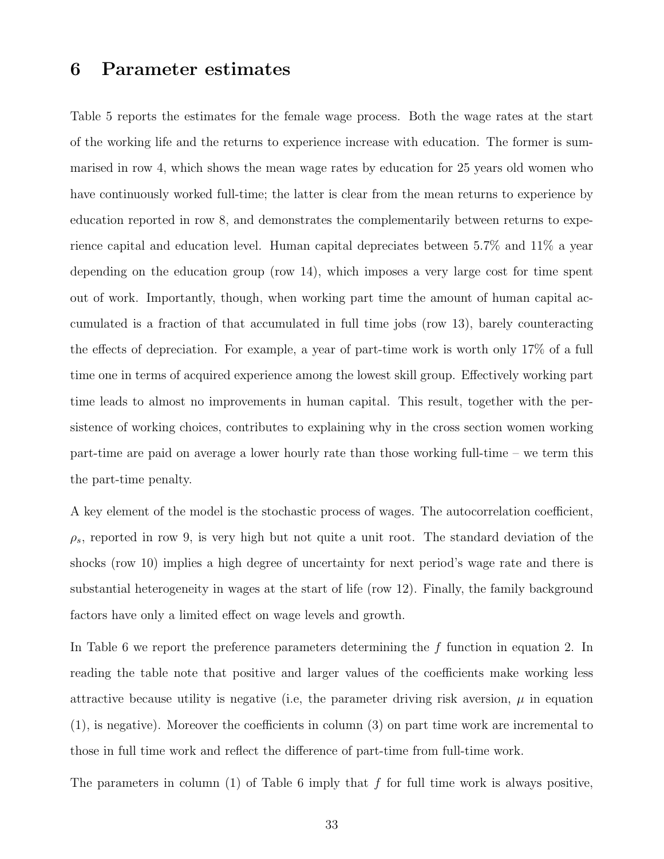## 6 Parameter estimates

Table 5 reports the estimates for the female wage process. Both the wage rates at the start of the working life and the returns to experience increase with education. The former is summarised in row 4, which shows the mean wage rates by education for 25 years old women who have continuously worked full-time; the latter is clear from the mean returns to experience by education reported in row 8, and demonstrates the complementarily between returns to experience capital and education level. Human capital depreciates between 5.7% and 11% a year depending on the education group (row 14), which imposes a very large cost for time spent out of work. Importantly, though, when working part time the amount of human capital accumulated is a fraction of that accumulated in full time jobs (row 13), barely counteracting the effects of depreciation. For example, a year of part-time work is worth only 17% of a full time one in terms of acquired experience among the lowest skill group. Effectively working part time leads to almost no improvements in human capital. This result, together with the persistence of working choices, contributes to explaining why in the cross section women working part-time are paid on average a lower hourly rate than those working full-time – we term this the part-time penalty.

A key element of the model is the stochastic process of wages. The autocorrelation coefficient,  $\rho_s$ , reported in row 9, is very high but not quite a unit root. The standard deviation of the shocks (row 10) implies a high degree of uncertainty for next period's wage rate and there is substantial heterogeneity in wages at the start of life (row 12). Finally, the family background factors have only a limited effect on wage levels and growth.

In Table 6 we report the preference parameters determining the f function in equation 2. In reading the table note that positive and larger values of the coefficients make working less attractive because utility is negative (i.e, the parameter driving risk aversion,  $\mu$  in equation (1), is negative). Moreover the coefficients in column (3) on part time work are incremental to those in full time work and reflect the difference of part-time from full-time work.

The parameters in column  $(1)$  of Table 6 imply that f for full time work is always positive,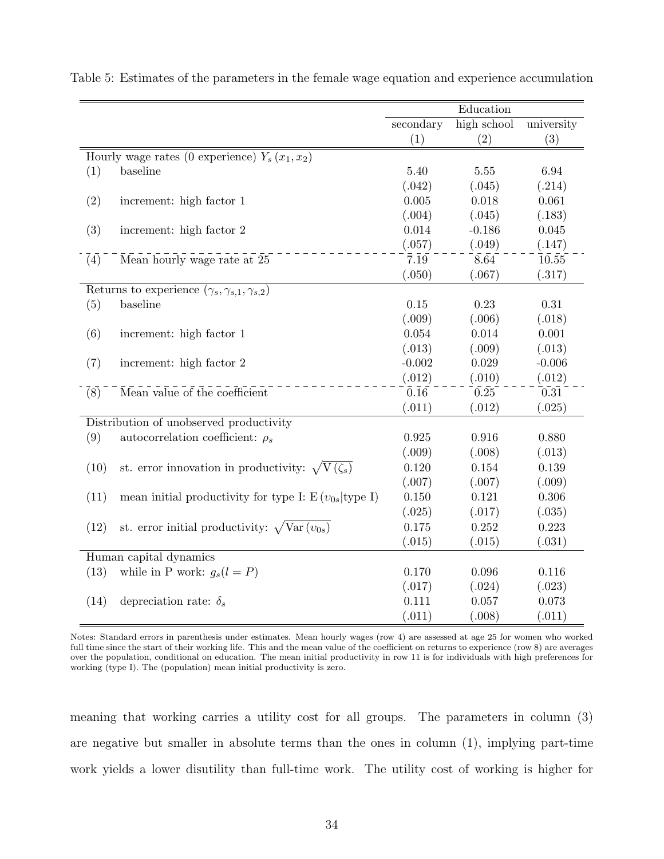|                  |                                                                | Education |             |            |
|------------------|----------------------------------------------------------------|-----------|-------------|------------|
|                  |                                                                | secondary | high school | university |
|                  |                                                                | (1)       | (2)         | (3)        |
|                  | Hourly wage rates (0 experience) $Y_s(x_1, x_2)$               |           |             |            |
| (1)              | baseline                                                       | 5.40      | $5.55\,$    | 6.94       |
|                  |                                                                | (.042)    | (.045)      | (.214)     |
| (2)              | increment: high factor 1                                       | $0.005\,$ | 0.018       | 0.061      |
|                  |                                                                | (.004)    | (.045)      | (.183)     |
| (3)              | increment: high factor 2                                       | 0.014     | $-0.186$    | 0.045      |
|                  |                                                                | (.057)    | (.049)      | (.147)     |
| (4)              | Mean hourly wage rate at 25                                    | 7.19      | 8.64        | 10.55      |
|                  |                                                                | (.050)    | (.067)      | (.317)     |
|                  | Returns to experience $(\gamma_s, \gamma_{s,1}, \gamma_{s,2})$ |           |             |            |
| (5)              | baseline                                                       | $0.15\,$  | 0.23        | 0.31       |
|                  |                                                                | (.009)    | (.006)      | (.018)     |
| (6)              | increment: high factor 1                                       | $0.054\,$ | 0.014       | 0.001      |
|                  |                                                                | (.013)    | (.009)      | (.013)     |
| (7)              | increment: high factor 2                                       | $-0.002$  | 0.029       | $-0.006$   |
|                  |                                                                | (.012)    | (.010)      | (.012)     |
| $\overline{(8)}$ | Mean value of the coefficient                                  | 0.16      | 0.25        | 0.31       |
|                  |                                                                | (.011)    | (.012)      | (.025)     |
|                  | Distribution of unobserved productivity                        |           |             |            |
| (9)              | autocorrelation coefficient: $\rho_s$                          | 0.925     | 0.916       | 0.880      |
|                  |                                                                | (.009)    | (.008)      | (.013)     |
| (10)             | st. error innovation in productivity: $\sqrt{V(\zeta_s)}$      | 0.120     | 0.154       | 0.139      |
|                  |                                                                | (.007)    | (.007)      | (.009)     |
| (11)             | mean initial productivity for type I: $E(v_{0s} $ type I)      | 0.150     | 0.121       | 0.306      |
|                  |                                                                | (.025)    | (.017)      | (.035)     |
| (12)             | st. error initial productivity: $\sqrt{\text{Var}(v_{0s})}$    | 0.175     | 0.252       | 0.223      |
|                  |                                                                | (.015)    | (.015)      | (.031)     |
|                  | Human capital dynamics                                         |           |             |            |
| (13)             | while in P work: $g_s(l = P)$                                  | 0.170     | 0.096       | 0.116      |
|                  |                                                                | (.017)    | (.024)      | (.023)     |
| (14)             | depreciation rate: $\delta_s$                                  | 0.111     | 0.057       | 0.073      |
|                  |                                                                | (.011)    | (.008)      | (.011)     |

Table 5: Estimates of the parameters in the female wage equation and experience accumulation

Notes: Standard errors in parenthesis under estimates. Mean hourly wages (row 4) are assessed at age 25 for women who worked full time since the start of their working life. This and the mean value of the coefficient on returns to experience (row 8) are averages over the population, conditional on education. The mean initial productivity in row 11 is for individuals with high preferences for working (type I). The (population) mean initial productivity is zero.

meaning that working carries a utility cost for all groups. The parameters in column (3) are negative but smaller in absolute terms than the ones in column (1), implying part-time work yields a lower disutility than full-time work. The utility cost of working is higher for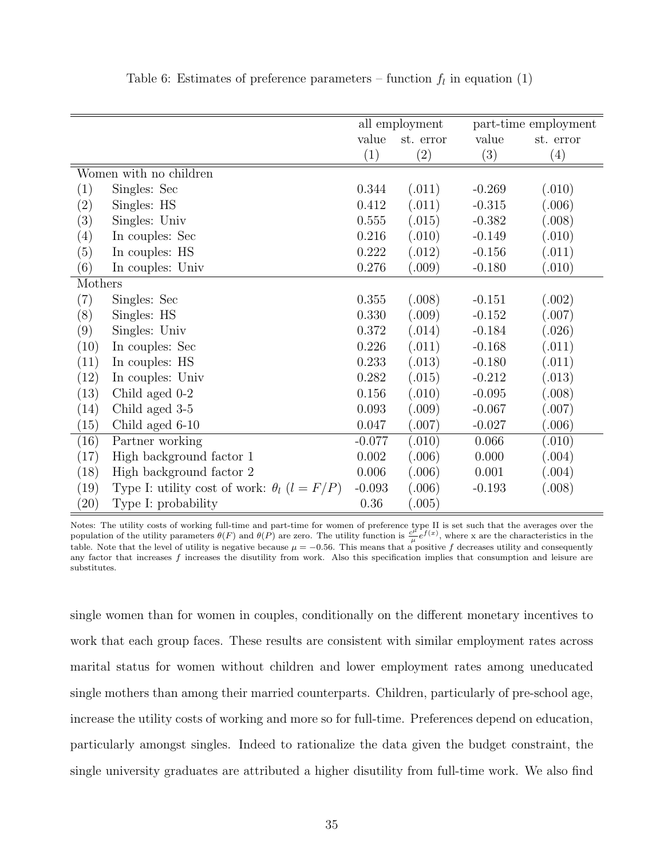|                   |                                                      |          | all employment |          | part-time employment |
|-------------------|------------------------------------------------------|----------|----------------|----------|----------------------|
|                   |                                                      | value    | st. error      | value    | st. error            |
|                   |                                                      | (1)      | (2)            | (3)      | (4)                  |
|                   | Women with no children                               |          |                |          |                      |
| (1)               | Singles: Sec                                         | 0.344    | (.011)         | $-0.269$ | (.010)               |
| (2)               | Singles: HS                                          | 0.412    | (.011)         | $-0.315$ | (.006)               |
| (3)               | Singles: Univ                                        | 0.555    | (.015)         | $-0.382$ | (.008)               |
| $\left( 4\right)$ | In couples: Sec                                      | 0.216    | (.010)         | $-0.149$ | (.010)               |
| (5)               | In couples: HS                                       | 0.222    | (.012)         | $-0.156$ | (.011)               |
| (6)               | In couples: Univ                                     | 0.276    | (.009)         | $-0.180$ | (.010)               |
| Mothers           |                                                      |          |                |          |                      |
| (7)               | Singles: Sec                                         | 0.355    | (.008)         | $-0.151$ | (.002)               |
| (8)               | Singles: HS                                          | 0.330    | (.009)         | $-0.152$ | (.007)               |
| (9)               | Singles: Univ                                        | 0.372    | (.014)         | $-0.184$ | (.026)               |
| (10)              | In couples: Sec                                      | 0.226    | (.011)         | $-0.168$ | (.011)               |
| (11)              | In couples: HS                                       | 0.233    | (.013)         | $-0.180$ | (.011)               |
| (12)              | In couples: Univ                                     | 0.282    | (.015)         | $-0.212$ | (.013)               |
| (13)              | Child aged 0-2                                       | 0.156    | (.010)         | $-0.095$ | 008)                 |
| (14)              | Child aged 3-5                                       | 0.093    | (.009)         | $-0.067$ | (.007)               |
| (15)              | Child aged 6-10                                      | 0.047    | (0.007)        | $-0.027$ | 006)                 |
| (16)              | Partner working                                      | $-0.077$ | (.010)         | 0.066    | (.010)               |
| (17)              | High background factor 1                             | 0.002    | 006)           | 0.000    | (.004)               |
| (18)              | High background factor 2                             | 0.006    | (.006)         | 0.001    | (.004)               |
| (19)              | Type I: utility cost of work: $\theta_l$ $(l = F/P)$ | $-0.093$ | (.006)         | $-0.193$ | (.008)               |
| (20)              | Type I: probability                                  | $0.36\,$ | (.005)         |          |                      |

Table 6: Estimates of preference parameters – function  $f_l$  in equation (1)

Notes: The utility costs of working full-time and part-time for women of preference type II is set such that the averages over the population of the utility parameters  $\theta(F)$  and  $\theta(P)$  are zero. The utility function is  $\frac{e^{\mu}}{\mu}e^{f(x)}$ , where x are the characteristics in the table. Note that the level of utility is negative because  $\mu = -0.56$ . This means that a positive f decreases utility and consequently any factor that increases  $f$  increases the disutility from work. Also this specification implies that consumption and leisure are substitutes.

single women than for women in couples, conditionally on the different monetary incentives to work that each group faces. These results are consistent with similar employment rates across marital status for women without children and lower employment rates among uneducated single mothers than among their married counterparts. Children, particularly of pre-school age, increase the utility costs of working and more so for full-time. Preferences depend on education, particularly amongst singles. Indeed to rationalize the data given the budget constraint, the single university graduates are attributed a higher disutility from full-time work. We also find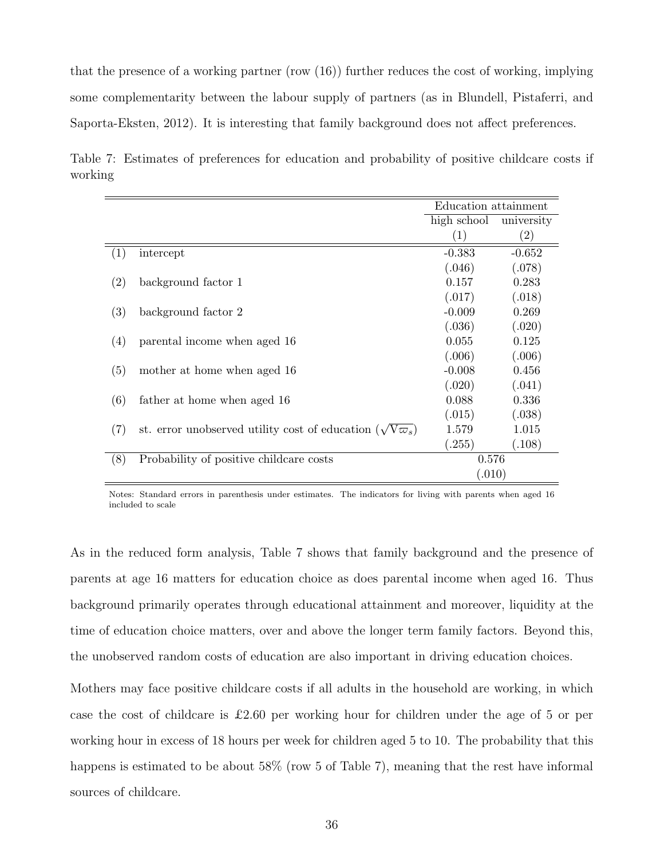that the presence of a working partner (row (16)) further reduces the cost of working, implying some complementarity between the labour supply of partners (as in Blundell, Pistaferri, and Saporta-Eksten, 2012). It is interesting that family background does not affect preferences.

Table 7: Estimates of preferences for education and probability of positive childcare costs if working

|                   |                                                                     | Education attainment |                   |
|-------------------|---------------------------------------------------------------------|----------------------|-------------------|
|                   |                                                                     | high school          | university        |
|                   |                                                                     | (1)                  | $\left( 2\right)$ |
| (1)               | intercept                                                           | $-0.383$             | $-0.652$          |
|                   |                                                                     | (.046)               | (.078)            |
| (2)               | background factor 1                                                 | 0.157                | 0.283             |
|                   |                                                                     | (.017)               | (.018)            |
| $\left( 3\right)$ | background factor 2                                                 | $-0.009$             | 0.269             |
|                   |                                                                     | (.036)               | (.020)            |
| (4)               | parental income when aged 16                                        | 0.055                | 0.125             |
|                   |                                                                     | (.006)               | (.006)            |
| (5)               | mother at home when aged 16                                         | $-0.008$             | 0.456             |
|                   |                                                                     | (.020)               | (.041)            |
| (6)               | father at home when aged 16                                         | 0.088                | 0.336             |
|                   |                                                                     | (.015)               | (.038)            |
| (7)               | st. error unobserved utility cost of education $(\sqrt{V\omega_s})$ | 1.579                | 1.015             |
|                   |                                                                     | (.255)               | (.108)            |
| (8)               | Probability of positive childcare costs                             | 0.576                |                   |
|                   |                                                                     | (.010)               |                   |

Notes: Standard errors in parenthesis under estimates. The indicators for living with parents when aged 16 included to scale

As in the reduced form analysis, Table 7 shows that family background and the presence of parents at age 16 matters for education choice as does parental income when aged 16. Thus background primarily operates through educational attainment and moreover, liquidity at the time of education choice matters, over and above the longer term family factors. Beyond this, the unobserved random costs of education are also important in driving education choices.

Mothers may face positive childcare costs if all adults in the household are working, in which case the cost of childcare is £2.60 per working hour for children under the age of 5 or per working hour in excess of 18 hours per week for children aged 5 to 10. The probability that this happens is estimated to be about  $58\%$  (row 5 of Table 7), meaning that the rest have informal sources of childcare.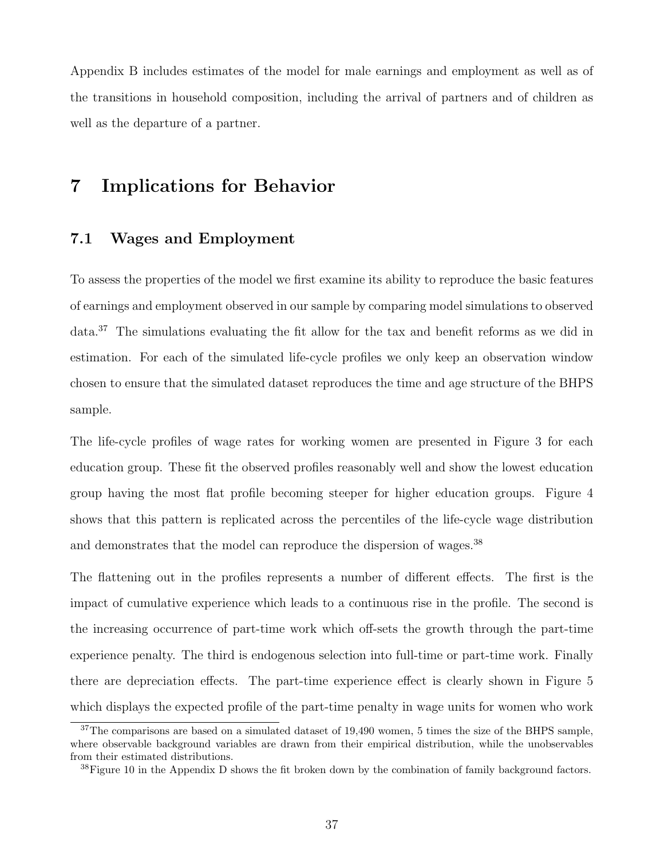Appendix B includes estimates of the model for male earnings and employment as well as of the transitions in household composition, including the arrival of partners and of children as well as the departure of a partner.

### 7 Implications for Behavior

#### 7.1 Wages and Employment

To assess the properties of the model we first examine its ability to reproduce the basic features of earnings and employment observed in our sample by comparing model simulations to observed data.<sup>37</sup> The simulations evaluating the fit allow for the tax and benefit reforms as we did in estimation. For each of the simulated life-cycle profiles we only keep an observation window chosen to ensure that the simulated dataset reproduces the time and age structure of the BHPS sample.

The life-cycle profiles of wage rates for working women are presented in Figure 3 for each education group. These fit the observed profiles reasonably well and show the lowest education group having the most flat profile becoming steeper for higher education groups. Figure 4 shows that this pattern is replicated across the percentiles of the life-cycle wage distribution and demonstrates that the model can reproduce the dispersion of wages.<sup>38</sup>

The flattening out in the profiles represents a number of different effects. The first is the impact of cumulative experience which leads to a continuous rise in the profile. The second is the increasing occurrence of part-time work which off-sets the growth through the part-time experience penalty. The third is endogenous selection into full-time or part-time work. Finally there are depreciation effects. The part-time experience effect is clearly shown in Figure 5 which displays the expected profile of the part-time penalty in wage units for women who work

<sup>&</sup>lt;sup>37</sup>The comparisons are based on a simulated dataset of 19,490 women, 5 times the size of the BHPS sample, where observable background variables are drawn from their empirical distribution, while the unobservables from their estimated distributions.

<sup>&</sup>lt;sup>38</sup>Figure 10 in the Appendix D shows the fit broken down by the combination of family background factors.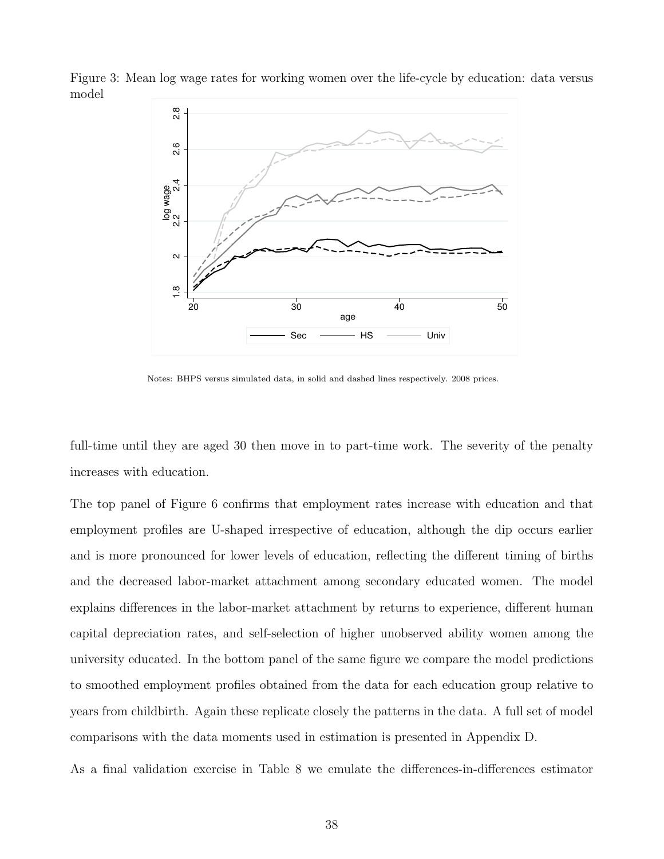

Figure 3: Mean log wage rates for working women over the life-cycle by education: data versus model

Notes: BHPS versus simulated data, in solid and dashed lines respectively. 2008 prices.

full-time until they are aged 30 then move in to part-time work. The severity of the penalty increases with education.

The top panel of Figure 6 confirms that employment rates increase with education and that employment profiles are U-shaped irrespective of education, although the dip occurs earlier and is more pronounced for lower levels of education, reflecting the different timing of births and the decreased labor-market attachment among secondary educated women. The model explains differences in the labor-market attachment by returns to experience, different human capital depreciation rates, and self-selection of higher unobserved ability women among the university educated. In the bottom panel of the same figure we compare the model predictions to smoothed employment profiles obtained from the data for each education group relative to years from childbirth. Again these replicate closely the patterns in the data. A full set of model comparisons with the data moments used in estimation is presented in Appendix D.

As a final validation exercise in Table 8 we emulate the differences-in-differences estimator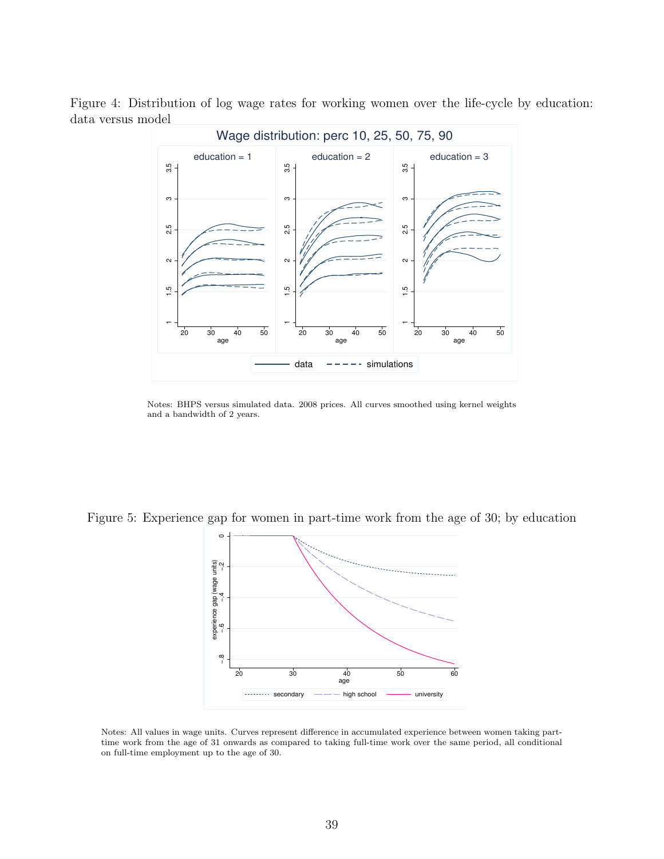Figure 4: Distribution of log wage rates for working women over the life-cycle by education: data versus model



Notes: BHPS versus simulated data. 2008 prices. All curves smoothed using kernel weights and a bandwidth of 2 years.

Figure 5: Experience gap for women in part-time work from the age of 30; by education



Notes: All values in wage units. Curves represent difference in accumulated experience between women taking parttime work from the age of 31 onwards as compared to taking full-time work over the same period, all conditional on full-time employment up to the age of 30.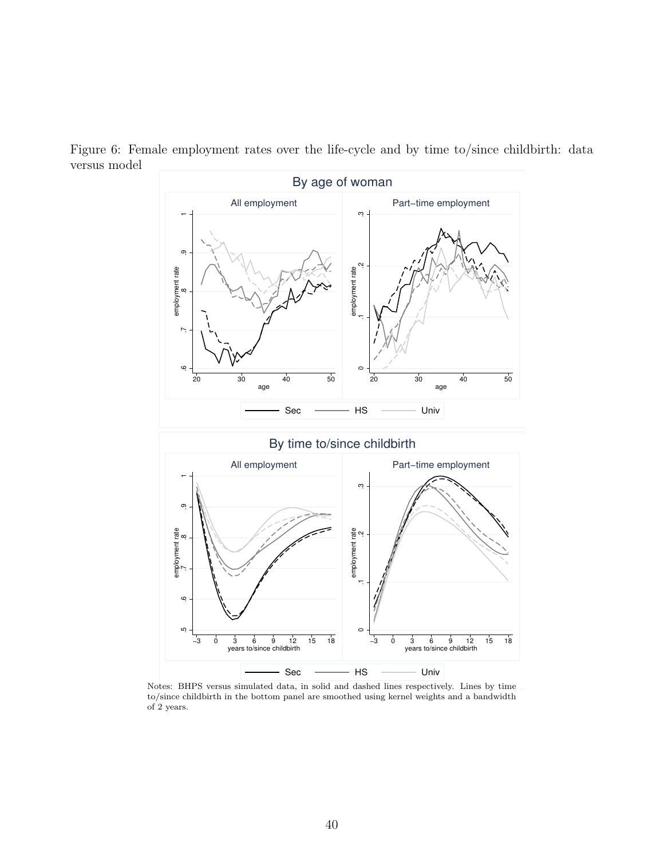

Figure 6: Female employment rates over the life-cycle and by time to/since childbirth: data versus model

Notes: BHPS versus simulated data, in solid and dashed lines respectively. Lines by time to/since childbirth in the bottom panel are smoothed using kernel weights and a bandwidth of 2 years.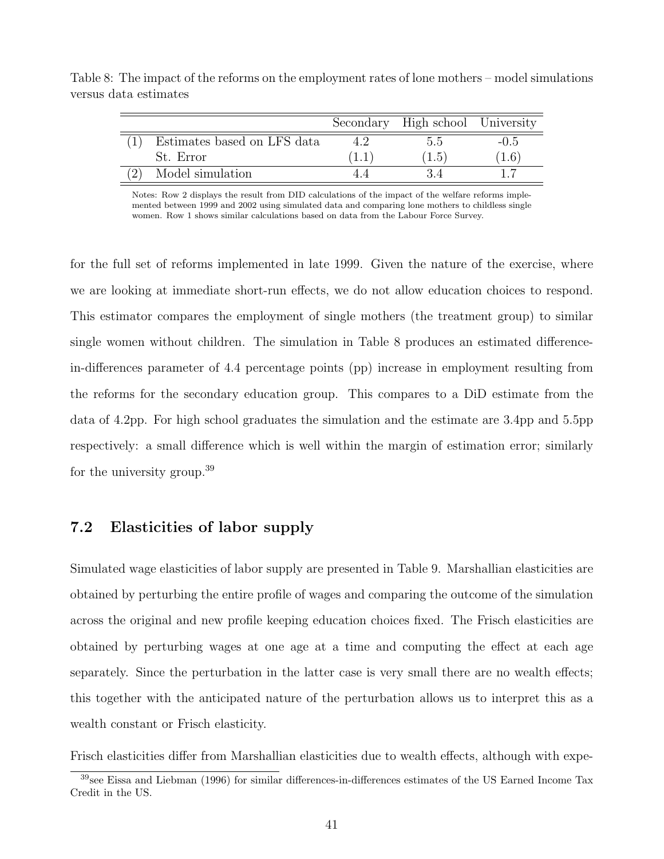|                             | Secondary High school University |        |
|-----------------------------|----------------------------------|--------|
| Estimates based on LFS data | 5.5                              | $-0.5$ |
| St. Error                   | (1.5)                            | 1.6)   |
| Model simulation            |                                  |        |

Table 8: The impact of the reforms on the employment rates of lone mothers – model simulations versus data estimates

Notes: Row 2 displays the result from DID calculations of the impact of the welfare reforms implemented between 1999 and 2002 using simulated data and comparing lone mothers to childless single women. Row 1 shows similar calculations based on data from the Labour Force Survey.

for the full set of reforms implemented in late 1999. Given the nature of the exercise, where we are looking at immediate short-run effects, we do not allow education choices to respond. This estimator compares the employment of single mothers (the treatment group) to similar single women without children. The simulation in Table 8 produces an estimated differencein-differences parameter of 4.4 percentage points (pp) increase in employment resulting from the reforms for the secondary education group. This compares to a DiD estimate from the data of 4.2pp. For high school graduates the simulation and the estimate are 3.4pp and 5.5pp respectively: a small difference which is well within the margin of estimation error; similarly for the university group.<sup>39</sup>

### 7.2 Elasticities of labor supply

Simulated wage elasticities of labor supply are presented in Table 9. Marshallian elasticities are obtained by perturbing the entire profile of wages and comparing the outcome of the simulation across the original and new profile keeping education choices fixed. The Frisch elasticities are obtained by perturbing wages at one age at a time and computing the effect at each age separately. Since the perturbation in the latter case is very small there are no wealth effects; this together with the anticipated nature of the perturbation allows us to interpret this as a wealth constant or Frisch elasticity.

Frisch elasticities differ from Marshallian elasticities due to wealth effects, although with expe-

<sup>39</sup>see Eissa and Liebman (1996) for similar differences-in-differences estimates of the US Earned Income Tax Credit in the US.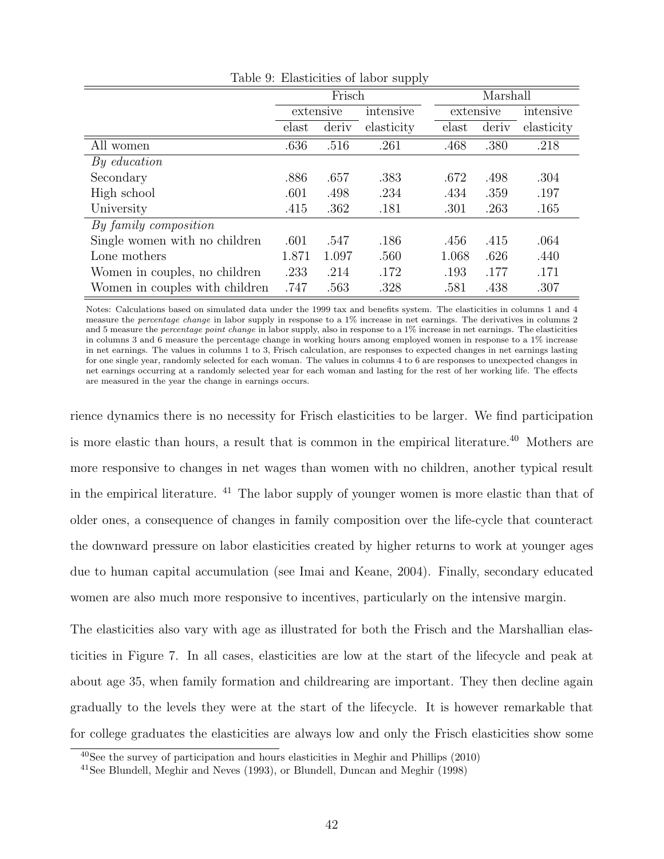|                                |       | Frisch    |            |           | Marshall |            |
|--------------------------------|-------|-----------|------------|-----------|----------|------------|
|                                |       | extensive | intensive  | extensive |          | intensive  |
|                                | elast | deriv     | elasticity | elast     | deriv    | elasticity |
| All women                      | .636  | .516      | .261       | .468      | .380     | .218       |
| $By\; education$               |       |           |            |           |          |            |
| Secondary                      | .886  | .657      | .383       | .672      | .498     | .304       |
| High school                    | .601  | .498      | .234       | .434      | .359     | .197       |
| University                     | .415  | .362      | .181       | .301      | .263     | .165       |
| By family composition          |       |           |            |           |          |            |
| Single women with no children  | .601  | .547      | .186       | .456      | .415     | .064       |
| Lone mothers                   | 1.871 | 1.097     | .560       | 1.068     | .626     | .440       |
| Women in couples, no children  | .233  | .214      | .172       | .193      | .177     | .171       |
| Women in couples with children | .747  | .563      | .328       | .581      | .438     | .307       |

Table 9: Elasticities of labor supply

Notes: Calculations based on simulated data under the 1999 tax and benefits system. The elasticities in columns 1 and 4 measure the percentage change in labor supply in response to a 1% increase in net earnings. The derivatives in columns 2 and 5 measure the *percentage point change* in labor supply, also in response to a 1% increase in net earnings. The elasticities in columns 3 and 6 measure the percentage change in working hours among employed women in response to a 1% increase in net earnings. The values in columns 1 to 3, Frisch calculation, are responses to expected changes in net earnings lasting for one single year, randomly selected for each woman. The values in columns 4 to 6 are responses to unexpected changes in net earnings occurring at a randomly selected year for each woman and lasting for the rest of her working life. The effects are measured in the year the change in earnings occurs.

rience dynamics there is no necessity for Frisch elasticities to be larger. We find participation is more elastic than hours, a result that is common in the empirical literature.<sup>40</sup> Mothers are more responsive to changes in net wages than women with no children, another typical result in the empirical literature. <sup>41</sup> The labor supply of younger women is more elastic than that of older ones, a consequence of changes in family composition over the life-cycle that counteract the downward pressure on labor elasticities created by higher returns to work at younger ages due to human capital accumulation (see Imai and Keane, 2004). Finally, secondary educated women are also much more responsive to incentives, particularly on the intensive margin.

The elasticities also vary with age as illustrated for both the Frisch and the Marshallian elasticities in Figure 7. In all cases, elasticities are low at the start of the lifecycle and peak at about age 35, when family formation and childrearing are important. They then decline again gradually to the levels they were at the start of the lifecycle. It is however remarkable that for college graduates the elasticities are always low and only the Frisch elasticities show some

<sup>40</sup>See the survey of participation and hours elasticities in Meghir and Phillips (2010)

<sup>41</sup>See Blundell, Meghir and Neves (1993), or Blundell, Duncan and Meghir (1998)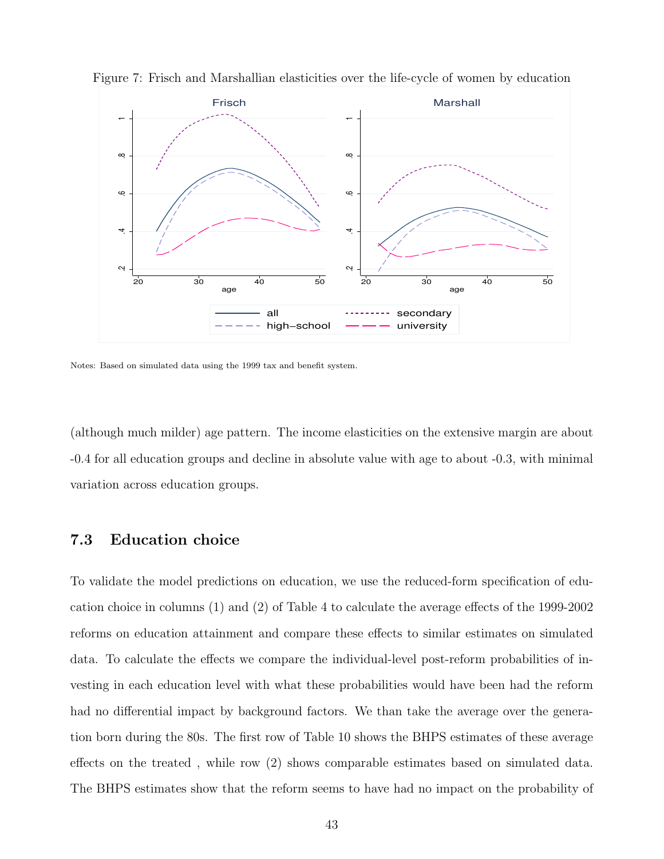

Figure 7: Frisch and Marshallian elasticities over the life-cycle of women by education

Notes: Based on simulated data using the 1999 tax and benefit system.

(although much milder) age pattern. The income elasticities on the extensive margin are about -0.4 for all education groups and decline in absolute value with age to about -0.3, with minimal variation across education groups.

#### 7.3 Education choice

To validate the model predictions on education, we use the reduced-form specification of education choice in columns (1) and (2) of Table 4 to calculate the average effects of the 1999-2002 reforms on education attainment and compare these effects to similar estimates on simulated data. To calculate the effects we compare the individual-level post-reform probabilities of investing in each education level with what these probabilities would have been had the reform had no differential impact by background factors. We than take the average over the generation born during the 80s. The first row of Table 10 shows the BHPS estimates of these average effects on the treated , while row (2) shows comparable estimates based on simulated data. The BHPS estimates show that the reform seems to have had no impact on the probability of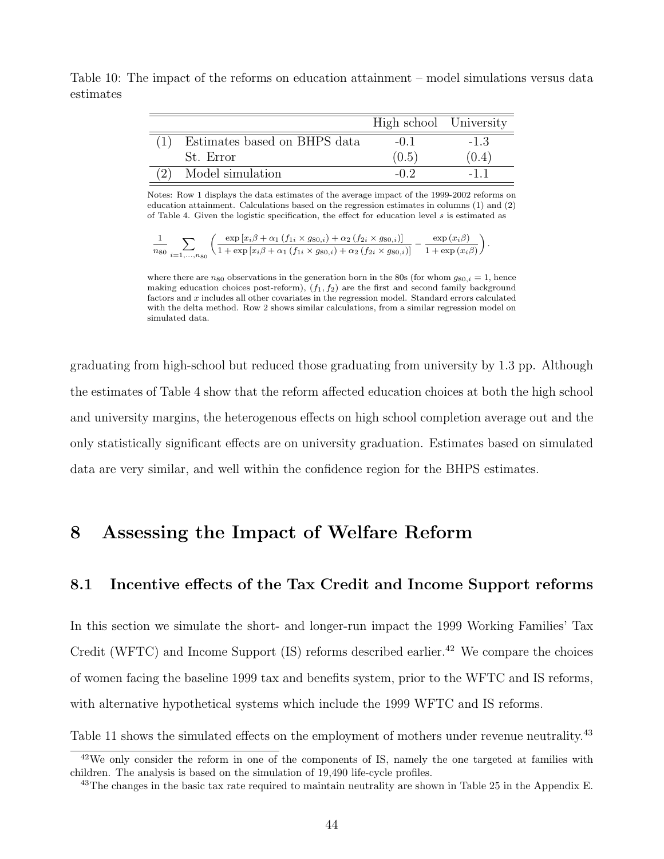|                              | High school University |        |
|------------------------------|------------------------|--------|
| Estimates based on BHPS data | $-()$                  | $-1.3$ |
| St. Error                    | (0.5)                  | (0.4)  |
| Model simulation             |                        |        |

Table 10: The impact of the reforms on education attainment – model simulations versus data estimates

Notes: Row 1 displays the data estimates of the average impact of the 1999-2002 reforms on education attainment. Calculations based on the regression estimates in columns (1) and (2) of Table 4. Given the logistic specification, the effect for education level s is estimated as

.

$$
\frac{1}{n_{80}} \sum_{i=1,...,n_{80}} \left( \frac{\exp\left[x_i \beta + \alpha_1 \left(f_{1i} \times g_{80,i}\right) + \alpha_2 \left(f_{2i} \times g_{80,i}\right)\right]}{1 + \exp\left[x_i \beta + \alpha_1 \left(f_{1i} \times g_{80,i}\right) + \alpha_2 \left(f_{2i} \times g_{80,i}\right)\right]} - \frac{\exp\left(x_i \beta\right)}{1 + \exp\left(x_i \beta\right)} \right)
$$

where there are  $n_{80}$  observations in the generation born in the 80s (for whom  $q_{80,i} = 1$ , hence making education choices post-reform),  $(f_1, f_2)$  are the first and second family background factors and  $x$  includes all other covariates in the regression model. Standard errors calculated with the delta method. Row 2 shows similar calculations, from a similar regression model on simulated data.

graduating from high-school but reduced those graduating from university by 1.3 pp. Although the estimates of Table 4 show that the reform affected education choices at both the high school and university margins, the heterogenous effects on high school completion average out and the only statistically significant effects are on university graduation. Estimates based on simulated data are very similar, and well within the confidence region for the BHPS estimates.

## 8 Assessing the Impact of Welfare Reform

### 8.1 Incentive effects of the Tax Credit and Income Support reforms

In this section we simulate the short- and longer-run impact the 1999 Working Families' Tax Credit (WFTC) and Income Support  $(IS)$  reforms described earlier.<sup>42</sup> We compare the choices of women facing the baseline 1999 tax and benefits system, prior to the WFTC and IS reforms, with alternative hypothetical systems which include the 1999 WFTC and IS reforms.

Table 11 shows the simulated effects on the employment of mothers under revenue neutrality.<sup>43</sup>

 $42W$ e only consider the reform in one of the components of IS, namely the one targeted at families with children. The analysis is based on the simulation of 19,490 life-cycle profiles.

<sup>&</sup>lt;sup>43</sup>The changes in the basic tax rate required to maintain neutrality are shown in Table 25 in the Appendix E.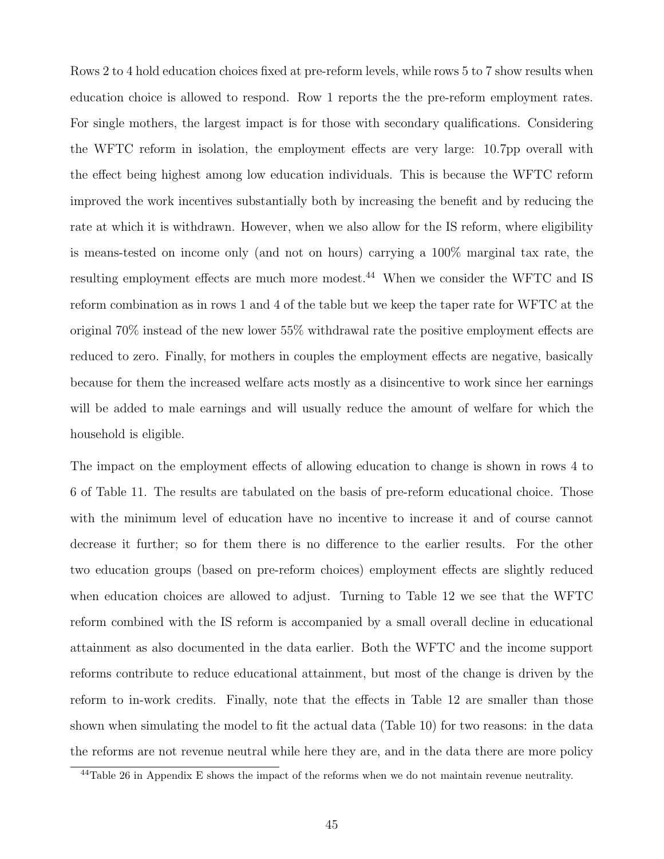Rows 2 to 4 hold education choices fixed at pre-reform levels, while rows 5 to 7 show results when education choice is allowed to respond. Row 1 reports the the pre-reform employment rates. For single mothers, the largest impact is for those with secondary qualifications. Considering the WFTC reform in isolation, the employment effects are very large: 10.7pp overall with the effect being highest among low education individuals. This is because the WFTC reform improved the work incentives substantially both by increasing the benefit and by reducing the rate at which it is withdrawn. However, when we also allow for the IS reform, where eligibility is means-tested on income only (and not on hours) carrying a 100% marginal tax rate, the resulting employment effects are much more modest.<sup>44</sup> When we consider the WFTC and IS reform combination as in rows 1 and 4 of the table but we keep the taper rate for WFTC at the original 70% instead of the new lower 55% withdrawal rate the positive employment effects are reduced to zero. Finally, for mothers in couples the employment effects are negative, basically because for them the increased welfare acts mostly as a disincentive to work since her earnings will be added to male earnings and will usually reduce the amount of welfare for which the household is eligible.

The impact on the employment effects of allowing education to change is shown in rows 4 to 6 of Table 11. The results are tabulated on the basis of pre-reform educational choice. Those with the minimum level of education have no incentive to increase it and of course cannot decrease it further; so for them there is no difference to the earlier results. For the other two education groups (based on pre-reform choices) employment effects are slightly reduced when education choices are allowed to adjust. Turning to Table 12 we see that the WFTC reform combined with the IS reform is accompanied by a small overall decline in educational attainment as also documented in the data earlier. Both the WFTC and the income support reforms contribute to reduce educational attainment, but most of the change is driven by the reform to in-work credits. Finally, note that the effects in Table 12 are smaller than those shown when simulating the model to fit the actual data (Table 10) for two reasons: in the data the reforms are not revenue neutral while here they are, and in the data there are more policy

<sup>44</sup>Table 26 in Appendix E shows the impact of the reforms when we do not maintain revenue neutrality.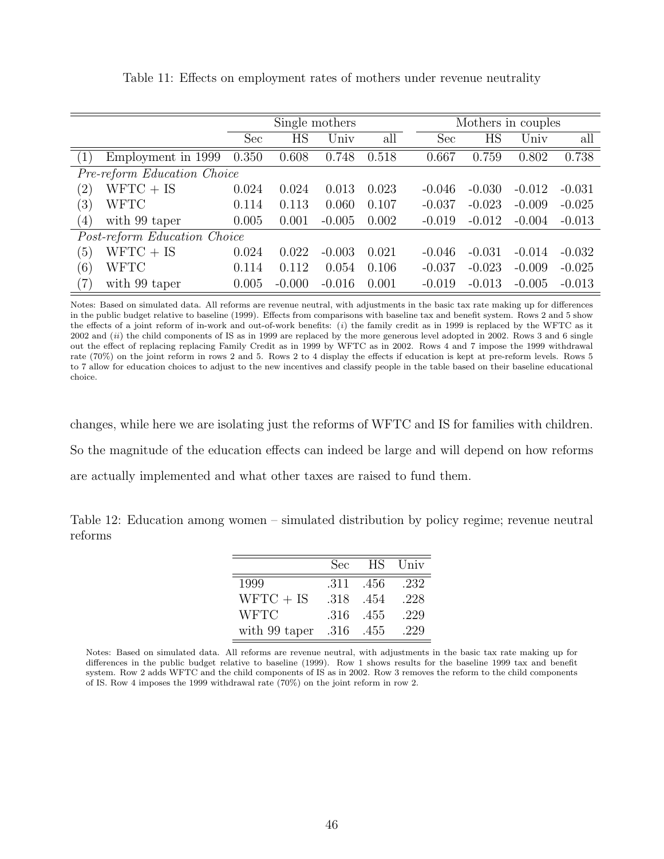|                   |                              |            |          | Single mothers |       |          | Mothers in couples |          |          |  |  |  |  |  |  |  |
|-------------------|------------------------------|------------|----------|----------------|-------|----------|--------------------|----------|----------|--|--|--|--|--|--|--|
|                   |                              | <b>Sec</b> | HS       | Univ           | all   | Sec      | HS                 | Univ     | all      |  |  |  |  |  |  |  |
| $\perp$           | Employment in 1999           | 0.350      | 0.608    | 0.748          | 0.518 | 0.667    | 0.759              | 0.802    | 0.738    |  |  |  |  |  |  |  |
|                   | Pre-reform Education Choice  |            |          |                |       |          |                    |          |          |  |  |  |  |  |  |  |
| (2)               | $WFTC + IS$                  | 0.024      | 0.024    | 0.013          | 0.023 | $-0.046$ | $-0.030$           | $-0.012$ | $-0.031$ |  |  |  |  |  |  |  |
| $\left( 3\right)$ | <b>WFTC</b>                  | 0.114      | 0.113    | 0.060<br>0.107 |       | $-0.037$ | $-0.023$           | $-0.009$ | $-0.025$ |  |  |  |  |  |  |  |
| $\left(4\right)$  | with 99 taper                | 0.005      | 0.001    | $-0.005$       | 0.002 | $-0.019$ | $-0.012$           | $-0.004$ | $-0.013$ |  |  |  |  |  |  |  |
|                   | Post-reform Education Choice |            |          |                |       |          |                    |          |          |  |  |  |  |  |  |  |
| (5)               | $WFTC + IS$                  | 0.024      | 0.022    | $-0.003$       | 0.021 | $-0.046$ | $-0.031$           | $-0.014$ | $-0.032$ |  |  |  |  |  |  |  |
| (6)               | <b>WFTC</b>                  | 0.114      | 0.112    | 0.054          | 0.106 | $-0.037$ | $-0.023$           | $-0.009$ | $-0.025$ |  |  |  |  |  |  |  |
| (7)               | with 99 taper                | 0.005      | $-0.000$ | $-0.016$       | 0.001 | $-0.019$ | $-0.013$           | $-0.005$ | $-0.013$ |  |  |  |  |  |  |  |

Table 11: Effects on employment rates of mothers under revenue neutrality

Notes: Based on simulated data. All reforms are revenue neutral, with adjustments in the basic tax rate making up for differences in the public budget relative to baseline (1999). Effects from comparisons with baseline tax and benefit system. Rows 2 and 5 show the effects of a joint reform of in-work and out-of-work benefits:  $(i)$  the family credit as in 1999 is replaced by the WFTC as it  $2002$  and  $(ii)$  the child components of IS as in 1999 are replaced by the more generous level adopted in 2002. Rows 3 and 6 single out the effect of replacing replacing Family Credit as in 1999 by WFTC as in 2002. Rows 4 and 7 impose the 1999 withdrawal rate (70%) on the joint reform in rows 2 and 5. Rows 2 to 4 display the effects if education is kept at pre-reform levels. Rows 5 to 7 allow for education choices to adjust to the new incentives and classify people in the table based on their baseline educational choice.

changes, while here we are isolating just the reforms of WFTC and IS for families with children. So the magnitude of the education effects can indeed be large and will depend on how reforms are actually implemented and what other taxes are raised to fund them.

Table 12: Education among women – simulated distribution by policy regime; revenue neutral reforms

|               | Sec - |      | HS Univ |
|---------------|-------|------|---------|
| 1999          | .311  | .456 | .232    |
| $WFTC + IS$   | .318  | .454 | .228    |
| <b>WFTC</b>   | .316  | .455 | .229    |
| with 99 taper | .316  | .455 | .229    |

Notes: Based on simulated data. All reforms are revenue neutral, with adjustments in the basic tax rate making up for differences in the public budget relative to baseline (1999). Row 1 shows results for the baseline 1999 tax and benefit system. Row 2 adds WFTC and the child components of IS as in 2002. Row 3 removes the reform to the child components of IS. Row 4 imposes the 1999 withdrawal rate (70%) on the joint reform in row 2.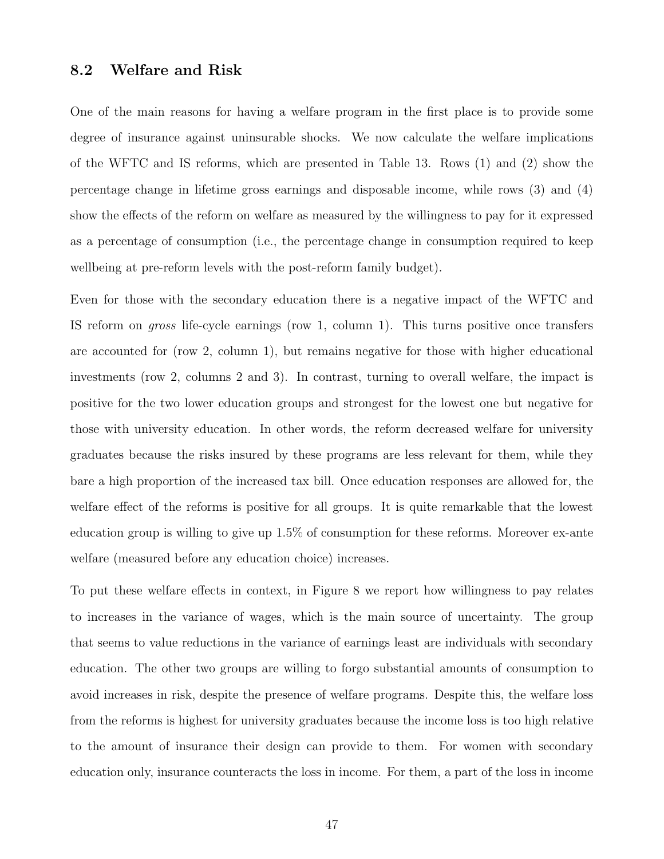#### 8.2 Welfare and Risk

One of the main reasons for having a welfare program in the first place is to provide some degree of insurance against uninsurable shocks. We now calculate the welfare implications of the WFTC and IS reforms, which are presented in Table 13. Rows (1) and (2) show the percentage change in lifetime gross earnings and disposable income, while rows (3) and (4) show the effects of the reform on welfare as measured by the willingness to pay for it expressed as a percentage of consumption (i.e., the percentage change in consumption required to keep wellbeing at pre-reform levels with the post-reform family budget).

Even for those with the secondary education there is a negative impact of the WFTC and IS reform on gross life-cycle earnings (row 1, column 1). This turns positive once transfers are accounted for (row 2, column 1), but remains negative for those with higher educational investments (row 2, columns 2 and 3). In contrast, turning to overall welfare, the impact is positive for the two lower education groups and strongest for the lowest one but negative for those with university education. In other words, the reform decreased welfare for university graduates because the risks insured by these programs are less relevant for them, while they bare a high proportion of the increased tax bill. Once education responses are allowed for, the welfare effect of the reforms is positive for all groups. It is quite remarkable that the lowest education group is willing to give up 1.5% of consumption for these reforms. Moreover ex-ante welfare (measured before any education choice) increases.

To put these welfare effects in context, in Figure 8 we report how willingness to pay relates to increases in the variance of wages, which is the main source of uncertainty. The group that seems to value reductions in the variance of earnings least are individuals with secondary education. The other two groups are willing to forgo substantial amounts of consumption to avoid increases in risk, despite the presence of welfare programs. Despite this, the welfare loss from the reforms is highest for university graduates because the income loss is too high relative to the amount of insurance their design can provide to them. For women with secondary education only, insurance counteracts the loss in income. For them, a part of the loss in income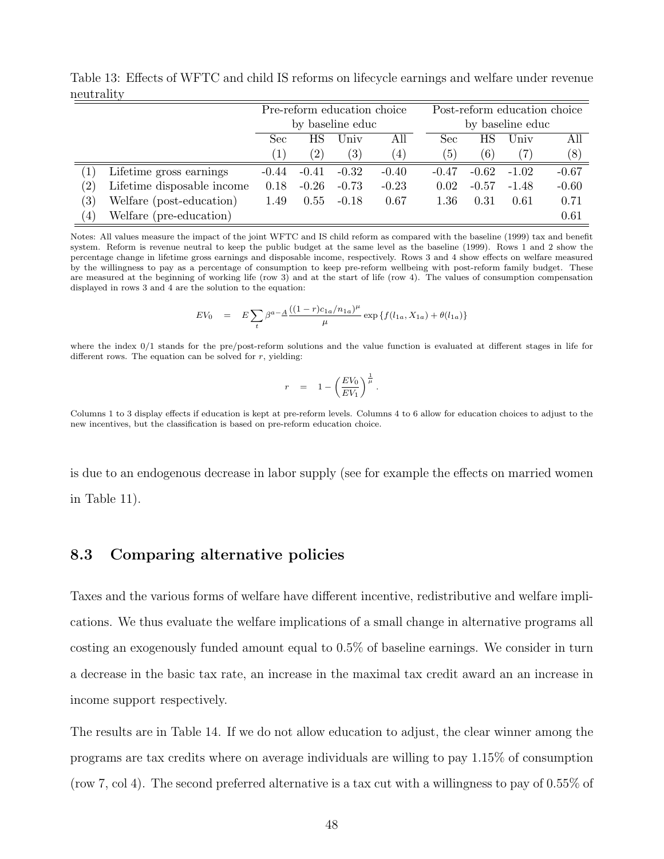|                   |                            |                  |                   | Pre-reform education choice |                  |         |         |                  | Post-reform education choice |
|-------------------|----------------------------|------------------|-------------------|-----------------------------|------------------|---------|---------|------------------|------------------------------|
|                   |                            |                  |                   | by baseline educ            |                  |         |         | by baseline educ |                              |
|                   |                            | <b>Sec</b>       | ΗS                | Univ                        | All              | Sec     | ΗS      | Univ             | All                          |
|                   |                            | $\left(1\right)$ | $\left( 2\right)$ | (3)                         | $\left(4\right)$ | (5)     | (6)     |                  | (8)                          |
| $\perp$           | Lifetime gross earnings    | $-0.44$          | $-0.41$           | $-0.32$                     | $-0.40$          | $-0.47$ | $-0.62$ | $-1.02$          | $-0.67$                      |
| $\left( 2\right)$ | Lifetime disposable income | 0.18             | $-0.26$           | $-0.73$                     | $-0.23$          | 0.02    | $-0.57$ | $-1.48$          | $-0.60$                      |
| $\left( 3\right)$ | Welfare (post-education)   | 1.49             | 0.55              | $-0.18$                     | 0.67             | 1.36    | 0.31    | 0.61             | 0.71                         |
| (4)               | Welfare (pre-education)    |                  |                   |                             |                  |         |         |                  | 0.61                         |

Table 13: Effects of WFTC and child IS reforms on lifecycle earnings and welfare under revenue neutrality

Notes: All values measure the impact of the joint WFTC and IS child reform as compared with the baseline (1999) tax and benefit system. Reform is revenue neutral to keep the public budget at the same level as the baseline (1999). Rows 1 and 2 show the percentage change in lifetime gross earnings and disposable income, respectively. Rows 3 and 4 show effects on welfare measured by the willingness to pay as a percentage of consumption to keep pre-reform wellbeing with post-reform family budget. These are measured at the beginning of working life (row 3) and at the start of life (row 4). The values of consumption compensation displayed in rows 3 and 4 are the solution to the equation:

$$
EV_0 = E \sum_{t} \beta^{a-\underline{A}} \frac{((1-r)c_{1a}/n_{1a})^{\mu}}{\mu} \exp \{f(l_{1a}, X_{1a}) + \theta(l_{1a})\}
$$

where the index 0/1 stands for the pre/post-reform solutions and the value function is evaluated at different stages in life for different rows. The equation can be solved for  $r$ , yielding:

$$
r = 1 - \left(\frac{EV_0}{EV_1}\right)^{\frac{1}{\mu}}.
$$

Columns 1 to 3 display effects if education is kept at pre-reform levels. Columns 4 to 6 allow for education choices to adjust to the new incentives, but the classification is based on pre-reform education choice.

is due to an endogenous decrease in labor supply (see for example the effects on married women in Table 11).

### 8.3 Comparing alternative policies

Taxes and the various forms of welfare have different incentive, redistributive and welfare implications. We thus evaluate the welfare implications of a small change in alternative programs all costing an exogenously funded amount equal to 0.5% of baseline earnings. We consider in turn a decrease in the basic tax rate, an increase in the maximal tax credit award an an increase in income support respectively.

The results are in Table 14. If we do not allow education to adjust, the clear winner among the programs are tax credits where on average individuals are willing to pay 1.15% of consumption (row 7, col 4). The second preferred alternative is a tax cut with a willingness to pay of 0.55% of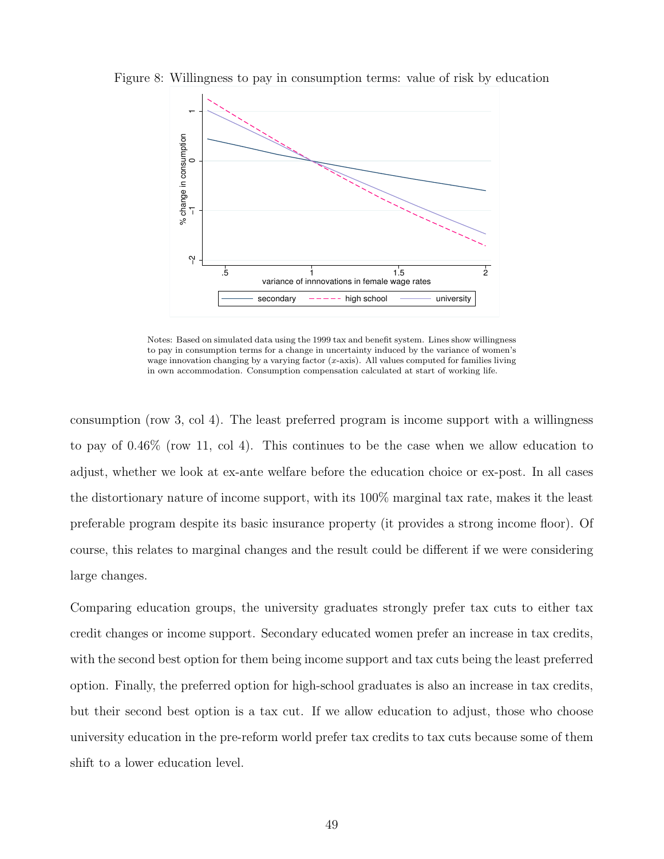Figure 8: Willingness to pay in consumption terms: value of risk by education



Notes: Based on simulated data using the 1999 tax and benefit system. Lines show willingness to pay in consumption terms for a change in uncertainty induced by the variance of women's wage innovation changing by a varying factor  $(x\text{-axis})$ . All values computed for families living in own accommodation. Consumption compensation calculated at start of working life.

consumption (row 3, col 4). The least preferred program is income support with a willingness to pay of 0.46% (row 11, col 4). This continues to be the case when we allow education to adjust, whether we look at ex-ante welfare before the education choice or ex-post. In all cases the distortionary nature of income support, with its 100% marginal tax rate, makes it the least preferable program despite its basic insurance property (it provides a strong income floor). Of course, this relates to marginal changes and the result could be different if we were considering large changes.

Comparing education groups, the university graduates strongly prefer tax cuts to either tax credit changes or income support. Secondary educated women prefer an increase in tax credits, with the second best option for them being income support and tax cuts being the least preferred option. Finally, the preferred option for high-school graduates is also an increase in tax credits, but their second best option is a tax cut. If we allow education to adjust, those who choose university education in the pre-reform world prefer tax credits to tax cuts because some of them shift to a lower education level.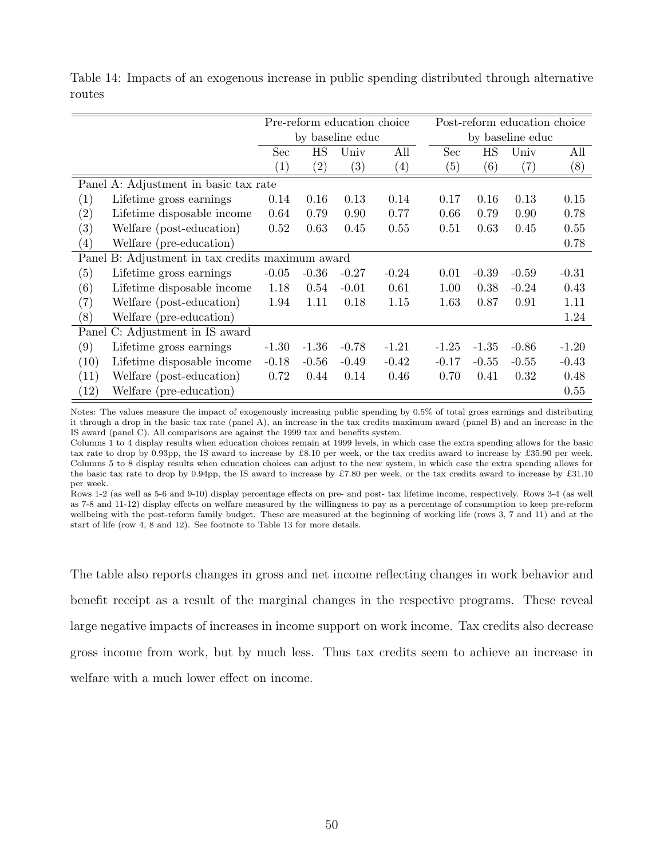|                   |                                                  |         |                   |                   | Pre-reform education choice |            | Post-reform education choice |         |         |  |  |  |  |  |
|-------------------|--------------------------------------------------|---------|-------------------|-------------------|-----------------------------|------------|------------------------------|---------|---------|--|--|--|--|--|
|                   |                                                  |         |                   | by baseline educ  |                             |            | by baseline educ             |         |         |  |  |  |  |  |
|                   |                                                  | Sec     | <b>HS</b>         | Univ              | All                         | <b>Sec</b> | HS                           | Univ    | All     |  |  |  |  |  |
|                   |                                                  | (1)     | $\left( 2\right)$ | $\left( 3\right)$ | $\left( 4\right)$           | (5)        | (6)                          | (7)     | (8)     |  |  |  |  |  |
|                   | Panel A: Adjustment in basic tax rate            |         |                   |                   |                             |            |                              |         |         |  |  |  |  |  |
| (1)               | Lifetime gross earnings                          | 0.14    | 0.16              | 0.13              | 0.14                        | 0.17       | 0.16                         | 0.13    | 0.15    |  |  |  |  |  |
| (2)               | Lifetime disposable income                       | 0.64    | 0.79              | 0.90              | 0.77                        | 0.66       | 0.79                         | 0.90    | 0.78    |  |  |  |  |  |
| (3)               | Welfare (post-education)                         | 0.52    | 0.63              | 0.45              | 0.55                        | 0.51       | 0.63                         | 0.45    | 0.55    |  |  |  |  |  |
| (4)               | Welfare (pre-education)                          |         |                   |                   |                             |            |                              |         | 0.78    |  |  |  |  |  |
|                   | Panel B: Adjustment in tax credits maximum award |         |                   |                   |                             |            |                              |         |         |  |  |  |  |  |
| (5)               | Lifetime gross earnings                          | $-0.05$ | $-0.36$           | $-0.27$           | $-0.24$                     | 0.01       | $-0.39$                      | $-0.59$ | $-0.31$ |  |  |  |  |  |
| (6)               | Lifetime disposable income                       | 1.18    | 0.54              | $-0.01$           | 0.61                        | 1.00       | 0.38                         | $-0.24$ | 0.43    |  |  |  |  |  |
| (7)               | Welfare (post-education)                         | 1.94    | 1.11              | 0.18              | 1.15                        | 1.63       | 0.87                         | 0.91    | 1.11    |  |  |  |  |  |
| (8)               | Welfare (pre-education)                          |         |                   |                   |                             |            |                              |         | 1.24    |  |  |  |  |  |
|                   | Panel C: Adjustment in IS award                  |         |                   |                   |                             |            |                              |         |         |  |  |  |  |  |
| (9)               | Lifetime gross earnings                          | $-1.30$ | $-1.36$           | $-0.78$           | $-1.21$                     | $-1.25$    | $-1.35$                      | $-0.86$ | $-1.20$ |  |  |  |  |  |
| (10)              | Lifetime disposable income                       | $-0.18$ | $-0.56$           | $-0.49$           | $-0.42$                     | $-0.17$    | $-0.55$                      | $-0.55$ | $-0.43$ |  |  |  |  |  |
| (11)              | Welfare (post-education)                         | 0.72    | 0.44              | 0.14              | 0.46                        | 0.70       | 0.41                         | 0.32    | 0.48    |  |  |  |  |  |
| $\left(12\right)$ | Welfare (pre-education)                          |         |                   |                   |                             |            |                              |         | 0.55    |  |  |  |  |  |

Table 14: Impacts of an exogenous increase in public spending distributed through alternative routes

Notes: The values measure the impact of exogenously increasing public spending by 0.5% of total gross earnings and distributing it through a drop in the basic tax rate (panel A), an increase in the tax credits maximum award (panel B) and an increase in the IS award (panel C). All comparisons are against the 1999 tax and benefits system.

Columns 1 to 4 display results when education choices remain at 1999 levels, in which case the extra spending allows for the basic tax rate to drop by 0.93pp, the IS award to increase by £8.10 per week, or the tax credits award to increase by £35.90 per week. Columns 5 to 8 display results when education choices can adjust to the new system, in which case the extra spending allows for the basic tax rate to drop by 0.94pp, the IS award to increase by £7.80 per week, or the tax credits award to increase by £31.10 per week.

Rows 1-2 (as well as 5-6 and 9-10) display percentage effects on pre- and post- tax lifetime income, respectively. Rows 3-4 (as well as 7-8 and 11-12) display effects on welfare measured by the willingness to pay as a percentage of consumption to keep pre-reform wellbeing with the post-reform family budget. These are measured at the beginning of working life (rows 3, 7 and 11) and at the start of life (row 4, 8 and 12). See footnote to Table 13 for more details.

The table also reports changes in gross and net income reflecting changes in work behavior and benefit receipt as a result of the marginal changes in the respective programs. These reveal large negative impacts of increases in income support on work income. Tax credits also decrease gross income from work, but by much less. Thus tax credits seem to achieve an increase in welfare with a much lower effect on income.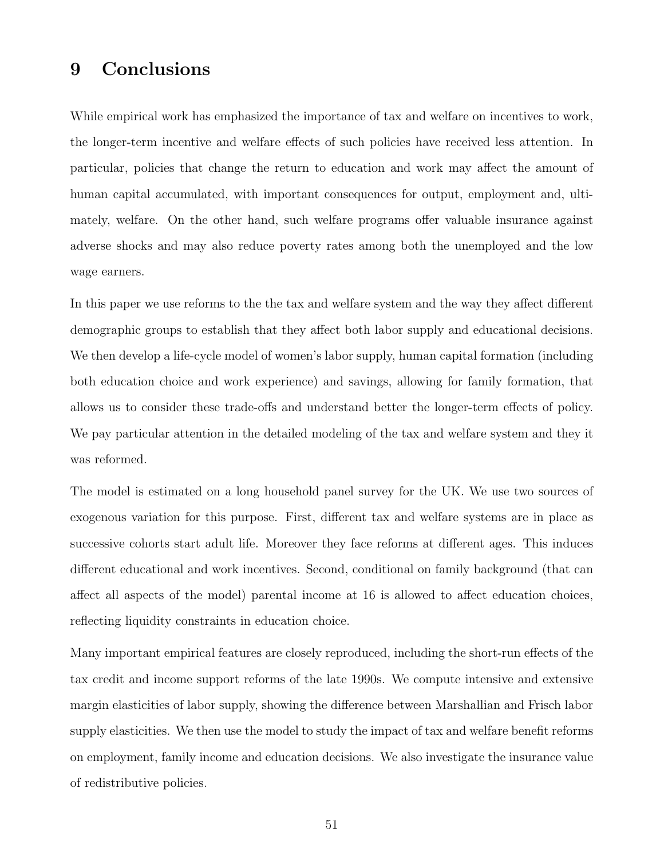## 9 Conclusions

While empirical work has emphasized the importance of tax and welfare on incentives to work, the longer-term incentive and welfare effects of such policies have received less attention. In particular, policies that change the return to education and work may affect the amount of human capital accumulated, with important consequences for output, employment and, ultimately, welfare. On the other hand, such welfare programs offer valuable insurance against adverse shocks and may also reduce poverty rates among both the unemployed and the low wage earners.

In this paper we use reforms to the the tax and welfare system and the way they affect different demographic groups to establish that they affect both labor supply and educational decisions. We then develop a life-cycle model of women's labor supply, human capital formation (including both education choice and work experience) and savings, allowing for family formation, that allows us to consider these trade-offs and understand better the longer-term effects of policy. We pay particular attention in the detailed modeling of the tax and welfare system and they it was reformed.

The model is estimated on a long household panel survey for the UK. We use two sources of exogenous variation for this purpose. First, different tax and welfare systems are in place as successive cohorts start adult life. Moreover they face reforms at different ages. This induces different educational and work incentives. Second, conditional on family background (that can affect all aspects of the model) parental income at 16 is allowed to affect education choices, reflecting liquidity constraints in education choice.

Many important empirical features are closely reproduced, including the short-run effects of the tax credit and income support reforms of the late 1990s. We compute intensive and extensive margin elasticities of labor supply, showing the difference between Marshallian and Frisch labor supply elasticities. We then use the model to study the impact of tax and welfare benefit reforms on employment, family income and education decisions. We also investigate the insurance value of redistributive policies.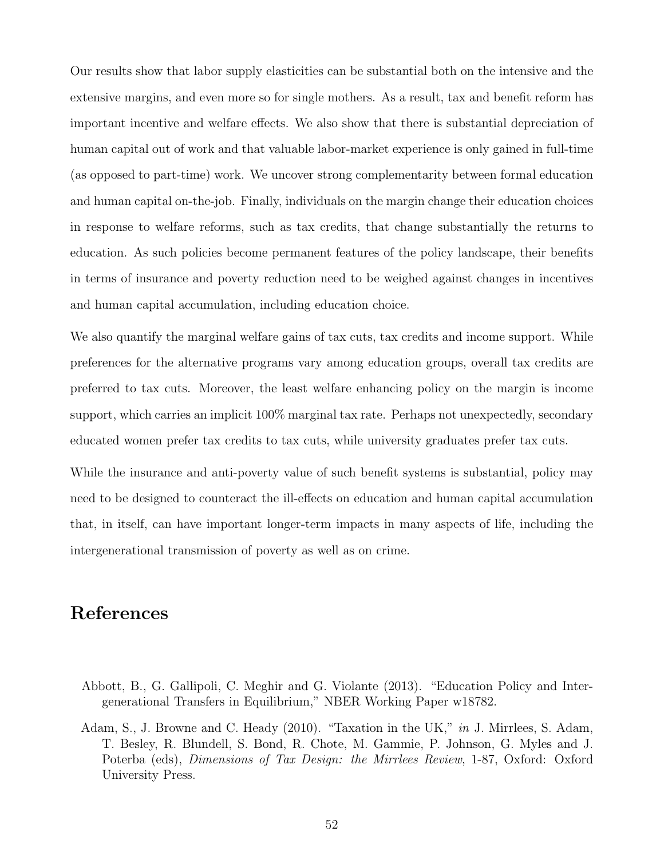Our results show that labor supply elasticities can be substantial both on the intensive and the extensive margins, and even more so for single mothers. As a result, tax and benefit reform has important incentive and welfare effects. We also show that there is substantial depreciation of human capital out of work and that valuable labor-market experience is only gained in full-time (as opposed to part-time) work. We uncover strong complementarity between formal education and human capital on-the-job. Finally, individuals on the margin change their education choices in response to welfare reforms, such as tax credits, that change substantially the returns to education. As such policies become permanent features of the policy landscape, their benefits in terms of insurance and poverty reduction need to be weighed against changes in incentives and human capital accumulation, including education choice.

We also quantify the marginal welfare gains of tax cuts, tax credits and income support. While preferences for the alternative programs vary among education groups, overall tax credits are preferred to tax cuts. Moreover, the least welfare enhancing policy on the margin is income support, which carries an implicit 100% marginal tax rate. Perhaps not unexpectedly, secondary educated women prefer tax credits to tax cuts, while university graduates prefer tax cuts.

While the insurance and anti-poverty value of such benefit systems is substantial, policy may need to be designed to counteract the ill-effects on education and human capital accumulation that, in itself, can have important longer-term impacts in many aspects of life, including the intergenerational transmission of poverty as well as on crime.

### References

- Abbott, B., G. Gallipoli, C. Meghir and G. Violante (2013). "Education Policy and Intergenerational Transfers in Equilibrium," NBER Working Paper w18782.
- Adam, S., J. Browne and C. Heady (2010). "Taxation in the UK," in J. Mirrlees, S. Adam, T. Besley, R. Blundell, S. Bond, R. Chote, M. Gammie, P. Johnson, G. Myles and J. Poterba (eds), *Dimensions of Tax Design: the Mirrlees Review*, 1-87, Oxford: Oxford University Press.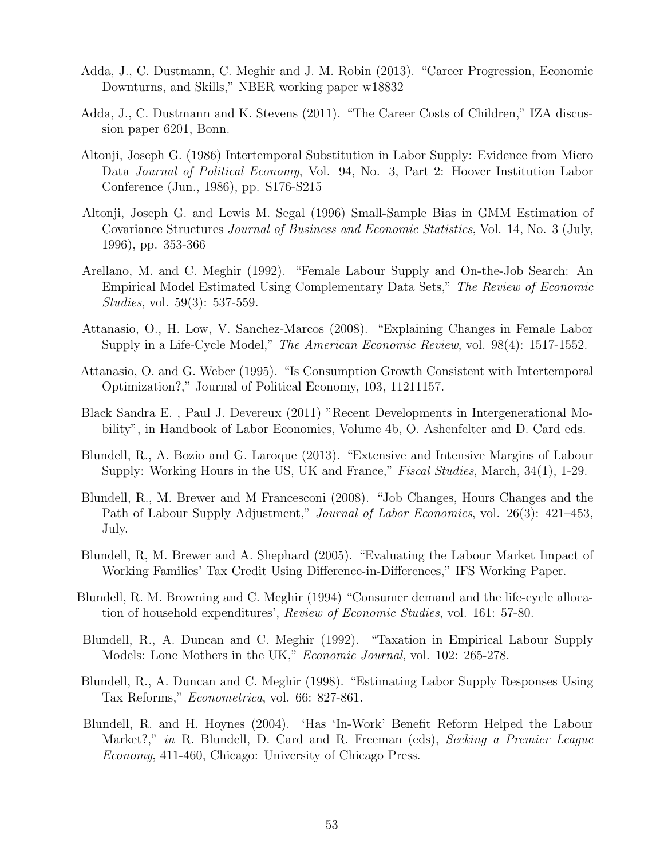- Adda, J., C. Dustmann, C. Meghir and J. M. Robin (2013). "Career Progression, Economic Downturns, and Skills," NBER working paper w18832
- Adda, J., C. Dustmann and K. Stevens (2011). "The Career Costs of Children," IZA discussion paper 6201, Bonn.
- Altonji, Joseph G. (1986) Intertemporal Substitution in Labor Supply: Evidence from Micro Data Journal of Political Economy, Vol. 94, No. 3, Part 2: Hoover Institution Labor Conference (Jun., 1986), pp. S176-S215
- Altonji, Joseph G. and Lewis M. Segal (1996) Small-Sample Bias in GMM Estimation of Covariance Structures Journal of Business and Economic Statistics, Vol. 14, No. 3 (July, 1996), pp. 353-366
- Arellano, M. and C. Meghir (1992). "Female Labour Supply and On-the-Job Search: An Empirical Model Estimated Using Complementary Data Sets," The Review of Economic Studies, vol. 59(3): 537-559.
- Attanasio, O., H. Low, V. Sanchez-Marcos (2008). "Explaining Changes in Female Labor Supply in a Life-Cycle Model," The American Economic Review, vol. 98(4): 1517-1552.
- Attanasio, O. and G. Weber (1995). "Is Consumption Growth Consistent with Intertemporal Optimization?," Journal of Political Economy, 103, 11211157.
- Black Sandra E. , Paul J. Devereux (2011) "Recent Developments in Intergenerational Mobility", in Handbook of Labor Economics, Volume 4b, O. Ashenfelter and D. Card eds.
- Blundell, R., A. Bozio and G. Laroque (2013). "Extensive and Intensive Margins of Labour Supply: Working Hours in the US, UK and France," Fiscal Studies, March, 34(1), 1-29.
- Blundell, R., M. Brewer and M Francesconi (2008). "Job Changes, Hours Changes and the Path of Labour Supply Adjustment," *Journal of Labor Economics*, vol. 26(3): 421–453, July.
- Blundell, R, M. Brewer and A. Shephard (2005). "Evaluating the Labour Market Impact of Working Families' Tax Credit Using Difference-in-Differences," IFS Working Paper.
- Blundell, R. M. Browning and C. Meghir (1994) "Consumer demand and the life-cycle allocation of household expenditures', Review of Economic Studies, vol. 161: 57-80.
- Blundell, R., A. Duncan and C. Meghir (1992). "Taxation in Empirical Labour Supply Models: Lone Mothers in the UK," Economic Journal, vol. 102: 265-278.
- Blundell, R., A. Duncan and C. Meghir (1998). "Estimating Labor Supply Responses Using Tax Reforms," Econometrica, vol. 66: 827-861.
- Blundell, R. and H. Hoynes (2004). 'Has 'In-Work' Benefit Reform Helped the Labour Market?," in R. Blundell, D. Card and R. Freeman (eds), Seeking a Premier League Economy, 411-460, Chicago: University of Chicago Press.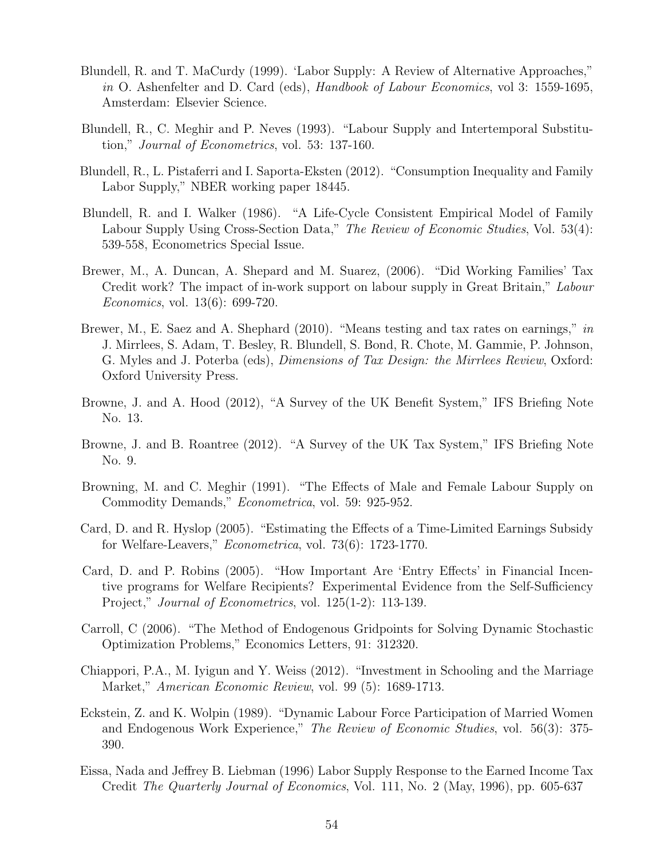- Blundell, R. and T. MaCurdy (1999). 'Labor Supply: A Review of Alternative Approaches," in O. Ashenfelter and D. Card (eds), *Handbook of Labour Economics*, vol 3: 1559-1695, Amsterdam: Elsevier Science.
- Blundell, R., C. Meghir and P. Neves (1993). "Labour Supply and Intertemporal Substitution," Journal of Econometrics, vol. 53: 137-160.
- Blundell, R., L. Pistaferri and I. Saporta-Eksten (2012). "Consumption Inequality and Family Labor Supply," NBER working paper 18445.
- Blundell, R. and I. Walker (1986). "A Life-Cycle Consistent Empirical Model of Family Labour Supply Using Cross-Section Data," The Review of Economic Studies, Vol. 53(4): 539-558, Econometrics Special Issue.
- Brewer, M., A. Duncan, A. Shepard and M. Suarez, (2006). "Did Working Families' Tax Credit work? The impact of in-work support on labour supply in Great Britain," Labour Economics, vol. 13(6): 699-720.
- Brewer, M., E. Saez and A. Shephard (2010). "Means testing and tax rates on earnings," in J. Mirrlees, S. Adam, T. Besley, R. Blundell, S. Bond, R. Chote, M. Gammie, P. Johnson, G. Myles and J. Poterba (eds), Dimensions of Tax Design: the Mirrlees Review, Oxford: Oxford University Press.
- Browne, J. and A. Hood (2012), "A Survey of the UK Benefit System," IFS Briefing Note No. 13.
- Browne, J. and B. Roantree (2012). "A Survey of the UK Tax System," IFS Briefing Note No. 9.
- Browning, M. and C. Meghir (1991). "The Effects of Male and Female Labour Supply on Commodity Demands," Econometrica, vol. 59: 925-952.
- Card, D. and R. Hyslop (2005). "Estimating the Effects of a Time-Limited Earnings Subsidy for Welfare-Leavers," Econometrica, vol. 73(6): 1723-1770.
- Card, D. and P. Robins (2005). "How Important Are 'Entry Effects' in Financial Incentive programs for Welfare Recipients? Experimental Evidence from the Self-Sufficiency Project," Journal of Econometrics, vol. 125(1-2): 113-139.
- Carroll, C (2006). "The Method of Endogenous Gridpoints for Solving Dynamic Stochastic Optimization Problems," Economics Letters, 91: 312320.
- Chiappori, P.A., M. Iyigun and Y. Weiss (2012). "Investment in Schooling and the Marriage Market," American Economic Review, vol. 99 (5): 1689-1713.
- Eckstein, Z. and K. Wolpin (1989). "Dynamic Labour Force Participation of Married Women and Endogenous Work Experience," The Review of Economic Studies, vol. 56(3): 375- 390.
- Eissa, Nada and Jeffrey B. Liebman (1996) Labor Supply Response to the Earned Income Tax Credit The Quarterly Journal of Economics, Vol. 111, No. 2 (May, 1996), pp. 605-637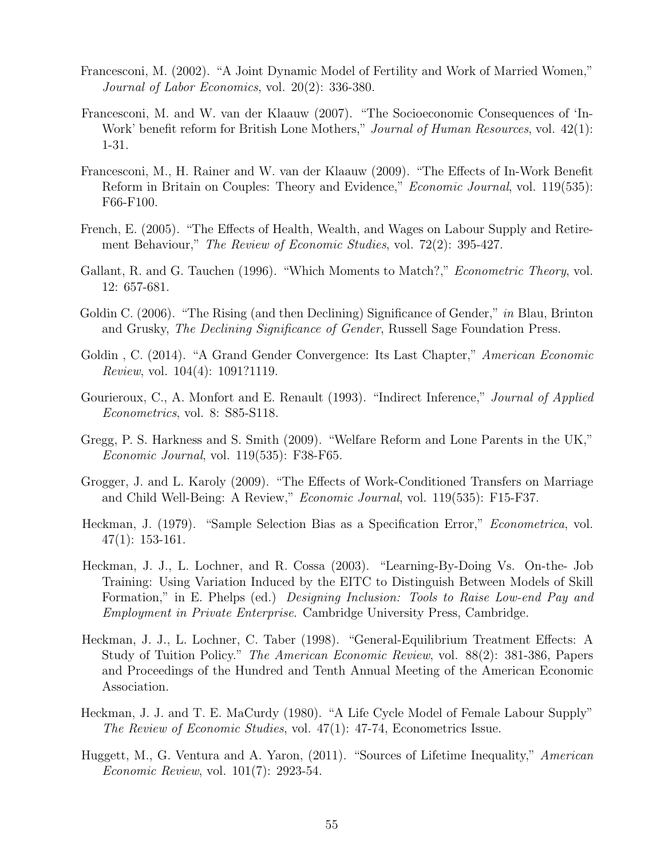- Francesconi, M. (2002). "A Joint Dynamic Model of Fertility and Work of Married Women," Journal of Labor Economics, vol. 20(2): 336-380.
- Francesconi, M. and W. van der Klaauw (2007). "The Socioeconomic Consequences of 'In-Work' benefit reform for British Lone Mothers," *Journal of Human Resources*, vol. 42(1): 1-31.
- Francesconi, M., H. Rainer and W. van der Klaauw (2009). "The Effects of In-Work Benefit Reform in Britain on Couples: Theory and Evidence," *Economic Journal*, vol. 119(535): F66-F100.
- French, E. (2005). "The Effects of Health, Wealth, and Wages on Labour Supply and Retirement Behaviour," The Review of Economic Studies, vol. 72(2): 395-427.
- Gallant, R. and G. Tauchen (1996). "Which Moments to Match?," Econometric Theory, vol. 12: 657-681.
- Goldin C. (2006). "The Rising (and then Declining) Significance of Gender," in Blau, Brinton and Grusky, The Declining Significance of Gender, Russell Sage Foundation Press.
- Goldin, C. (2014). "A Grand Gender Convergence: Its Last Chapter," American Economic Review, vol. 104(4): 1091?1119.
- Gourieroux, C., A. Monfort and E. Renault (1993). "Indirect Inference," *Journal of Applied* Econometrics, vol. 8: S85-S118.
- Gregg, P. S. Harkness and S. Smith (2009). "Welfare Reform and Lone Parents in the UK," Economic Journal, vol. 119(535): F38-F65.
- Grogger, J. and L. Karoly (2009). "The Effects of Work-Conditioned Transfers on Marriage and Child Well-Being: A Review," Economic Journal, vol. 119(535): F15-F37.
- Heckman, J. (1979). "Sample Selection Bias as a Specification Error," Econometrica, vol. 47(1): 153-161.
- Heckman, J. J., L. Lochner, and R. Cossa (2003). "Learning-By-Doing Vs. On-the- Job Training: Using Variation Induced by the EITC to Distinguish Between Models of Skill Formation," in E. Phelps (ed.) Designing Inclusion: Tools to Raise Low-end Pay and Employment in Private Enterprise. Cambridge University Press, Cambridge.
- Heckman, J. J., L. Lochner, C. Taber (1998). "General-Equilibrium Treatment Effects: A Study of Tuition Policy." The American Economic Review, vol. 88(2): 381-386, Papers and Proceedings of the Hundred and Tenth Annual Meeting of the American Economic Association.
- Heckman, J. J. and T. E. MaCurdy (1980). "A Life Cycle Model of Female Labour Supply" The Review of Economic Studies, vol.  $47(1)$ :  $47-74$ , Econometrics Issue.
- Huggett, M., G. Ventura and A. Yaron, (2011). "Sources of Lifetime Inequality," American Economic Review, vol. 101(7): 2923-54.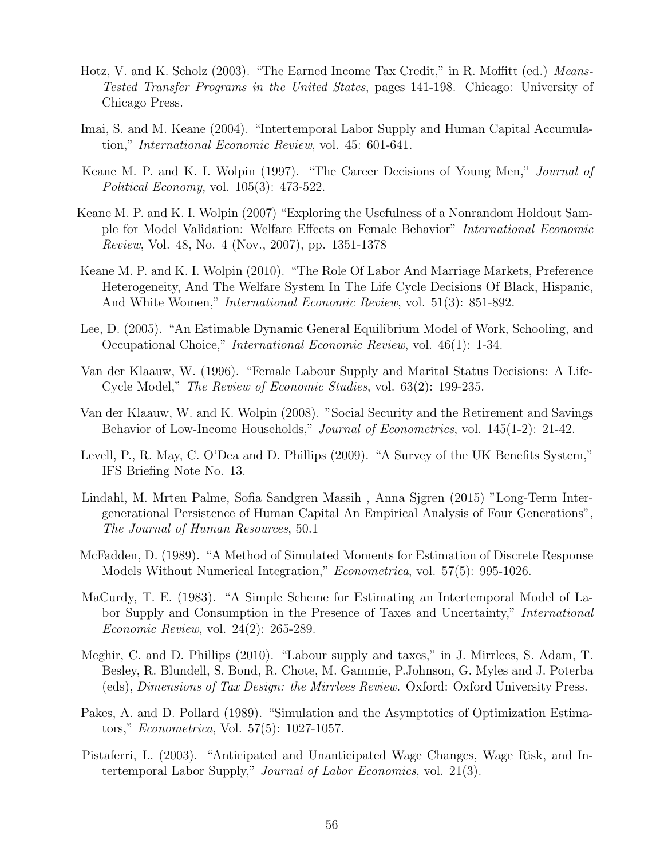- Hotz, V. and K. Scholz (2003). "The Earned Income Tax Credit," in R. Moffitt (ed.) Means-Tested Transfer Programs in the United States, pages 141-198. Chicago: University of Chicago Press.
- Imai, S. and M. Keane (2004). "Intertemporal Labor Supply and Human Capital Accumulation," International Economic Review, vol. 45: 601-641.
- Keane M. P. and K. I. Wolpin (1997). "The Career Decisions of Young Men," Journal of Political Economy, vol. 105(3): 473-522.
- Keane M. P. and K. I. Wolpin (2007) "Exploring the Usefulness of a Nonrandom Holdout Sample for Model Validation: Welfare Effects on Female Behavior" International Economic Review, Vol. 48, No. 4 (Nov., 2007), pp. 1351-1378
- Keane M. P. and K. I. Wolpin (2010). "The Role Of Labor And Marriage Markets, Preference Heterogeneity, And The Welfare System In The Life Cycle Decisions Of Black, Hispanic, And White Women," International Economic Review, vol. 51(3): 851-892.
- Lee, D. (2005). "An Estimable Dynamic General Equilibrium Model of Work, Schooling, and Occupational Choice," International Economic Review, vol. 46(1): 1-34.
- Van der Klaauw, W. (1996). "Female Labour Supply and Marital Status Decisions: A Life-Cycle Model," The Review of Economic Studies, vol. 63(2): 199-235.
- Van der Klaauw, W. and K. Wolpin (2008). "Social Security and the Retirement and Savings Behavior of Low-Income Households," Journal of Econometrics, vol. 145(1-2): 21-42.
- Levell, P., R. May, C. O'Dea and D. Phillips (2009). "A Survey of the UK Benefits System," IFS Briefing Note No. 13.
- Lindahl, M. Mrten Palme, Sofia Sandgren Massih , Anna Sjgren (2015) "Long-Term Intergenerational Persistence of Human Capital An Empirical Analysis of Four Generations", The Journal of Human Resources, 50.1
- McFadden, D. (1989). "A Method of Simulated Moments for Estimation of Discrete Response Models Without Numerical Integration," Econometrica, vol. 57(5): 995-1026.
- MaCurdy, T. E. (1983). "A Simple Scheme for Estimating an Intertemporal Model of Labor Supply and Consumption in the Presence of Taxes and Uncertainty," International Economic Review, vol. 24(2): 265-289.
- Meghir, C. and D. Phillips (2010). "Labour supply and taxes," in J. Mirrlees, S. Adam, T. Besley, R. Blundell, S. Bond, R. Chote, M. Gammie, P.Johnson, G. Myles and J. Poterba (eds), Dimensions of Tax Design: the Mirrlees Review. Oxford: Oxford University Press.
- Pakes, A. and D. Pollard (1989). "Simulation and the Asymptotics of Optimization Estimators," Econometrica, Vol. 57(5): 1027-1057.
- Pistaferri, L. (2003). "Anticipated and Unanticipated Wage Changes, Wage Risk, and Intertemporal Labor Supply," Journal of Labor Economics, vol. 21(3).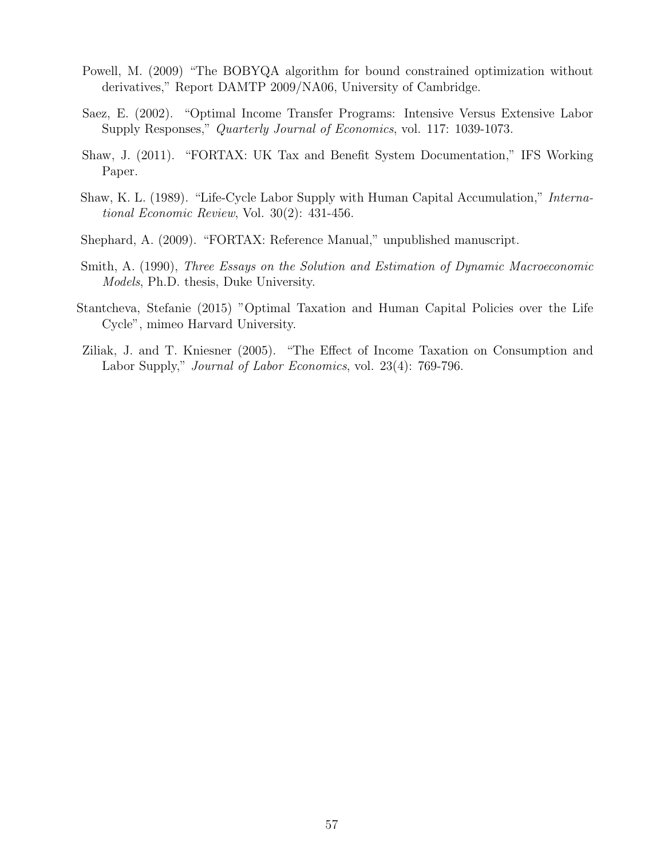- Powell, M. (2009) "The BOBYQA algorithm for bound constrained optimization without derivatives," Report DAMTP 2009/NA06, University of Cambridge.
- Saez, E. (2002). "Optimal Income Transfer Programs: Intensive Versus Extensive Labor Supply Responses," Quarterly Journal of Economics, vol. 117: 1039-1073.
- Shaw, J. (2011). "FORTAX: UK Tax and Benefit System Documentation," IFS Working Paper.
- Shaw, K. L. (1989). "Life-Cycle Labor Supply with Human Capital Accumulation," International Economic Review, Vol. 30(2): 431-456.
- Shephard, A. (2009). "FORTAX: Reference Manual," unpublished manuscript.
- Smith, A. (1990), Three Essays on the Solution and Estimation of Dynamic Macroeconomic Models, Ph.D. thesis, Duke University.
- Stantcheva, Stefanie (2015) "Optimal Taxation and Human Capital Policies over the Life Cycle", mimeo Harvard University.
- Ziliak, J. and T. Kniesner (2005). "The Effect of Income Taxation on Consumption and Labor Supply," Journal of Labor Economics, vol. 23(4): 769-796.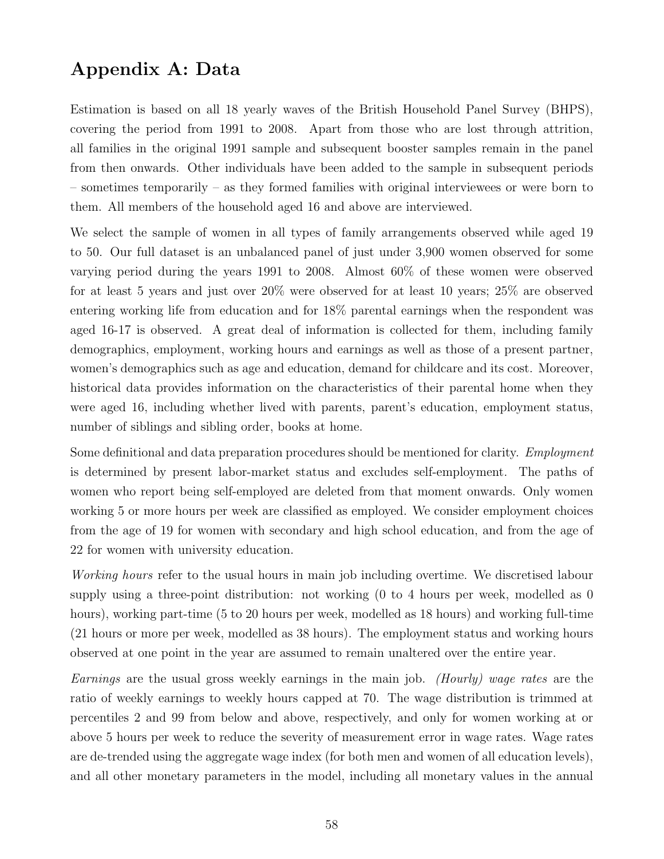# Appendix A: Data

Estimation is based on all 18 yearly waves of the British Household Panel Survey (BHPS), covering the period from 1991 to 2008. Apart from those who are lost through attrition, all families in the original 1991 sample and subsequent booster samples remain in the panel from then onwards. Other individuals have been added to the sample in subsequent periods – sometimes temporarily – as they formed families with original interviewees or were born to them. All members of the household aged 16 and above are interviewed.

We select the sample of women in all types of family arrangements observed while aged 19 to 50. Our full dataset is an unbalanced panel of just under 3,900 women observed for some varying period during the years 1991 to 2008. Almost 60% of these women were observed for at least 5 years and just over 20% were observed for at least 10 years; 25% are observed entering working life from education and for 18% parental earnings when the respondent was aged 16-17 is observed. A great deal of information is collected for them, including family demographics, employment, working hours and earnings as well as those of a present partner, women's demographics such as age and education, demand for childcare and its cost. Moreover, historical data provides information on the characteristics of their parental home when they were aged 16, including whether lived with parents, parent's education, employment status, number of siblings and sibling order, books at home.

Some definitional and data preparation procedures should be mentioned for clarity. *Employment* is determined by present labor-market status and excludes self-employment. The paths of women who report being self-employed are deleted from that moment onwards. Only women working 5 or more hours per week are classified as employed. We consider employment choices from the age of 19 for women with secondary and high school education, and from the age of 22 for women with university education.

Working hours refer to the usual hours in main job including overtime. We discretised labour supply using a three-point distribution: not working (0 to 4 hours per week, modelled as 0 hours), working part-time (5 to 20 hours per week, modelled as 18 hours) and working full-time (21 hours or more per week, modelled as 38 hours). The employment status and working hours observed at one point in the year are assumed to remain unaltered over the entire year.

Earnings are the usual gross weekly earnings in the main job. (Hourly) wage rates are the ratio of weekly earnings to weekly hours capped at 70. The wage distribution is trimmed at percentiles 2 and 99 from below and above, respectively, and only for women working at or above 5 hours per week to reduce the severity of measurement error in wage rates. Wage rates are de-trended using the aggregate wage index (for both men and women of all education levels), and all other monetary parameters in the model, including all monetary values in the annual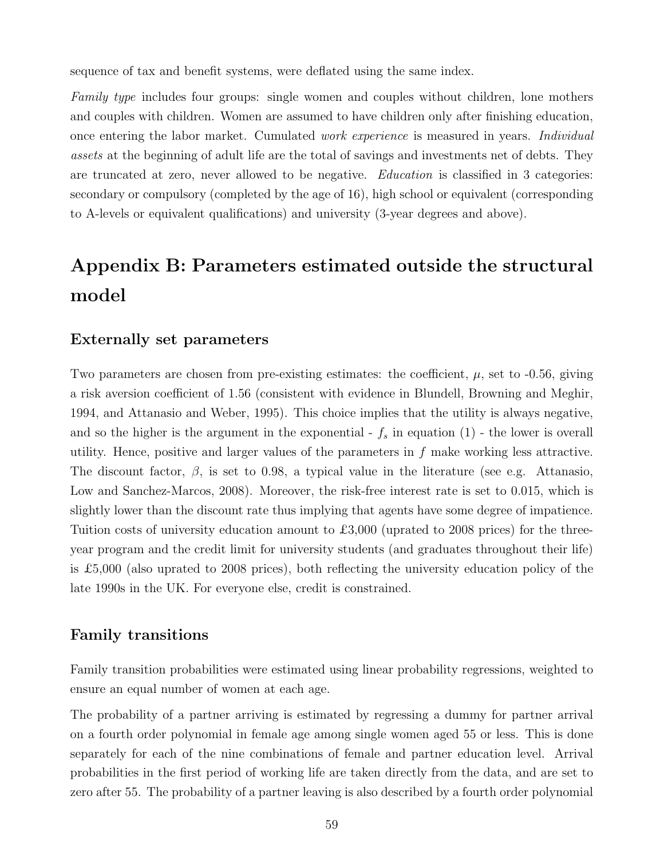sequence of tax and benefit systems, were deflated using the same index.

Family type includes four groups: single women and couples without children, lone mothers and couples with children. Women are assumed to have children only after finishing education, once entering the labor market. Cumulated *work experience* is measured in years. *Individual* assets at the beginning of adult life are the total of savings and investments net of debts. They are truncated at zero, never allowed to be negative. *Education* is classified in 3 categories: secondary or compulsory (completed by the age of 16), high school or equivalent (corresponding to A-levels or equivalent qualifications) and university (3-year degrees and above).

# Appendix B: Parameters estimated outside the structural model

#### Externally set parameters

Two parameters are chosen from pre-existing estimates: the coefficient,  $\mu$ , set to -0.56, giving a risk aversion coefficient of 1.56 (consistent with evidence in Blundell, Browning and Meghir, 1994, and Attanasio and Weber, 1995). This choice implies that the utility is always negative, and so the higher is the argument in the exponential -  $f_s$  in equation (1) - the lower is overall utility. Hence, positive and larger values of the parameters in  $f$  make working less attractive. The discount factor,  $\beta$ , is set to 0.98, a typical value in the literature (see e.g. Attanasio, Low and Sanchez-Marcos, 2008). Moreover, the risk-free interest rate is set to 0.015, which is slightly lower than the discount rate thus implying that agents have some degree of impatience. Tuition costs of university education amount to £3,000 (uprated to 2008 prices) for the threeyear program and the credit limit for university students (and graduates throughout their life) is £5,000 (also uprated to 2008 prices), both reflecting the university education policy of the late 1990s in the UK. For everyone else, credit is constrained.

#### Family transitions

Family transition probabilities were estimated using linear probability regressions, weighted to ensure an equal number of women at each age.

The probability of a partner arriving is estimated by regressing a dummy for partner arrival on a fourth order polynomial in female age among single women aged 55 or less. This is done separately for each of the nine combinations of female and partner education level. Arrival probabilities in the first period of working life are taken directly from the data, and are set to zero after 55. The probability of a partner leaving is also described by a fourth order polynomial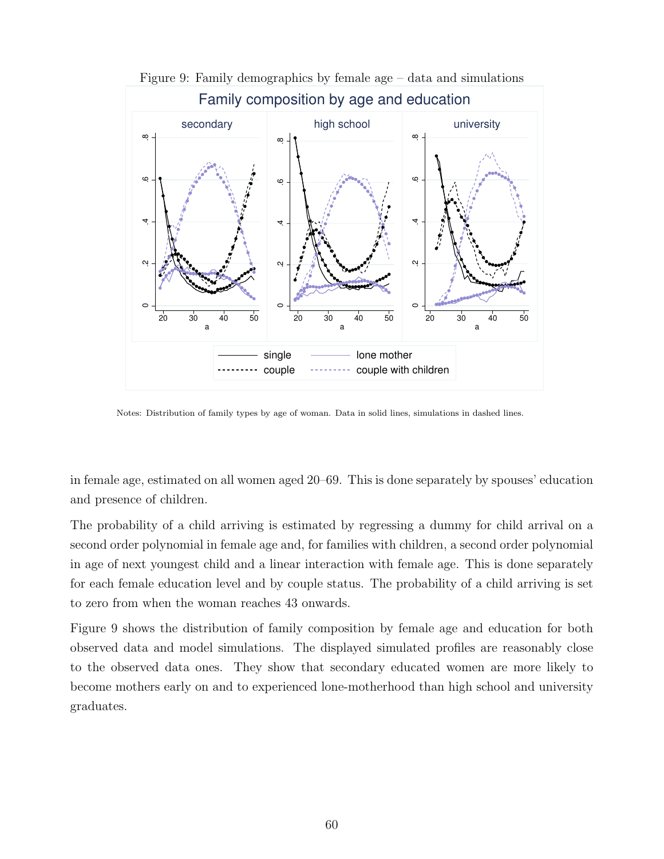

Figure 9: Family demographics by female age – data and simulations

Notes: Distribution of family types by age of woman. Data in solid lines, simulations in dashed lines.

in female age, estimated on all women aged 20–69. This is done separately by spouses' education and presence of children.

The probability of a child arriving is estimated by regressing a dummy for child arrival on a second order polynomial in female age and, for families with children, a second order polynomial in age of next youngest child and a linear interaction with female age. This is done separately for each female education level and by couple status. The probability of a child arriving is set to zero from when the woman reaches 43 onwards.

Figure 9 shows the distribution of family composition by female age and education for both observed data and model simulations. The displayed simulated profiles are reasonably close to the observed data ones. They show that secondary educated women are more likely to become mothers early on and to experienced lone-motherhood than high school and university graduates.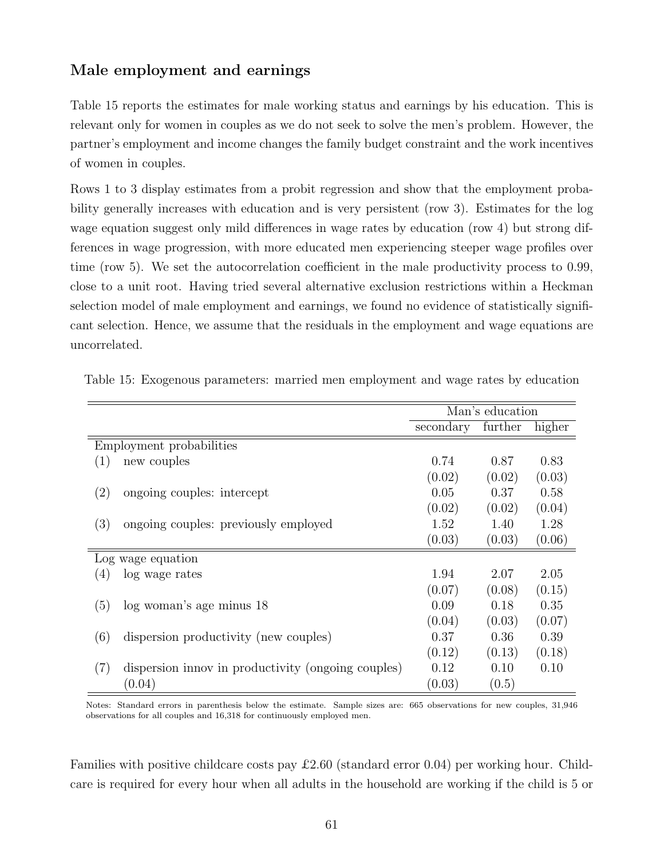### Male employment and earnings

Table 15 reports the estimates for male working status and earnings by his education. This is relevant only for women in couples as we do not seek to solve the men's problem. However, the partner's employment and income changes the family budget constraint and the work incentives of women in couples.

Rows 1 to 3 display estimates from a probit regression and show that the employment probability generally increases with education and is very persistent (row 3). Estimates for the log wage equation suggest only mild differences in wage rates by education (row 4) but strong differences in wage progression, with more educated men experiencing steeper wage profiles over time (row 5). We set the autocorrelation coefficient in the male productivity process to 0.99, close to a unit root. Having tried several alternative exclusion restrictions within a Heckman selection model of male employment and earnings, we found no evidence of statistically significant selection. Hence, we assume that the residuals in the employment and wage equations are uncorrelated.

|                                                           |           | Man's education |        |
|-----------------------------------------------------------|-----------|-----------------|--------|
|                                                           | secondary | further         | higher |
| Employment probabilities                                  |           |                 |        |
| new couples<br>(1)                                        | 0.74      | 0.87            | 0.83   |
|                                                           | (0.02)    | (0.02)          | (0.03) |
| (2)<br>ongoing couples: intercept                         | 0.05      | 0.37            | 0.58   |
|                                                           | (0.02)    | (0.02)          | (0.04) |
| (3)<br>ongoing couples: previously employed               | 1.52      | 1.40            | 1.28   |
|                                                           | (0.03)    | (0.03)          | (0.06) |
| Log wage equation                                         |           |                 |        |
| (4)<br>log wage rates                                     | 1.94      | 2.07            | 2.05   |
|                                                           | (0.07)    | (0.08)          | (0.15) |
| (5)<br>log woman's age minus 18                           | 0.09      | 0.18            | 0.35   |
|                                                           | (0.04)    | (0.03)          | (0.07) |
| (6)<br>dispersion productivity (new couples)              | 0.37      | 0.36            | 0.39   |
|                                                           | (0.12)    | (0.13)          | (0.18) |
| (7)<br>dispersion innov in productivity (ongoing couples) | 0.12      | 0.10            | 0.10   |
| (0.04)                                                    | (0.03)    | (0.5)           |        |

Table 15: Exogenous parameters: married men employment and wage rates by education

Notes: Standard errors in parenthesis below the estimate. Sample sizes are: 665 observations for new couples, 31,946 observations for all couples and 16,318 for continuously employed men.

Families with positive childcare costs pay £2.60 (standard error 0.04) per working hour. Childcare is required for every hour when all adults in the household are working if the child is 5 or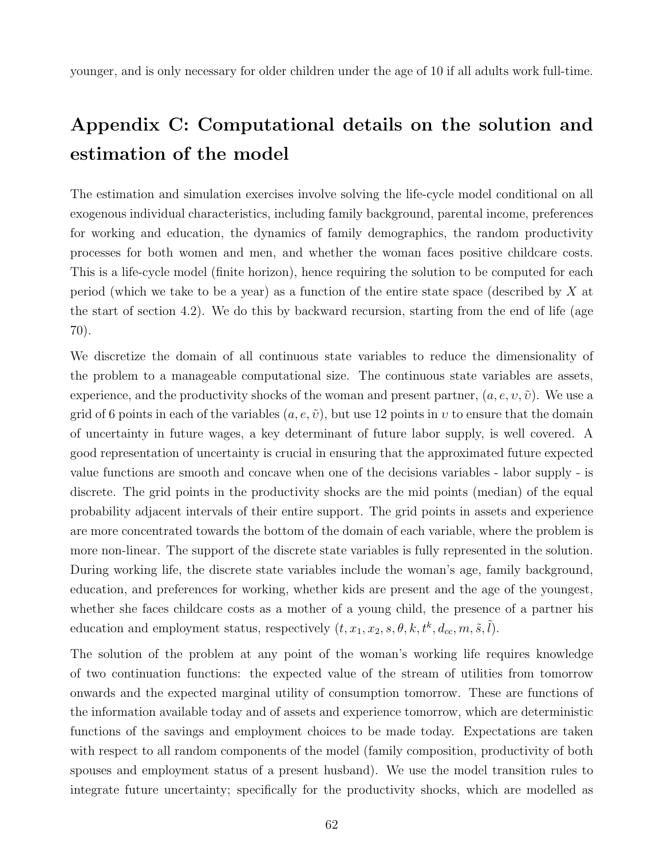# Appendix C: Computational details on the solution and estimation of the model

The estimation and simulation exercises involve solving the life-cycle model conditional on all exogenous individual characteristics, including family background, parental income, preferences for working and education, the dynamics of family demographics, the random productivity processes for both women and men, and whether the woman faces positive childcare costs. This is a life-cycle model (finite horizon), hence requiring the solution to be computed for each period (which we take to be a year) as a function of the entire state space (described by X at the start of section 4.2). We do this by backward recursion, starting from the end of life (age 70).

We discretize the domain of all continuous state variables to reduce the dimensionality of the problem to a manageable computational size. The continuous state variables are assets, experience, and the productivity shocks of the woman and present partner,  $(a, e, v, \tilde{v})$ . We use a grid of 6 points in each of the variables  $(a, e, \tilde{v})$ , but use 12 points in v to ensure that the domain of uncertainty in future wages, a key determinant of future labor supply, is well covered. A good representation of uncertainty is crucial in ensuring that the approximated future expected value functions are smooth and concave when one of the decisions variables - labor supply - is discrete. The grid points in the productivity shocks are the mid points (median) of the equal probability adjacent intervals of their entire support. The grid points in assets and experience are more concentrated towards the bottom of the domain of each variable, where the problem is more non-linear. The support of the discrete state variables is fully represented in the solution. During working life, the discrete state variables include the woman's age, family background, education, and preferences for working, whether kids are present and the age of the youngest, whether she faces childcare costs as a mother of a young child, the presence of a partner his education and employment status, respectively  $(t, x_1, x_2, s, \theta, k, t^k, d_{cc}, m, \tilde{s}, \tilde{l}).$ 

The solution of the problem at any point of the woman's working life requires knowledge of two continuation functions: the expected value of the stream of utilities from tomorrow onwards and the expected marginal utility of consumption tomorrow. These are functions of the information available today and of assets and experience tomorrow, which are deterministic functions of the savings and employment choices to be made today. Expectations are taken with respect to all random components of the model (family composition, productivity of both spouses and employment status of a present husband). We use the model transition rules to integrate future uncertainty; specifically for the productivity shocks, which are modelled as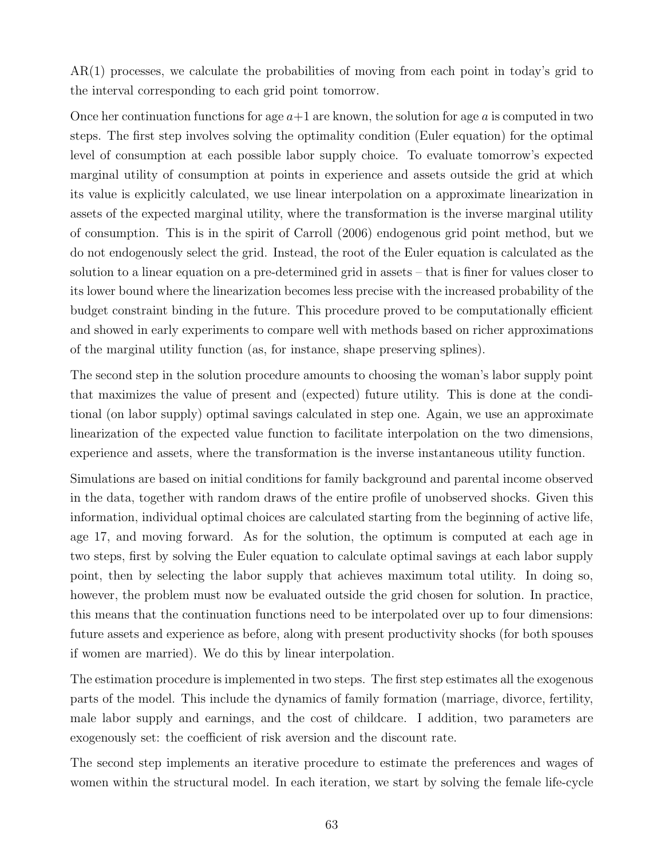AR(1) processes, we calculate the probabilities of moving from each point in today's grid to the interval corresponding to each grid point tomorrow.

Once her continuation functions for age  $a+1$  are known, the solution for age a is computed in two steps. The first step involves solving the optimality condition (Euler equation) for the optimal level of consumption at each possible labor supply choice. To evaluate tomorrow's expected marginal utility of consumption at points in experience and assets outside the grid at which its value is explicitly calculated, we use linear interpolation on a approximate linearization in assets of the expected marginal utility, where the transformation is the inverse marginal utility of consumption. This is in the spirit of Carroll (2006) endogenous grid point method, but we do not endogenously select the grid. Instead, the root of the Euler equation is calculated as the solution to a linear equation on a pre-determined grid in assets – that is finer for values closer to its lower bound where the linearization becomes less precise with the increased probability of the budget constraint binding in the future. This procedure proved to be computationally efficient and showed in early experiments to compare well with methods based on richer approximations of the marginal utility function (as, for instance, shape preserving splines).

The second step in the solution procedure amounts to choosing the woman's labor supply point that maximizes the value of present and (expected) future utility. This is done at the conditional (on labor supply) optimal savings calculated in step one. Again, we use an approximate linearization of the expected value function to facilitate interpolation on the two dimensions, experience and assets, where the transformation is the inverse instantaneous utility function.

Simulations are based on initial conditions for family background and parental income observed in the data, together with random draws of the entire profile of unobserved shocks. Given this information, individual optimal choices are calculated starting from the beginning of active life, age 17, and moving forward. As for the solution, the optimum is computed at each age in two steps, first by solving the Euler equation to calculate optimal savings at each labor supply point, then by selecting the labor supply that achieves maximum total utility. In doing so, however, the problem must now be evaluated outside the grid chosen for solution. In practice, this means that the continuation functions need to be interpolated over up to four dimensions: future assets and experience as before, along with present productivity shocks (for both spouses if women are married). We do this by linear interpolation.

The estimation procedure is implemented in two steps. The first step estimates all the exogenous parts of the model. This include the dynamics of family formation (marriage, divorce, fertility, male labor supply and earnings, and the cost of childcare. I addition, two parameters are exogenously set: the coefficient of risk aversion and the discount rate.

The second step implements an iterative procedure to estimate the preferences and wages of women within the structural model. In each iteration, we start by solving the female life-cycle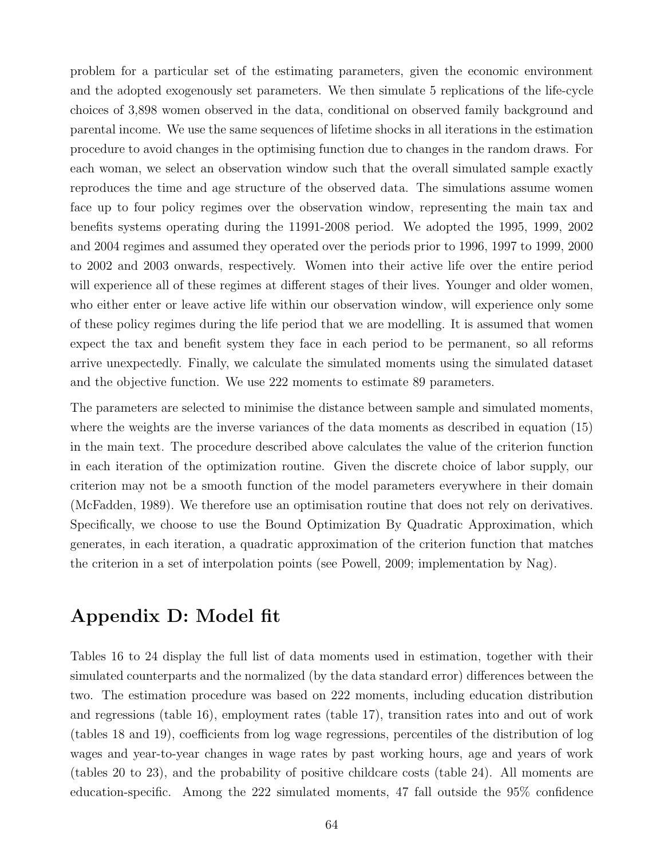problem for a particular set of the estimating parameters, given the economic environment and the adopted exogenously set parameters. We then simulate 5 replications of the life-cycle choices of 3,898 women observed in the data, conditional on observed family background and parental income. We use the same sequences of lifetime shocks in all iterations in the estimation procedure to avoid changes in the optimising function due to changes in the random draws. For each woman, we select an observation window such that the overall simulated sample exactly reproduces the time and age structure of the observed data. The simulations assume women face up to four policy regimes over the observation window, representing the main tax and benefits systems operating during the 11991-2008 period. We adopted the 1995, 1999, 2002 and 2004 regimes and assumed they operated over the periods prior to 1996, 1997 to 1999, 2000 to 2002 and 2003 onwards, respectively. Women into their active life over the entire period will experience all of these regimes at different stages of their lives. Younger and older women, who either enter or leave active life within our observation window, will experience only some of these policy regimes during the life period that we are modelling. It is assumed that women expect the tax and benefit system they face in each period to be permanent, so all reforms arrive unexpectedly. Finally, we calculate the simulated moments using the simulated dataset and the objective function. We use 222 moments to estimate 89 parameters.

The parameters are selected to minimise the distance between sample and simulated moments, where the weights are the inverse variances of the data moments as described in equation (15) in the main text. The procedure described above calculates the value of the criterion function in each iteration of the optimization routine. Given the discrete choice of labor supply, our criterion may not be a smooth function of the model parameters everywhere in their domain (McFadden, 1989). We therefore use an optimisation routine that does not rely on derivatives. Specifically, we choose to use the Bound Optimization By Quadratic Approximation, which generates, in each iteration, a quadratic approximation of the criterion function that matches the criterion in a set of interpolation points (see Powell, 2009; implementation by Nag).

### Appendix D: Model fit

Tables 16 to 24 display the full list of data moments used in estimation, together with their simulated counterparts and the normalized (by the data standard error) differences between the two. The estimation procedure was based on 222 moments, including education distribution and regressions (table 16), employment rates (table 17), transition rates into and out of work (tables 18 and 19), coefficients from log wage regressions, percentiles of the distribution of log wages and year-to-year changes in wage rates by past working hours, age and years of work (tables 20 to 23), and the probability of positive childcare costs (table 24). All moments are education-specific. Among the 222 simulated moments, 47 fall outside the 95% confidence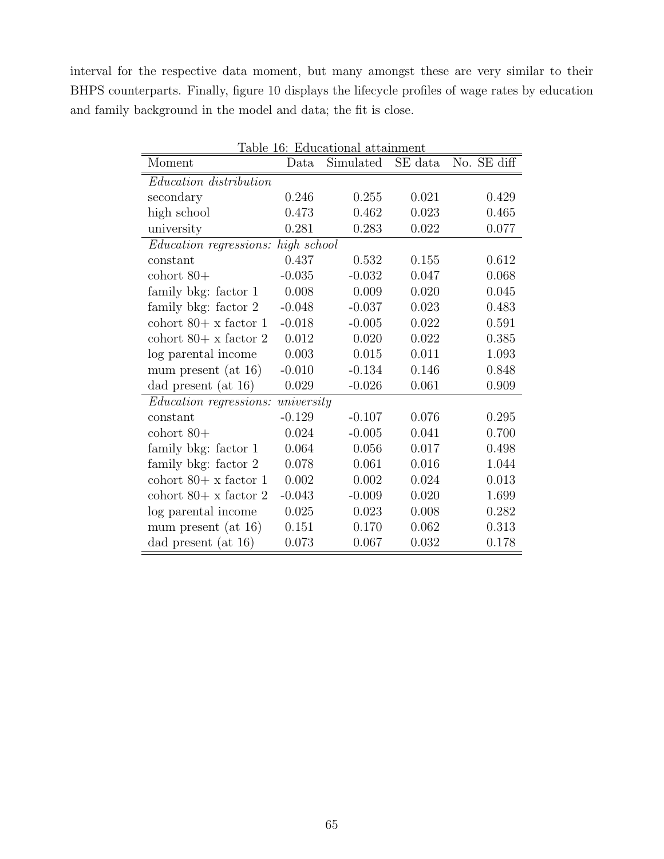interval for the respective data moment, but many amongst these are very similar to their BHPS counterparts. Finally, figure 10 displays the lifecycle profiles of wage rates by education and family background in the model and data; the fit is close.

| Table 16: Educational attainment          |            |           |         |             |  |  |  |  |  |  |  |  |  |
|-------------------------------------------|------------|-----------|---------|-------------|--|--|--|--|--|--|--|--|--|
| Moment                                    | Data       | Simulated | SE data | No. SE diff |  |  |  |  |  |  |  |  |  |
| <i>Education distribution</i>             |            |           |         |             |  |  |  |  |  |  |  |  |  |
| secondary                                 | 0.246      | 0.255     | 0.021   | 0.429       |  |  |  |  |  |  |  |  |  |
| high school                               | 0.473      | 0.462     | 0.023   | 0.465       |  |  |  |  |  |  |  |  |  |
| university                                | 0.281      | 0.283     | 0.022   | 0.077       |  |  |  |  |  |  |  |  |  |
| <i>Education regressions: high school</i> |            |           |         |             |  |  |  |  |  |  |  |  |  |
| constant                                  | 0.437      | 0.532     | 0.155   | $0.612\,$   |  |  |  |  |  |  |  |  |  |
| $\text{cohort } 80+$                      | $-0.035$   | $-0.032$  | 0.047   | 0.068       |  |  |  |  |  |  |  |  |  |
| family bkg: factor 1                      | 0.008      | 0.009     | 0.020   | 0.045       |  |  |  |  |  |  |  |  |  |
| family bkg: factor 2                      | $-0.048$   | $-0.037$  | 0.023   | 0.483       |  |  |  |  |  |  |  |  |  |
| cohort $80+$ x factor 1                   | $-0.018$   | $-0.005$  | 0.022   | 0.591       |  |  |  |  |  |  |  |  |  |
| cohort $80+$ x factor 2                   | 0.012      | 0.020     | 0.022   | 0.385       |  |  |  |  |  |  |  |  |  |
| log parental income                       | 0.003      | 0.015     | 0.011   | 1.093       |  |  |  |  |  |  |  |  |  |
| mum present (at $16$ )                    | $-0.010$   | $-0.134$  | 0.146   | 0.848       |  |  |  |  |  |  |  |  |  |
| $d$ ad present (at 16)                    | 0.029      | $-0.026$  | 0.061   | 0.909       |  |  |  |  |  |  |  |  |  |
| <i>Education regressions:</i>             | university |           |         |             |  |  |  |  |  |  |  |  |  |
| constant                                  | $-0.129$   | $-0.107$  | 0.076   | 0.295       |  |  |  |  |  |  |  |  |  |
| $\text{cohort } 80+$                      | 0.024      | $-0.005$  | 0.041   | 0.700       |  |  |  |  |  |  |  |  |  |
| family bkg: factor 1                      | 0.064      | 0.056     | 0.017   | 0.498       |  |  |  |  |  |  |  |  |  |
| family bkg: factor 2                      | 0.078      | 0.061     | 0.016   | 1.044       |  |  |  |  |  |  |  |  |  |
| cohort $80+$ x factor 1                   | 0.002      | 0.002     | 0.024   | 0.013       |  |  |  |  |  |  |  |  |  |
| cohort $80+$ x factor 2                   | $-0.043$   | $-0.009$  | 0.020   | 1.699       |  |  |  |  |  |  |  |  |  |
| log parental income                       | 0.025      | 0.023     | 0.008   | 0.282       |  |  |  |  |  |  |  |  |  |
| mum present (at $16$ )                    | 0.151      | 0.170     | 0.062   | 0.313       |  |  |  |  |  |  |  |  |  |
| $\alpha$ dad present (at 16)              | 0.073      | 0.067     | 0.032   | 0.178       |  |  |  |  |  |  |  |  |  |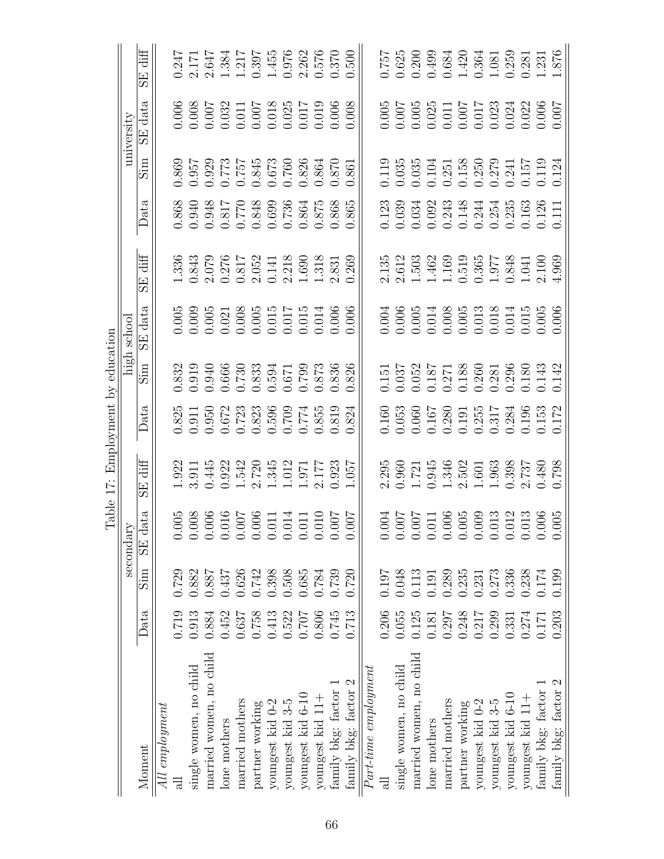|                         |             | diff<br>55              |                |       | .171                                                                                                                                                                                                                                                                                                |                         |              |                 | $\begin{array}{l} 2.647 \\ 1.384 \\ 1.217 \\ 0.397 \\ 0.455 \\ 0.576 \\ 0.576 \\ 0.576 \\ 0.502 \\ 0.500 \\ 0.500 \\ \end{array}$                                                                                                                                                                   |                  |                  |                   |                    |                      |                      |                         | $0.757$<br>$0.625$ |                        | 0.200                   |              |                 |                 |                  |                                                                                                                                                                                                                                                                                                       |                   |                  |                      | $\begin{array}{l} 0.499 \\ 0.684 \\ 1.420 \\ 0.361 \\ 1.081 \\ 0.259 \\ 0.231 \\ 1.376 \\ 1.376 \\ 1.420 \\ 1.376 \\ \end{array}$ |
|-------------------------|-------------|-------------------------|----------------|-------|-----------------------------------------------------------------------------------------------------------------------------------------------------------------------------------------------------------------------------------------------------------------------------------------------------|-------------------------|--------------|-----------------|-----------------------------------------------------------------------------------------------------------------------------------------------------------------------------------------------------------------------------------------------------------------------------------------------------|------------------|------------------|-------------------|--------------------|----------------------|----------------------|-------------------------|--------------------|------------------------|-------------------------|--------------|-----------------|-----------------|------------------|-------------------------------------------------------------------------------------------------------------------------------------------------------------------------------------------------------------------------------------------------------------------------------------------------------|-------------------|------------------|----------------------|-----------------------------------------------------------------------------------------------------------------------------------|
|                         | university  | data<br>5E)             |                | 0.006 | $\begin{array}{r} 0.008 \\ 0.007 \\ 0.032 \\ 0.011 \\ 0.011 \\ 0.018 \\ 0.017 \\ 0.018 \\ 0.017 \\ 0.006 \\ 0.000 \\ 0.000 \\ 0.000 \\ 0.000 \\ 0.000 \\ 0.000 \\ 0.000 \\ 0.000 \\ 0.000 \\ 0.000 \\ 0.000 \\ 0.000 \\ 0.000 \\ 0.000 \\ 0.000 \\ 0.000 \\ 0.000 \\ 0.000 \\ 0.000 \\ 0.000 \\ 0.$ |                         |              |                 |                                                                                                                                                                                                                                                                                                     |                  |                  |                   |                    |                      |                      |                         |                    |                        |                         |              |                 |                 |                  | $\begin{array}{l} 0.005\\ 0.007\\ 0.005\\ 0.010\\ 0.011\\ 0.007\\ 0.007\\ 0.007\\ 0.000\\ 0.002\\ 0.000\\ 0.000\\ 0.000\\ 0.000\\ 0.000\\ 0.000\\ 0.000\\ 0.000\\ 0.000\\ 0.000\\ 0.000\\ 0.000\\ 0.000\\ 0.000\\ 0.000\\ 0.000\\ 0.000\\ 0.000\\ 0.000\\ 0.000\\ 0.$                                 |                   |                  |                      |                                                                                                                                   |
|                         |             | $\sin$                  |                | 0.869 | $0.957$<br>$0.929$<br>$0.773$<br>$0.675$<br>$0.676$<br>$0.676$<br>$0.826$<br>$0.864$                                                                                                                                                                                                                |                         |              |                 |                                                                                                                                                                                                                                                                                                     |                  |                  |                   |                    | 0.870<br>0.861       |                      |                         | 0.119              | 0.035                  |                         |              |                 |                 |                  | $\begin{array}{l} 0.035 \\ 0.104 \\ 0.251 \\ 0.350 \\ 0.158 \\ 0.279 \\ 0.279 \\ 0.157 \\ 0.119 \\ 0.119 \\ 0.124 \\ 0.124 \end{array}$                                                                                                                                                               |                   |                  |                      |                                                                                                                                   |
|                         |             | Data                    |                |       |                                                                                                                                                                                                                                                                                                     |                         |              |                 |                                                                                                                                                                                                                                                                                                     |                  |                  |                   |                    |                      |                      |                         |                    |                        |                         |              |                 |                 |                  | $\begin{array}{l} 0.123 \\ 0.039 \\ 0.034 \\ 0.043 \\ 0.0243 \\ 0.148 \\ 0.254 \\ 0.034 \\ 0.0148 \\ 0.035 \\ 0.010 \\ 0.011 \\ 0.010 \\ 0.010 \\ 0.011 \\ 0.011 \\ 0.011 \\ 0.011 \\ 0.011 \\ 0.011 \\ 0.011 \\ 0.011 \\ 0.011 \\ 0.011 \\ 0.011 \\ 0.011 \\ 0.011 \\ 0.011 \\ 0.011 \\ 0.011 \\ $   |                   |                  |                      |                                                                                                                                   |
|                         |             | diff<br>5E              |                | .336  | $\begin{array}{c} 0.843 \\ 2.079 \\ 0.276 \\ 0.817 \\ 0.811 \\ 0.141 \\ 0.189 \\ 0.141 \\ 0.831 \\ 1.318 \\ 1.3831 \\ 1.331 \\ 0.2831 \\ 0.269 \end{array}$                                                                                                                                         |                         |              |                 |                                                                                                                                                                                                                                                                                                     |                  |                  |                   |                    |                      |                      |                         |                    |                        |                         |              |                 |                 |                  | $\begin{array}{l} 2.135 \\ 2.612 \\ 1.503 \\ 1.462 \\ 1.169 \\ 0.519 \\ 0.365 \\ 0.344 \\ 0.41 \\ 0.41 \\ 0.436 \\ 0.41 \\ 0.436 \\ 0.41 \\ 0.436 \\ 0.41 \\ 0.436 \\ 0.436 \\ 0.41 \\ 0.436 \\ 0.436 \\ 0.436 \\ 0.436 \\ 0.436 \\ 0.436 \\ 0.436 \\ 0.436 \\ 0.436 \\ 0.436 \\ 0.436 \\ 0.436 \\ 0$ |                   |                  |                      |                                                                                                                                   |
|                         | high school | $SE$ data               |                |       | $\begin{array}{l} 0.005\\ 0.000\\ 0.005\\ 0.005\\ 0.008\\ 0.000\\ 0.011\\ 0.011\\ 0.000\\ 0.001\\ 0.014\\ 0.006\\ 0.000\\ 0.000\\ 0.000\\ 0.000\\ 0.000\\ 0.000\\ 0.000\\ 0.000\\ 0.000\\ 0.000\\ 0.000\\ 0.000\\ 0.000\\ 0.000\\ 0.000\\ 0.000\\ 0.000\\ 0.000\\ 0.$                               |                         |              |                 |                                                                                                                                                                                                                                                                                                     |                  |                  |                   |                    |                      |                      |                         |                    |                        |                         |              |                 |                 |                  | $\begin{array}{l} 0.004 \\ 0.006 \\ 0.005 \\ 0.004 \\ 0.008 \\ 0.005 \\ 0.005 \\ 0.005 \\ 0.013 \\ 0.014 \\ 0.006 \\ 0.006 \\ 0.006 \\ 0.006 \\ 0.006 \\ \end{array}$                                                                                                                                 |                   |                  |                      |                                                                                                                                   |
|                         |             | $\sin$                  |                |       | $\begin{array}{r} 0.832 \\ 0.919 \\ 0.940 \\ 0.666 \\ 0.730 \\ 0.833 \\ 0.594 \\ 0.799 \\ 0.833 \\ 0.671 \\ 0.836 \\ 0.826 \\ 0.836 \\ 0.826 \end{array}$                                                                                                                                           |                         |              |                 |                                                                                                                                                                                                                                                                                                     |                  |                  |                   |                    |                      |                      |                         |                    |                        |                         |              |                 |                 |                  | $\begin{array}{l} 0.151 \\ 0.037 \\ 0.052 \\ 0.187 \\ 0.271 \\ 0.271 \\ 0.288 \\ 0.281 \\ 0.030 \\ 0.142 \\ 0.142 \\ 0.142 \\ 0.142 \\ 0.142 \\ 0.142 \\ \end{array}$                                                                                                                                 |                   |                  |                      |                                                                                                                                   |
| Employment by education |             | Data                    |                |       | 825<br>0.911 0.6723<br>0.050 0.590 0.674<br>0.000 0.000 0.624<br>0.624                                                                                                                                                                                                                              |                         |              |                 |                                                                                                                                                                                                                                                                                                     |                  |                  |                   |                    |                      |                      |                         |                    |                        |                         |              |                 |                 |                  | $\begin{array}{l} 0.160\\ 0.053\\ 0.060\\ 0.167\\ 0.180\\ 0.191\\ 0.280\\ 0.191\\ 0.255\\ 0.317\\ 0.034\\ 0.196\\ \end{array}$                                                                                                                                                                        |                   |                  | ).153<br>).172       |                                                                                                                                   |
|                         |             | diff<br>SE <sub>3</sub> |                | 1.922 | $3.911$<br>$0.445$                                                                                                                                                                                                                                                                                  |                         |              |                 | $\begin{array}{c} 0.922 \\ 0.542 \\ 1.543 \\ 2.720 \\ 1.345 \\ 1.011 \\ 1.017 \\ 2.175 \\ 2.105 \\ 1.057 \\ 1.057 \\ 1.057 \\ 1.057 \\ 1.057 \\ 1.057 \\ 1.057 \\ 1.057 \\ 1.057 \\ 1.057 \\ 1.057 \\ 1.057 \\ 1.057 \\ 1.057 \\ 1.057 \\ 1.057 \\ 1.057 \\ 1.057 \\ 1.057 \\ 1.057 \\ 1.057 \\ 1.$ |                  |                  |                   |                    |                      |                      |                         | 2.295              | 0.960                  |                         |              |                 |                 |                  | $\begin{array}{l} 1.721 \\ 0.945 \\ 1.346 \\ 2.502 \\ 1.601 \\ 1.603 \\ 0.398 \\ 0.480 \\ 0.798 \\ \end{array}$                                                                                                                                                                                       |                   |                  |                      |                                                                                                                                   |
| Table 17:               | secondary   | lata<br>5E d            |                | 0.005 | $\begin{array}{r} 7000 \\ 0.006 \\ 0.010 \\ 0.000 \\ 0.000 \\ 0.001 \\ 0.001 \\ 0.001 \\ 0.007 \\ 0.007 \\ 0.007 \\ 0.007 \\ 0.007 \\ 0.007 \\ 0.007 \\ 0.007 \\ 0.007 \\ 0.007 \\ 0.007 \\ 0.007 \\ 0.007 \\ 0.007 \\ 0.007 \\ 0.007 \\ 0.007 \\ 0.007 \\ 0.007 \\ 0.007 \\ 0.007 \\ 0.007 \\ 0.0$ |                         |              |                 |                                                                                                                                                                                                                                                                                                     |                  |                  |                   |                    |                      |                      |                         |                    |                        |                         |              |                 |                 |                  | $\begin{array}{l} 0.004\\ 0.007\\ 0.007\\ 0.001\\ 0.006\\ 0.006\\ 0.003\\ 0.011\\ 0.006\\ 0.003\\ 0.003\\ 0.005\\ 0.005\\ 0.005\\ 0.005\\ 0.005\\ 0.006\\ 0.007\\ 0.008\\ 0.007\\ 0.008\\ 0.009\\ 0.0008\\ 0.0009\\ 0.0009\\ 0.0009\\ 0.0009\\ 0.0009\\ 0.0009\\ 0.$                                  |                   |                  |                      |                                                                                                                                   |
|                         |             | mig                     |                | 0.729 | 0.882                                                                                                                                                                                                                                                                                               | 0.887                   | 0.437        | 0.626           | 0.742                                                                                                                                                                                                                                                                                               | 0.398            | 0.508            | 0.685             | 0.784              | 0.739                | 0.720                |                         | 0.197              | 0.048                  | 0.113                   | 0.191        | 0.289           | 0.235           | 0.231            | 0.273                                                                                                                                                                                                                                                                                                 | 0.336             | 0.238            | 0.174                | 0.199                                                                                                                             |
|                         |             | Data                    |                | 0.719 | 0.913                                                                                                                                                                                                                                                                                               | 0.884                   | 0.452        | 0.637           | 0.758                                                                                                                                                                                                                                                                                               | 0.413            | 0.522            | 0.707             | 0.806              | 0.745                | 0.713                |                         | 0.206              | 0.055                  | 0.125                   | 0.181        | 0.297           | 0.248           | 0.217            | 0.299                                                                                                                                                                                                                                                                                                 | 0.331             | 0.274            | 0.171                | 0.203                                                                                                                             |
|                         |             | Moment                  | All employment |       | single women, no child                                                                                                                                                                                                                                                                              | married women, no child | lone mothers | married mothers | partner working                                                                                                                                                                                                                                                                                     | youngest kid 0-2 | youngest kid 3-5 | youngest kid 6-10 | youngest kid $11+$ | family bkg: factor 1 | family bkg: factor 2 | $Part-time\ emplogment$ | $\overline{a}$     | single women, no child | married women, no child | lone mothers | married mothers | partner working | youngest kid 0-2 | youngest kid 3-5                                                                                                                                                                                                                                                                                      | youngest kid 6-10 | youngest kid 11+ | family bkg: factor 1 | family bkg: factor 2                                                                                                              |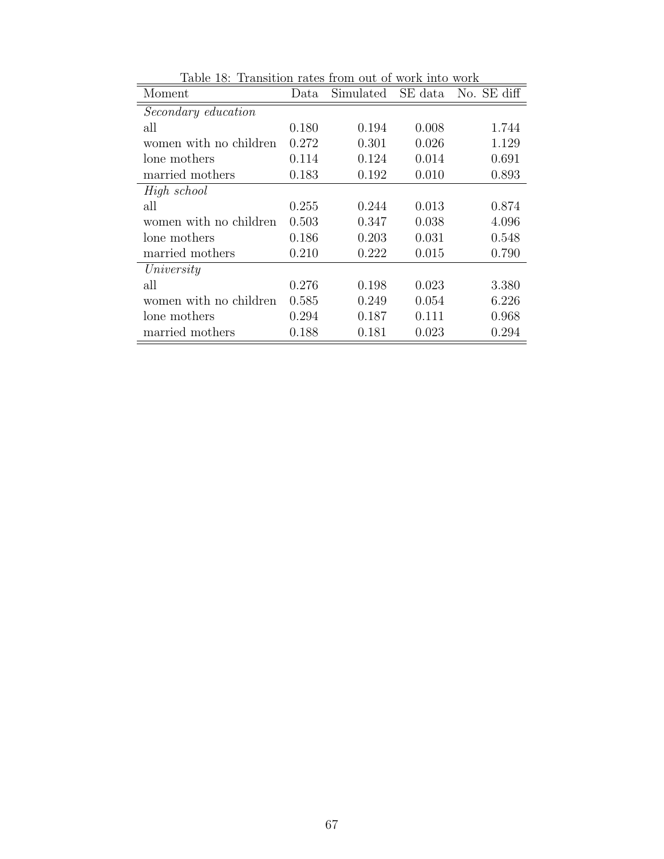| Moment                     | Data  | Simulated | SE data | No. SE diff |
|----------------------------|-------|-----------|---------|-------------|
| <i>Secondary education</i> |       |           |         |             |
| all                        | 0.180 | 0.194     | 0.008   | 1.744       |
| women with no children     | 0.272 | 0.301     | 0.026   | 1.129       |
| lone mothers               | 0.114 | 0.124     | 0.014   | 0.691       |
| married mothers            | 0.183 | 0.192     | 0.010   | 0.893       |
| High school                |       |           |         |             |
| all                        | 0.255 | 0.244     | 0.013   | 0.874       |
| women with no children     | 0.503 | 0.347     | 0.038   | 4.096       |
| lone mothers               | 0.186 | 0.203     | 0.031   | 0.548       |
| married mothers            | 0.210 | 0.222     | 0.015   | 0.790       |
| University                 |       |           |         |             |
| all                        | 0.276 | 0.198     | 0.023   | 3.380       |
| women with no children     | 0.585 | 0.249     | 0.054   | 6.226       |
| lone mothers               | 0.294 | 0.187     | 0.111   | 0.968       |
| married mothers            | 0.188 | 0.181     | 0.023   | 0.294       |

Table 18: Transition rates from out of work into work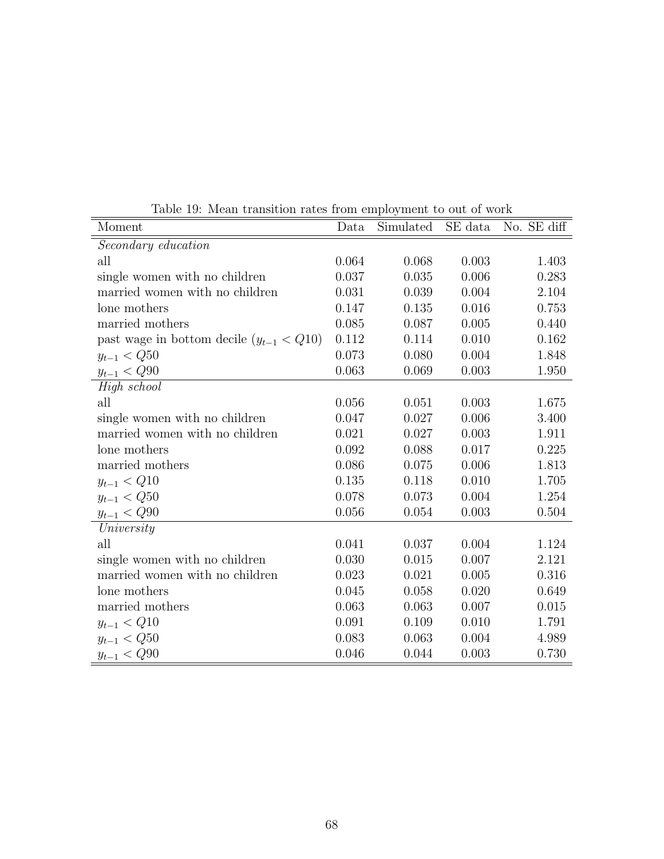| Moment                                       | Data  | Simulated | SE data | No. SE diff |
|----------------------------------------------|-------|-----------|---------|-------------|
| Secondary education                          |       |           |         |             |
| all                                          | 0.064 | 0.068     | 0.003   | 1.403       |
| single women with no children                | 0.037 | 0.035     | 0.006   | 0.283       |
| married women with no children               | 0.031 | 0.039     | 0.004   | 2.104       |
| lone mothers                                 | 0.147 | 0.135     | 0.016   | 0.753       |
| married mothers                              | 0.085 | 0.087     | 0.005   | 0.440       |
| past wage in bottom decile $(y_{t-1} < Q10)$ | 0.112 | 0.114     | 0.010   | 0.162       |
| $y_{t-1} < Q50$                              | 0.073 | 0.080     | 0.004   | 1.848       |
| $y_{t-1} < Q90$                              | 0.063 | 0.069     | 0.003   | 1.950       |
| High school                                  |       |           |         |             |
| all                                          | 0.056 | 0.051     | 0.003   | 1.675       |
| single women with no children                | 0.047 | 0.027     | 0.006   | 3.400       |
| married women with no children               | 0.021 | 0.027     | 0.003   | 1.911       |
| lone mothers                                 | 0.092 | 0.088     | 0.017   | 0.225       |
| married mothers                              | 0.086 | 0.075     | 0.006   | 1.813       |
| $y_{t-1} < Q10$                              | 0.135 | 0.118     | 0.010   | 1.705       |
| $y_{t-1} < Q50$                              | 0.078 | 0.073     | 0.004   | 1.254       |
| $y_{t-1} < Q90$                              | 0.056 | 0.054     | 0.003   | 0.504       |
| University                                   |       |           |         |             |
| all                                          | 0.041 | 0.037     | 0.004   | 1.124       |
| single women with no children                | 0.030 | 0.015     | 0.007   | 2.121       |
| married women with no children               | 0.023 | 0.021     | 0.005   | 0.316       |
| lone mothers                                 | 0.045 | 0.058     | 0.020   | 0.649       |
| married mothers                              | 0.063 | 0.063     | 0.007   | 0.015       |
| $y_{t-1} < Q10$                              | 0.091 | 0.109     | 0.010   | 1.791       |
| $y_{t-1} < Q50$                              | 0.083 | 0.063     | 0.004   | 4.989       |
| $y_{t-1} < Q90$                              | 0.046 | 0.044     | 0.003   | 0.730       |

Table 19: Mean transition rates from employment to out of work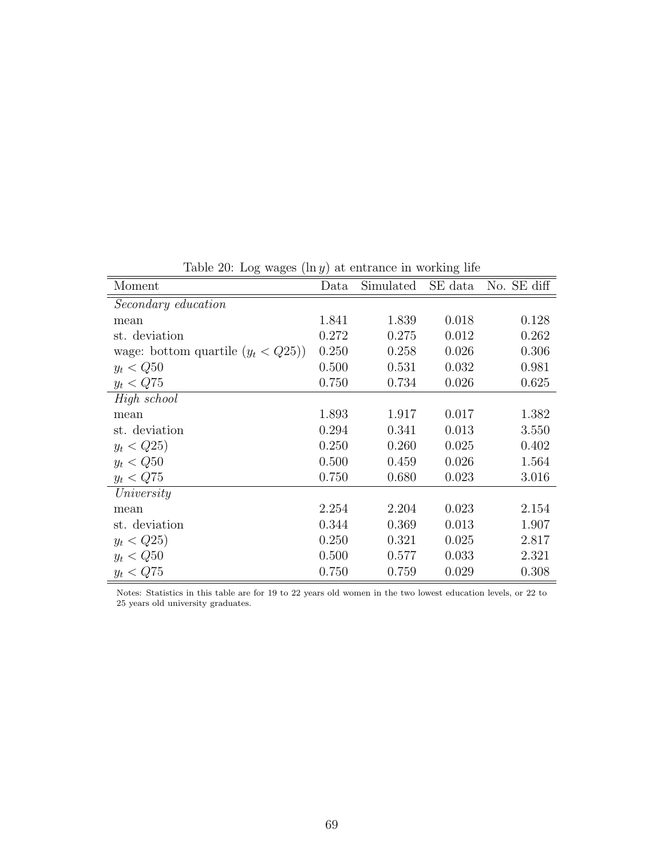| Moment                              | Data  | Simulated | SE data | No. SE diff |
|-------------------------------------|-------|-----------|---------|-------------|
| Secondary education                 |       |           |         |             |
| mean                                | 1.841 | 1.839     | 0.018   | 0.128       |
| st. deviation                       | 0.272 | 0.275     | 0.012   | 0.262       |
| wage: bottom quartile $(y_t < Q25)$ | 0.250 | 0.258     | 0.026   | 0.306       |
| $y_t < Q50$                         | 0.500 | 0.531     | 0.032   | 0.981       |
| $y_t < Q$ 75                        | 0.750 | 0.734     | 0.026   | 0.625       |
| High school                         |       |           |         |             |
| mean                                | 1.893 | 1.917     | 0.017   | 1.382       |
| st. deviation                       | 0.294 | 0.341     | 0.013   | 3.550       |
| $y_t < Q25$                         | 0.250 | 0.260     | 0.025   | 0.402       |
| $y_t < Q50$                         | 0.500 | 0.459     | 0.026   | 1.564       |
| $y_t < Q$ 75                        | 0.750 | 0.680     | 0.023   | 3.016       |
| University                          |       |           |         |             |
| mean                                | 2.254 | 2.204     | 0.023   | 2.154       |
| st. deviation                       | 0.344 | 0.369     | 0.013   | 1.907       |
| $y_t < Q25$                         | 0.250 | 0.321     | 0.025   | 2.817       |
| $y_t < Q50$                         | 0.500 | 0.577     | 0.033   | 2.321       |
| $y_t < Q$ 75                        | 0.750 | 0.759     | 0.029   | 0.308       |

Table 20: Log wages  $(\ln y)$  at entrance in working life

Notes: Statistics in this table are for 19 to 22 years old women in the two lowest education levels, or 22 to 25 years old university graduates.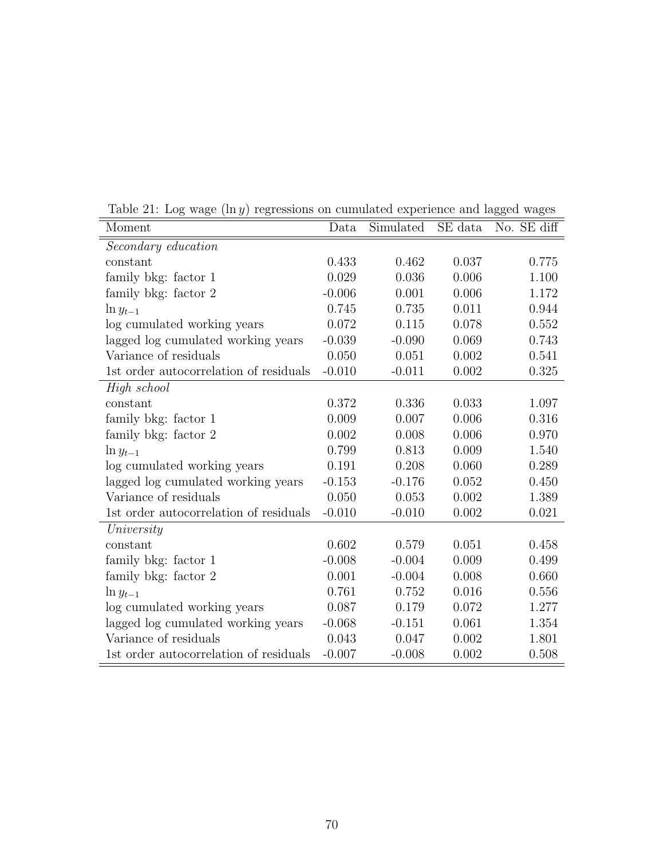| Moment                                 | Data     | Simulated | SE data | ت<br>$\circ$<br>No. SE diff |
|----------------------------------------|----------|-----------|---------|-----------------------------|
| Secondary education                    |          |           |         |                             |
| constant                               | 0.433    | 0.462     | 0.037   | 0.775                       |
| family bkg: factor 1                   | 0.029    | 0.036     | 0.006   | 1.100                       |
| family bkg: factor 2                   | $-0.006$ | 0.001     | 0.006   | 1.172                       |
| $\ln y_{t-1}$                          | 0.745    | 0.735     | 0.011   | 0.944                       |
| log cumulated working years            | 0.072    | 0.115     | 0.078   | 0.552                       |
| lagged log cumulated working years     | $-0.039$ | $-0.090$  | 0.069   | 0.743                       |
| Variance of residuals                  | 0.050    | 0.051     | 0.002   | 0.541                       |
| 1st order autocorrelation of residuals | $-0.010$ | $-0.011$  | 0.002   | 0.325                       |
| High school                            |          |           |         |                             |
| constant                               | 0.372    | 0.336     | 0.033   | 1.097                       |
| family bkg: factor 1                   | 0.009    | 0.007     | 0.006   | 0.316                       |
| family bkg: factor 2                   | 0.002    | 0.008     | 0.006   | 0.970                       |
| $\ln y_{t-1}$                          | 0.799    | 0.813     | 0.009   | 1.540                       |
| log cumulated working years            | 0.191    | 0.208     | 0.060   | 0.289                       |
| lagged log cumulated working years     | $-0.153$ | $-0.176$  | 0.052   | 0.450                       |
| Variance of residuals                  | 0.050    | 0.053     | 0.002   | 1.389                       |
| 1st order autocorrelation of residuals | $-0.010$ | $-0.010$  | 0.002   | 0.021                       |
| University                             |          |           |         |                             |
| constant                               | 0.602    | 0.579     | 0.051   | 0.458                       |
| family bkg: factor 1                   | $-0.008$ | $-0.004$  | 0.009   | 0.499                       |
| family bkg: factor 2                   | 0.001    | $-0.004$  | 0.008   | 0.660                       |
| $\ln y_{t-1}$                          | 0.761    | 0.752     | 0.016   | 0.556                       |
| log cumulated working years            | 0.087    | 0.179     | 0.072   | 1.277                       |
| lagged log cumulated working years     | $-0.068$ | $-0.151$  | 0.061   | 1.354                       |
| Variance of residuals                  | 0.043    | 0.047     | 0.002   | 1.801                       |
| 1st order autocorrelation of residuals | $-0.007$ | $-0.008$  | 0.002   | 0.508                       |

Table 21: Log wage  $(\ln y)$  regressions on cumulated experience and lagged wages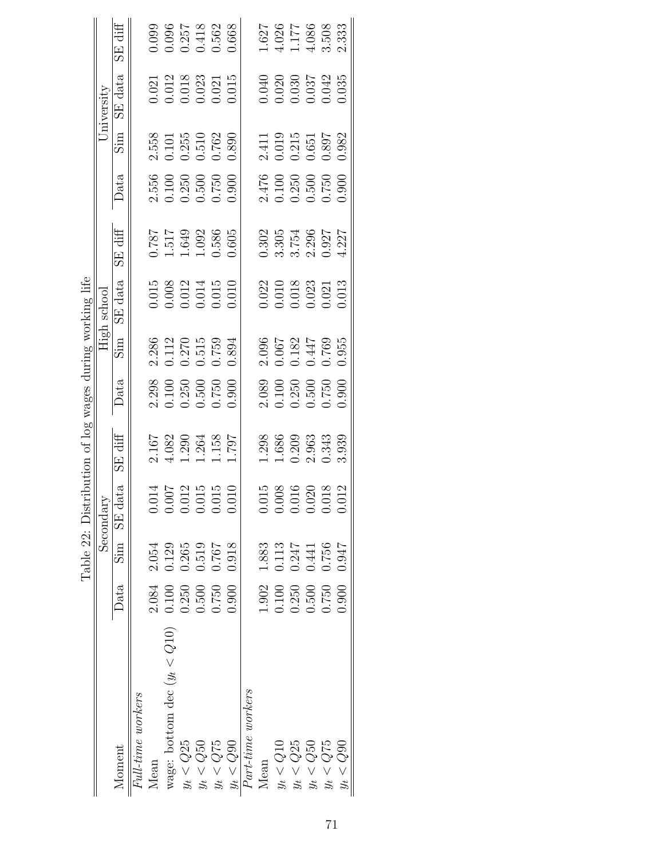| 2.084<br>Data<br>0.100<br>0.250<br>wage: bottom dec $(y_t < Q10)$<br>Full-time workers<br>$y_t < Q25$<br>Moment<br>Mean | $\overline{\text{Sim}}$<br>2.054 | Secondary                                                                            |                                                                 |                                                                          |                                                                          | High school                      |                                                                          |                                                                          |                                                                          | Jniversity                                                      |                                                                          |
|-------------------------------------------------------------------------------------------------------------------------|----------------------------------|--------------------------------------------------------------------------------------|-----------------------------------------------------------------|--------------------------------------------------------------------------|--------------------------------------------------------------------------|----------------------------------|--------------------------------------------------------------------------|--------------------------------------------------------------------------|--------------------------------------------------------------------------|-----------------------------------------------------------------|--------------------------------------------------------------------------|
|                                                                                                                         |                                  | SE data                                                                              | SE diff                                                         | Data                                                                     | Sim                                                                      | SE data                          | $SE$ diff                                                                | Data                                                                     | $\sin$                                                                   | SE data                                                         | $\rm SE~ diff$                                                           |
|                                                                                                                         |                                  |                                                                                      |                                                                 |                                                                          |                                                                          |                                  |                                                                          |                                                                          |                                                                          |                                                                 |                                                                          |
|                                                                                                                         |                                  |                                                                                      | 2.167                                                           |                                                                          |                                                                          | 1.015                            |                                                                          |                                                                          |                                                                          | 0.021                                                           | 0.099                                                                    |
|                                                                                                                         | 0.129                            | $\begin{array}{c} 0.014 \\ 0.007 \\ 0.012 \\ 0.015 \\ 0.015 \\ 0.015 \\ \end{array}$ | $\begin{array}{c} 4.082 \\ 1.290 \\ 1.158 \\ 1.158 \end{array}$ | $2.298$<br>$0.100$<br>$0.250$<br>$0.500$<br>$0.750$<br>$0.900$           | $\begin{array}{c} 2.286 \\ 0.112 \\ 0.515 \\ 0.515 \\ 0.759 \end{array}$ | 0.008<br>0.012<br>0.014          | $\begin{array}{c} 0.787 \\ 1.517 \\ 1.649 \\ 1.092 \\ 0.586 \end{array}$ | $2.556$<br>$0.100$<br>$0.250$<br>$0.500$<br>$0.750$                      | $\begin{array}{c} 2.558 \\ 0.101 \\ 0.255 \\ 0.510 \\ 0.762 \end{array}$ | 0.012<br>0.018<br>0.023<br>0.021<br>0.015                       | $\begin{array}{c} 0.096 \\ 0.257 \\ 0.418 \\ 0.562 \end{array}$          |
|                                                                                                                         | 0.265                            |                                                                                      |                                                                 |                                                                          |                                                                          |                                  |                                                                          |                                                                          |                                                                          |                                                                 |                                                                          |
| 0.500<br>$y_t < Q50$                                                                                                    | 0.519                            |                                                                                      |                                                                 |                                                                          |                                                                          |                                  |                                                                          |                                                                          |                                                                          |                                                                 |                                                                          |
| 0.750<br>$y_t < Q75$                                                                                                    | 0.767                            |                                                                                      |                                                                 |                                                                          |                                                                          |                                  |                                                                          |                                                                          |                                                                          |                                                                 |                                                                          |
| 0.900<br>$y_t < Q$ 90                                                                                                   | 0.918                            |                                                                                      | 1627                                                            |                                                                          | 0.894                                                                    | 010.                             | 0.605                                                                    | 0.900                                                                    | 0.890                                                                    |                                                                 | 0.668                                                                    |
| Part-time workers                                                                                                       |                                  |                                                                                      |                                                                 |                                                                          |                                                                          |                                  |                                                                          |                                                                          |                                                                          |                                                                 |                                                                          |
| 1.902<br>Mean                                                                                                           | 1.883                            |                                                                                      | 1.298                                                           |                                                                          | 2.096                                                                    | 0.022                            | 0.302                                                                    |                                                                          |                                                                          | 040                                                             |                                                                          |
| 0.100<br>$y_t < Q10$                                                                                                    | 0.113                            | $\begin{array}{c} 0.015\ 0.008\ 0.016\ 0.016\ 0.020\ 0.030 \end{array}$              | $\begin{array}{c} 1.686 \\ 0.209 \\ 2.963 \\ 0.343 \end{array}$ | $\begin{array}{c} 2.089 \\ 0.100 \\ 0.250 \\ 0.500 \\ 0.750 \end{array}$ | $\begin{array}{c} 0.067 \\ 1.82 \\ 0.447 \\ 0.447 \\ 0.769 \end{array}$  | 0.010<br>0.018<br>0.023<br>0.021 | $3.305$<br>$3.754$<br>$2.296$<br>$0.927$                                 | $\begin{array}{c} 2.476 \\ 0.100 \\ 0.550 \\ 0.500 \\ 0.750 \end{array}$ | $\begin{array}{c} 2.411 \\ 0.019 \\ 0.215 \\ 0.651 \\ 0.897 \end{array}$ | $\begin{array}{c} 0.020 \\ 0.030 \\ 0.037 \\ 0.042 \end{array}$ | $\begin{array}{l} 1.627 \\ 4.026 \\ 1.177 \\ 4.086 \\ 3.508 \end{array}$ |
| 0.250<br>$y_t < Q25$                                                                                                    | 0.247                            |                                                                                      |                                                                 |                                                                          |                                                                          |                                  |                                                                          |                                                                          |                                                                          |                                                                 |                                                                          |
| 0.500<br>$y_t < Q50$                                                                                                    | 0.441                            |                                                                                      |                                                                 |                                                                          |                                                                          |                                  |                                                                          |                                                                          |                                                                          |                                                                 |                                                                          |
| 0.750<br>$y_t < Q75$                                                                                                    | 0.756                            |                                                                                      |                                                                 |                                                                          |                                                                          |                                  |                                                                          |                                                                          |                                                                          |                                                                 |                                                                          |
| 0.900<br>$y_t < Q$ 90                                                                                                   | 71947                            | 0.012                                                                                | 3.939                                                           | 0.900                                                                    | 0.955                                                                    | 0.13                             | 4.227                                                                    | 0.900                                                                    | 0.982                                                                    | 0.035                                                           | 2.333                                                                    |

| J                                  |
|------------------------------------|
| į<br>ı<br>i<br>I<br>$\overline{a}$ |
| ֚֚֚֬<br>֠<br>ı<br>ı<br>ı<br>I<br>l |
| てくそく トーー<br>J                      |
| J<br>J<br>l                        |
|                                    |
| ・くらく<br>ı<br>l                     |
| I<br>i                             |
| I<br>I<br>l<br>ľ                   |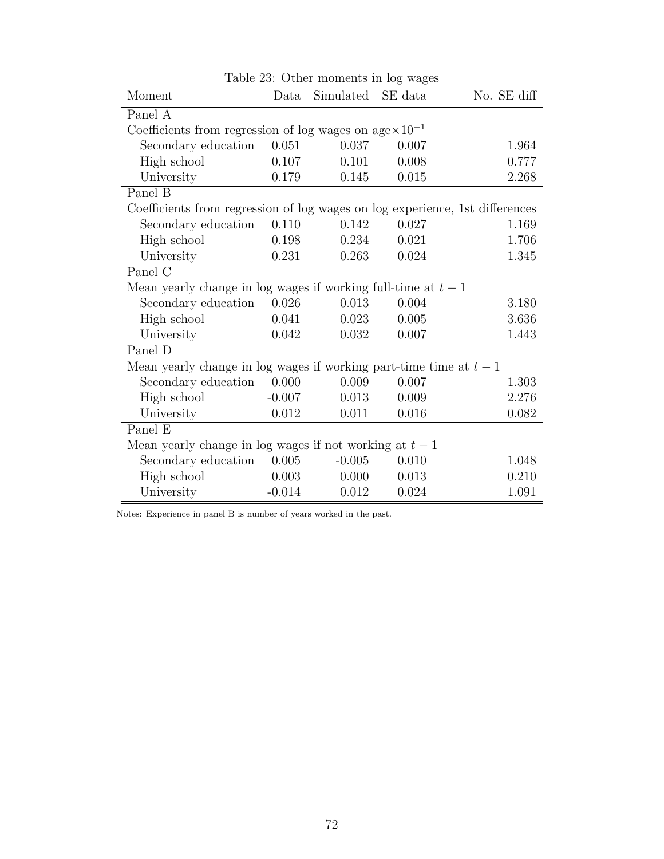|                                                                              |           | Lable 20. Other moments in log wages |         |             |  |  |  |  |
|------------------------------------------------------------------------------|-----------|--------------------------------------|---------|-------------|--|--|--|--|
| Moment                                                                       | Data      | Simulated                            | SE data | No. SE diff |  |  |  |  |
| Panel A                                                                      |           |                                      |         |             |  |  |  |  |
| Coefficients from regression of log wages on $age \times 10^{-1}$            |           |                                      |         |             |  |  |  |  |
| Secondary education                                                          | 0.051     | 0.037                                | 0.007   | 1.964       |  |  |  |  |
| High school                                                                  | 0.107     | 0.101                                | 0.008   | 0.777       |  |  |  |  |
| University                                                                   | 0.179     | 0.145                                | 0.015   | 2.268       |  |  |  |  |
| Panel B                                                                      |           |                                      |         |             |  |  |  |  |
| Coefficients from regression of log wages on log experience, 1st differences |           |                                      |         |             |  |  |  |  |
| Secondary education                                                          | 0.110     | 0.142                                | 0.027   | 1.169       |  |  |  |  |
| High school                                                                  | 0.198     | 0.234                                | 0.021   | 1.706       |  |  |  |  |
| University                                                                   | $0.231\,$ | 0.263                                | 0.024   | 1.345       |  |  |  |  |
| Panel C                                                                      |           |                                      |         |             |  |  |  |  |
| Mean yearly change in log wages if working full-time at $t-1$                |           |                                      |         |             |  |  |  |  |
| Secondary education                                                          | 0.026     | 0.013                                | 0.004   | 3.180       |  |  |  |  |
| High school                                                                  | 0.041     | 0.023                                | 0.005   | 3.636       |  |  |  |  |
| University                                                                   | 0.042     | 0.032                                | 0.007   | 1.443       |  |  |  |  |
| Panel $\overline{D}$                                                         |           |                                      |         |             |  |  |  |  |
| Mean yearly change in log wages if working part-time time at $t-1$           |           |                                      |         |             |  |  |  |  |
| Secondary education                                                          | 0.000     | 0.009                                | 0.007   | 1.303       |  |  |  |  |
| High school                                                                  | $-0.007$  | 0.013                                | 0.009   | 2.276       |  |  |  |  |
| University                                                                   | 0.012     | 0.011                                | 0.016   | 0.082       |  |  |  |  |
| Panel E                                                                      |           |                                      |         |             |  |  |  |  |
| Mean yearly change in log wages if not working at $t-1$                      |           |                                      |         |             |  |  |  |  |
| Secondary education                                                          | 0.005     | $-0.005$                             | 0.010   | 1.048       |  |  |  |  |
| High school                                                                  | 0.003     | 0.000                                | 0.013   | 0.210       |  |  |  |  |
| University                                                                   | $-0.014$  | 0.012                                | 0.024   | 1.091       |  |  |  |  |

Table 23: Other moments in log wages

Notes: Experience in panel B is number of years worked in the past.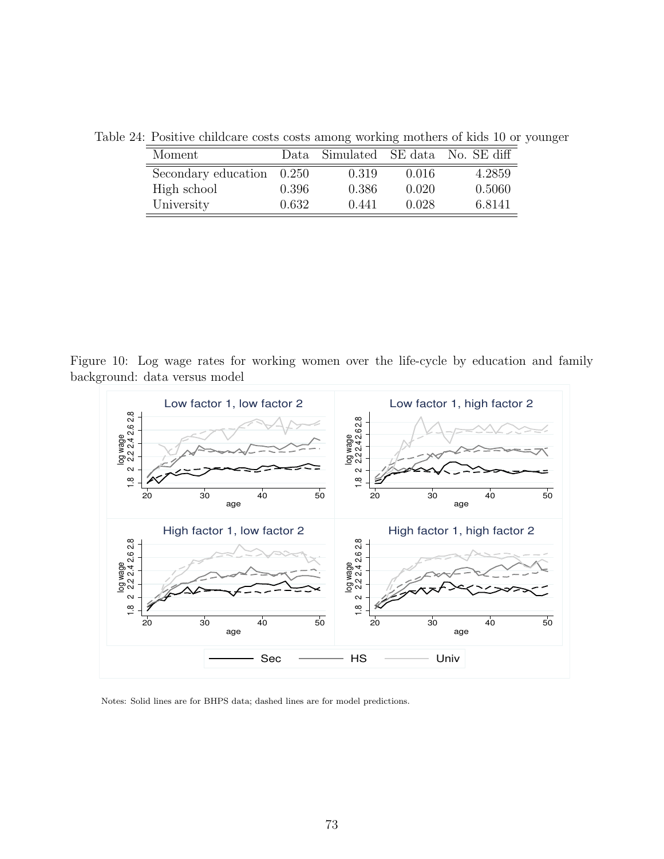Table 24: Positive childcare costs costs among working mothers of kids 10 or younger

| Moment              |       |       |       | Data Simulated SE data No. SE diff |
|---------------------|-------|-------|-------|------------------------------------|
| Secondary education | 0.250 | 0.319 | 0.016 | 4.2859                             |
| High school         | 0.396 | 0.386 | 0.020 | 0.5060                             |
| University          | 0.632 | 0.441 | 0.028 | 6.8141                             |

Figure 10: Log wage rates for working women over the life-cycle by education and family background: data versus model



Notes: Solid lines are for BHPS data; dashed lines are for model predictions.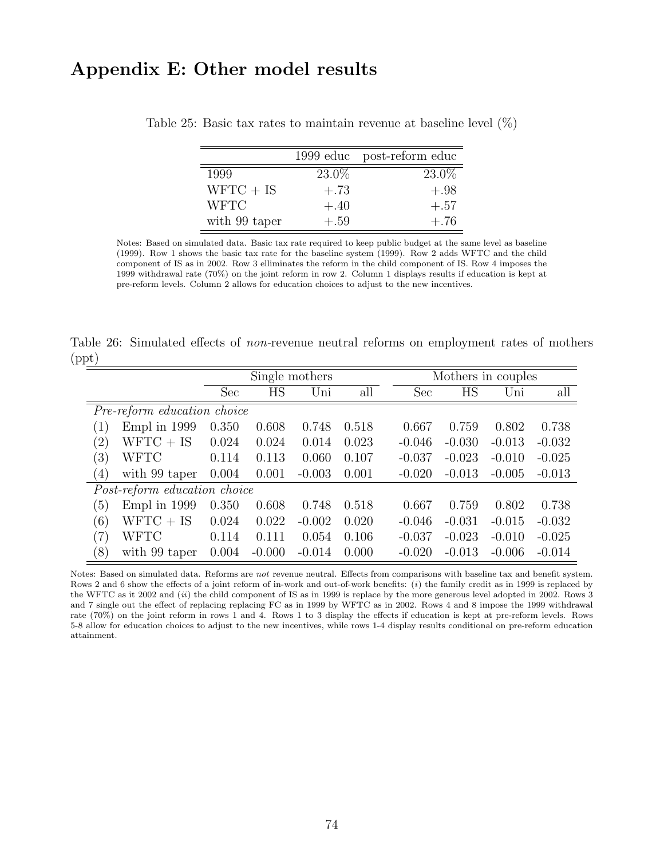## Appendix E: Other model results

|               |        | 1999 educ post-reform educ |
|---------------|--------|----------------------------|
| 1999          | 23.0\% | 23.0\%                     |
| $WFTC + IS$   | $+.73$ | $+.98$                     |
| <b>WFTC</b>   | $+.40$ | $+.57$                     |
| with 99 taper | $+.59$ | $+.76$                     |

Table 25: Basic tax rates to maintain revenue at baseline level (%)

Notes: Based on simulated data. Basic tax rate required to keep public budget at the same level as baseline (1999). Row 1 shows the basic tax rate for the baseline system (1999). Row 2 adds WFTC and the child component of IS as in 2002. Row 3 elliminates the reform in the child component of IS. Row 4 imposes the 1999 withdrawal rate (70%) on the joint reform in row 2. Column 1 displays results if education is kept at pre-reform levels. Column 2 allows for education choices to adjust to the new incentives.

Table 26: Simulated effects of non-revenue neutral reforms on employment rates of mothers (ppt)

|                   |                              |       |           | Single mothers |       |            |          | Mothers in couples |          |
|-------------------|------------------------------|-------|-----------|----------------|-------|------------|----------|--------------------|----------|
|                   |                              | Sec   | <b>HS</b> | Uni            | all   | <b>Sec</b> | HS       | Uni                | all      |
|                   | Pre-reform education choice  |       |           |                |       |            |          |                    |          |
| (1)               | Empl in 1999                 | 0.350 | 0.608     | 0.748          | 0.518 | 0.667      | 0.759    | 0.802              | 0.738    |
| $\left( 2\right)$ | $WFTC + IS$                  | 0.024 | 0.024     | 0.014          | 0.023 | $-0.046$   | $-0.030$ | $-0.013$           | $-0.032$ |
| (3)               | <b>WFTC</b>                  | 0.114 | 0.113     | 0.060          | 0.107 | $-0.037$   | $-0.023$ | $-0.010$           | $-0.025$ |
| (4)               | with 99 taper                | 0.004 | 0.001     | $-0.003$       | 0.001 | $-0.020$   | $-0.013$ | $-0.005$           | $-0.013$ |
|                   | Post-reform education choice |       |           |                |       |            |          |                    |          |
| $\left(5\right)$  | Empl in 1999                 | 0.350 | 0.608     | 0.748          | 0.518 | 0.667      | 0.759    | 0.802              | 0.738    |
| (6)               | $WFTC + IS$                  | 0.024 | 0.022     | $-0.002$       | 0.020 | $-0.046$   | $-0.031$ | $-0.015$           | $-0.032$ |
| (7)               | <b>WFTC</b>                  | 0.114 | 0.111     | 0.054          | 0.106 | $-0.037$   | $-0.023$ | $-0.010$           | $-0.025$ |
| (8)               | with 99 taper                | 0.004 | $-0.000$  | $-0.014$       | 0.000 | $-0.020$   | $-0.013$ | $-0.006$           | $-0.014$ |

Notes: Based on simulated data. Reforms are not revenue neutral. Effects from comparisons with baseline tax and benefit system. Rows 2 and 6 show the effects of a joint reform of in-work and out-of-work benefits:  $(i)$  the family credit as in 1999 is replaced by the WFTC as it 2002 and (ii) the child component of IS as in 1999 is replace by the more generous level adopted in 2002. Rows 3 and 7 single out the effect of replacing replacing FC as in 1999 by WFTC as in 2002. Rows 4 and 8 impose the 1999 withdrawal rate (70%) on the joint reform in rows 1 and 4. Rows 1 to 3 display the effects if education is kept at pre-reform levels. Rows 5-8 allow for education choices to adjust to the new incentives, while rows 1-4 display results conditional on pre-reform education attainment.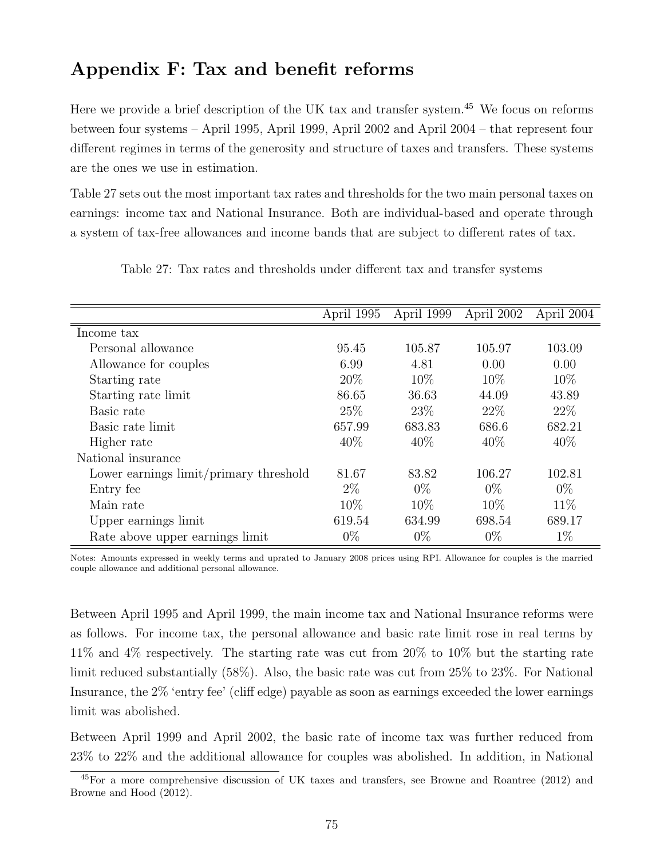## Appendix F: Tax and benefit reforms

Here we provide a brief description of the UK tax and transfer system.<sup>45</sup> We focus on reforms between four systems – April 1995, April 1999, April 2002 and April 2004 – that represent four different regimes in terms of the generosity and structure of taxes and transfers. These systems are the ones we use in estimation.

Table 27 sets out the most important tax rates and thresholds for the two main personal taxes on earnings: income tax and National Insurance. Both are individual-based and operate through a system of tax-free allowances and income bands that are subject to different rates of tax.

|                                        | April 1995 | April 1999 | April 2002 | April 2004 |
|----------------------------------------|------------|------------|------------|------------|
| Income tax                             |            |            |            |            |
| Personal allowance                     | 95.45      | 105.87     | 105.97     | 103.09     |
| Allowance for couples                  | 6.99       | 4.81       | 0.00       | 0.00       |
| Starting rate                          | 20%        | 10\%       | $10\%$     | 10\%       |
| Starting rate limit                    | 86.65      | 36.63      | 44.09      | 43.89      |
| Basic rate                             | 25\%       | 23\%       | 22%        | 22\%       |
| Basic rate limit                       | 657.99     | 683.83     | 686.6      | 682.21     |
| Higher rate                            | 40%        | 40\%       | $40\%$     | 40\%       |
| National insurance                     |            |            |            |            |
| Lower earnings limit/primary threshold | 81.67      | 83.82      | 106.27     | 102.81     |
| Entry fee                              | $2\%$      | $0\%$      | $0\%$      | $0\%$      |
| Main rate                              | 10%        | $10\%$     | 10\%       | 11\%       |
| Upper earnings limit                   | 619.54     | 634.99     | 698.54     | 689.17     |
| Rate above upper earnings limit        | $0\%$      | $0\%$      | $0\%$      | $1\%$      |

Table 27: Tax rates and thresholds under different tax and transfer systems

Notes: Amounts expressed in weekly terms and uprated to January 2008 prices using RPI. Allowance for couples is the married couple allowance and additional personal allowance.

Between April 1995 and April 1999, the main income tax and National Insurance reforms were as follows. For income tax, the personal allowance and basic rate limit rose in real terms by 11% and 4% respectively. The starting rate was cut from 20% to 10% but the starting rate limit reduced substantially (58%). Also, the basic rate was cut from 25% to 23%. For National Insurance, the 2% 'entry fee' (cliff edge) payable as soon as earnings exceeded the lower earnings limit was abolished.

Between April 1999 and April 2002, the basic rate of income tax was further reduced from 23% to 22% and the additional allowance for couples was abolished. In addition, in National

<sup>45</sup>For a more comprehensive discussion of UK taxes and transfers, see Browne and Roantree (2012) and Browne and Hood (2012).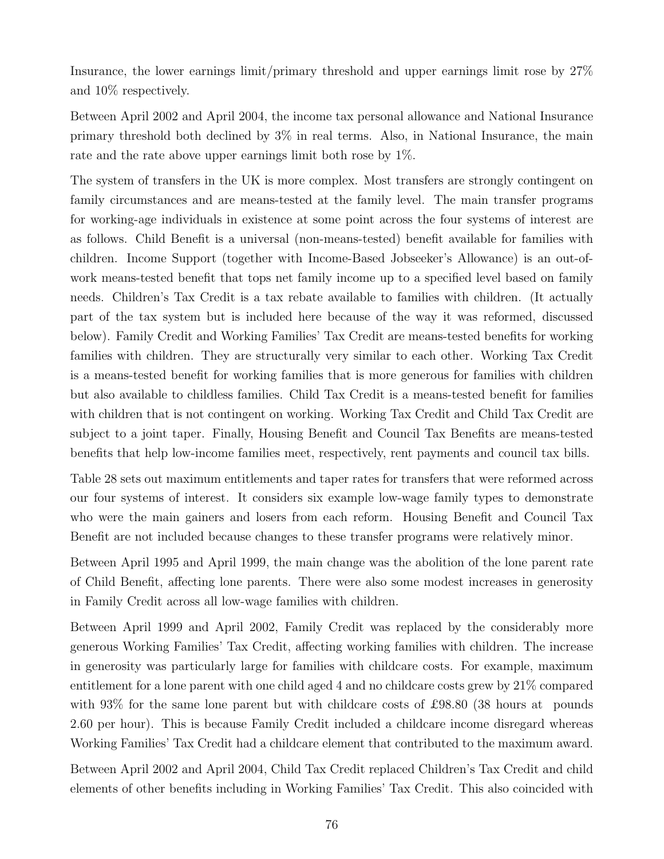Insurance, the lower earnings limit/primary threshold and upper earnings limit rose by 27% and 10% respectively.

Between April 2002 and April 2004, the income tax personal allowance and National Insurance primary threshold both declined by 3% in real terms. Also, in National Insurance, the main rate and the rate above upper earnings limit both rose by 1%.

The system of transfers in the UK is more complex. Most transfers are strongly contingent on family circumstances and are means-tested at the family level. The main transfer programs for working-age individuals in existence at some point across the four systems of interest are as follows. Child Benefit is a universal (non-means-tested) benefit available for families with children. Income Support (together with Income-Based Jobseeker's Allowance) is an out-ofwork means-tested benefit that tops net family income up to a specified level based on family needs. Children's Tax Credit is a tax rebate available to families with children. (It actually part of the tax system but is included here because of the way it was reformed, discussed below). Family Credit and Working Families' Tax Credit are means-tested benefits for working families with children. They are structurally very similar to each other. Working Tax Credit is a means-tested benefit for working families that is more generous for families with children but also available to childless families. Child Tax Credit is a means-tested benefit for families with children that is not contingent on working. Working Tax Credit and Child Tax Credit are subject to a joint taper. Finally, Housing Benefit and Council Tax Benefits are means-tested benefits that help low-income families meet, respectively, rent payments and council tax bills.

Table 28 sets out maximum entitlements and taper rates for transfers that were reformed across our four systems of interest. It considers six example low-wage family types to demonstrate who were the main gainers and losers from each reform. Housing Benefit and Council Tax Benefit are not included because changes to these transfer programs were relatively minor.

Between April 1995 and April 1999, the main change was the abolition of the lone parent rate of Child Benefit, affecting lone parents. There were also some modest increases in generosity in Family Credit across all low-wage families with children.

Between April 1999 and April 2002, Family Credit was replaced by the considerably more generous Working Families' Tax Credit, affecting working families with children. The increase in generosity was particularly large for families with childcare costs. For example, maximum entitlement for a lone parent with one child aged 4 and no childcare costs grew by 21% compared with 93% for the same lone parent but with childcare costs of £98.80 (38 hours at pounds 2.60 per hour). This is because Family Credit included a childcare income disregard whereas Working Families' Tax Credit had a childcare element that contributed to the maximum award.

Between April 2002 and April 2004, Child Tax Credit replaced Children's Tax Credit and child elements of other benefits including in Working Families' Tax Credit. This also coincided with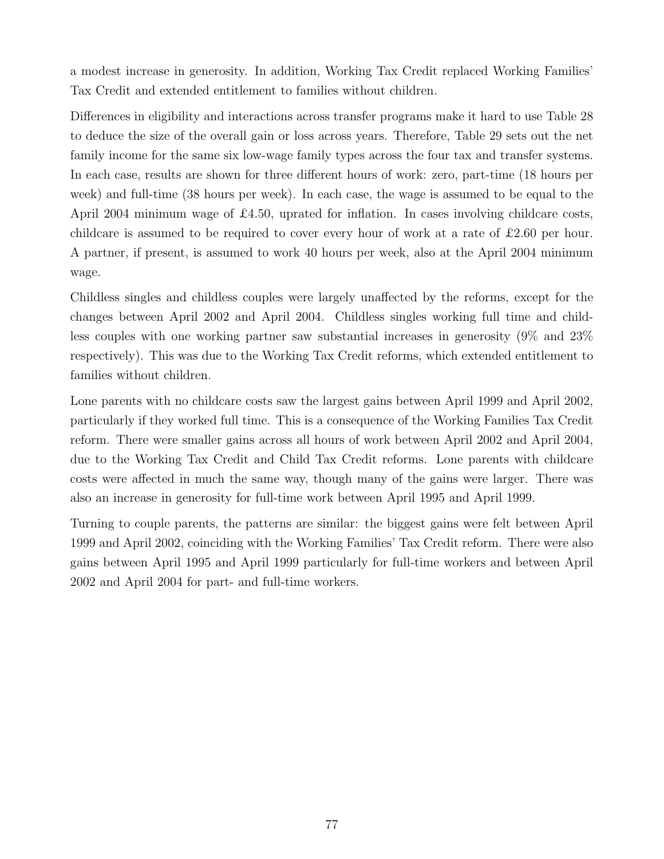a modest increase in generosity. In addition, Working Tax Credit replaced Working Families' Tax Credit and extended entitlement to families without children.

Differences in eligibility and interactions across transfer programs make it hard to use Table 28 to deduce the size of the overall gain or loss across years. Therefore, Table 29 sets out the net family income for the same six low-wage family types across the four tax and transfer systems. In each case, results are shown for three different hours of work: zero, part-time (18 hours per week) and full-time (38 hours per week). In each case, the wage is assumed to be equal to the April 2004 minimum wage of £4.50, uprated for inflation. In cases involving childcare costs, childcare is assumed to be required to cover every hour of work at a rate of  $\pounds 2.60$  per hour. A partner, if present, is assumed to work 40 hours per week, also at the April 2004 minimum wage.

Childless singles and childless couples were largely unaffected by the reforms, except for the changes between April 2002 and April 2004. Childless singles working full time and childless couples with one working partner saw substantial increases in generosity (9% and 23% respectively). This was due to the Working Tax Credit reforms, which extended entitlement to families without children.

Lone parents with no childcare costs saw the largest gains between April 1999 and April 2002, particularly if they worked full time. This is a consequence of the Working Families Tax Credit reform. There were smaller gains across all hours of work between April 2002 and April 2004, due to the Working Tax Credit and Child Tax Credit reforms. Lone parents with childcare costs were affected in much the same way, though many of the gains were larger. There was also an increase in generosity for full-time work between April 1995 and April 1999.

Turning to couple parents, the patterns are similar: the biggest gains were felt between April 1999 and April 2002, coinciding with the Working Families' Tax Credit reform. There were also gains between April 1995 and April 1999 particularly for full-time workers and between April 2002 and April 2004 for part- and full-time workers.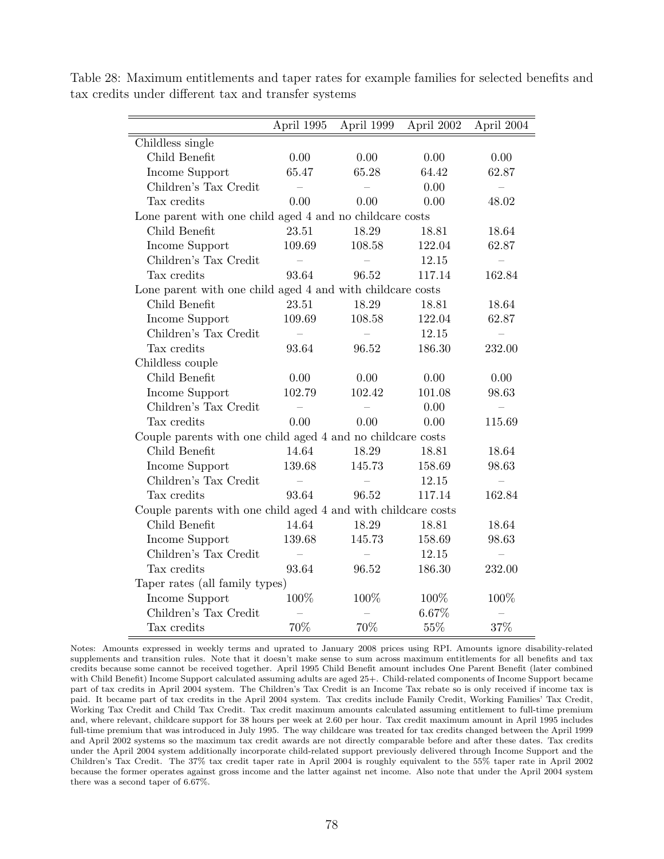|                                                               | April 1995 | April 1999 | April 2002 | April 2004 |
|---------------------------------------------------------------|------------|------------|------------|------------|
| Childless single                                              |            |            |            |            |
| Child Benefit                                                 | 0.00       | 0.00       | 0.00       | 0.00       |
| Income Support                                                | 65.47      | 65.28      | 64.42      | 62.87      |
| Children's Tax Credit                                         |            |            | 0.00       | $\equiv$   |
| Tax credits                                                   | 0.00       | 0.00       | 0.00       | 48.02      |
| Lone parent with one child aged 4 and no childcare costs      |            |            |            |            |
| Child Benefit                                                 | 23.51      | 18.29      | 18.81      | 18.64      |
| Income Support                                                | 109.69     | 108.58     | 122.04     | 62.87      |
| Children's Tax Credit                                         |            |            | 12.15      |            |
| Tax credits                                                   | 93.64      | 96.52      | 117.14     | 162.84     |
| Lone parent with one child aged 4 and with childcare costs    |            |            |            |            |
| Child Benefit                                                 | 23.51      | 18.29      | 18.81      | 18.64      |
| Income Support                                                | 109.69     | 108.58     | 122.04     | 62.87      |
| Children's Tax Credit                                         |            |            | 12.15      |            |
| Tax credits                                                   | 93.64      | 96.52      | 186.30     | 232.00     |
| Childless couple                                              |            |            |            |            |
| Child Benefit                                                 | 0.00       | 0.00       | 0.00       | 0.00       |
| Income Support                                                | 102.79     | 102.42     | 101.08     | 98.63      |
| Children's Tax Credit                                         |            |            | 0.00       |            |
| Tax credits                                                   | 0.00       | 0.00       | 0.00       | 115.69     |
| Couple parents with one child aged 4 and no childcare costs   |            |            |            |            |
| Child Benefit                                                 | 14.64      | 18.29      | 18.81      | 18.64      |
| Income Support                                                | 139.68     | 145.73     | 158.69     | 98.63      |
| Children's Tax Credit                                         |            |            | 12.15      |            |
| Tax credits                                                   | 93.64      | 96.52      | 117.14     | 162.84     |
| Couple parents with one child aged 4 and with childcare costs |            |            |            |            |
| Child Benefit                                                 | 14.64      | 18.29      | 18.81      | 18.64      |
| Income Support                                                | 139.68     | 145.73     | 158.69     | 98.63      |
| Children's Tax Credit                                         |            |            | 12.15      |            |
| Tax credits                                                   | 93.64      | 96.52      | 186.30     | 232.00     |
| Taper rates (all family types)                                |            |            |            |            |
| Income Support                                                | 100%       | 100%       | 100%       | 100%       |
| Children's Tax Credit                                         |            |            | 6.67%      |            |
| Tax credits                                                   | 70%        | 70%        | 55%        | 37%        |

Table 28: Maximum entitlements and taper rates for example families for selected benefits and tax credits under different tax and transfer systems

Notes: Amounts expressed in weekly terms and uprated to January 2008 prices using RPI. Amounts ignore disability-related supplements and transition rules. Note that it doesn't make sense to sum across maximum entitlements for all benefits and tax credits because some cannot be received together. April 1995 Child Benefit amount includes One Parent Benefit (later combined with Child Benefit) Income Support calculated assuming adults are aged 25+. Child-related components of Income Support became part of tax credits in April 2004 system. The Children's Tax Credit is an Income Tax rebate so is only received if income tax is paid. It became part of tax credits in the April 2004 system. Tax credits include Family Credit, Working Families' Tax Credit, Working Tax Credit and Child Tax Credit. Tax credit maximum amounts calculated assuming entitlement to full-time premium and, where relevant, childcare support for 38 hours per week at 2.60 per hour. Tax credit maximum amount in April 1995 includes full-time premium that was introduced in July 1995. The way childcare was treated for tax credits changed between the April 1999 and April 2002 systems so the maximum tax credit awards are not directly comparable before and after these dates. Tax credits under the April 2004 system additionally incorporate child-related support previously delivered through Income Support and the Children's Tax Credit. The 37% tax credit taper rate in April 2004 is roughly equivalent to the 55% taper rate in April 2002 because the former operates against gross income and the latter against net income. Also note that under the April 2004 system there was a second taper of 6.67%.